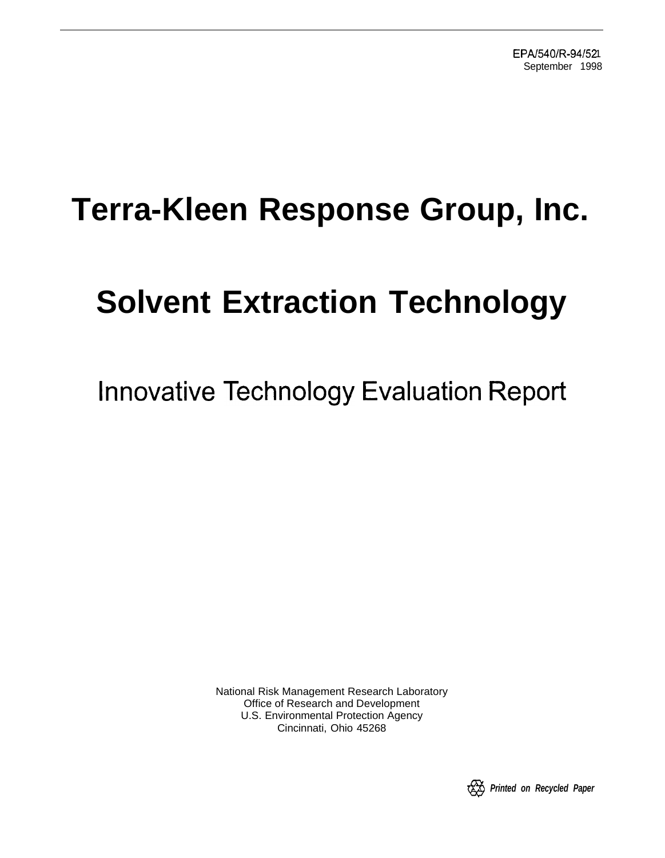# **Terra-Kleen Response Group, Inc.**

# **Solvent Extraction Technology**

Innovative Technology Evaluation Report

National Risk Management Research Laboratory Office of Research and Development U.S. Environmental Protection Agency Cincinnati, Ohio 45268

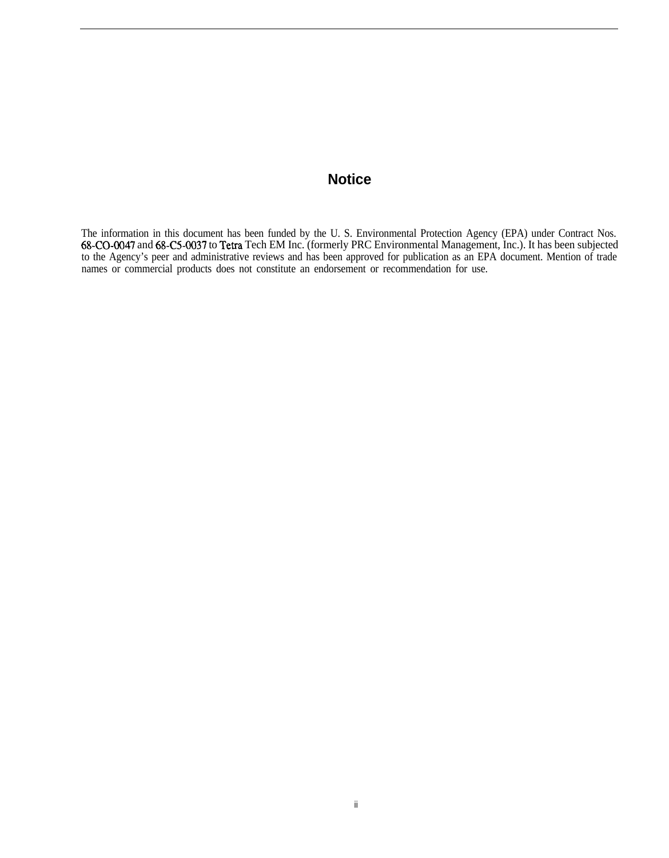# **Notice**

The information in this document has been funded by the U. S. Environmental Protection Agency (EPA) under Contract Nos. 68-CO-0047 and 68-C5-0037 to Tetra Tech EM Inc. (formerly PRC Environmental Management, Inc.). It has been subjected to the Agency's peer and administrative reviews and has been approved for publication as an EPA document. Mention of trade names or commercial products does not constitute an endorsement or recommendation for use.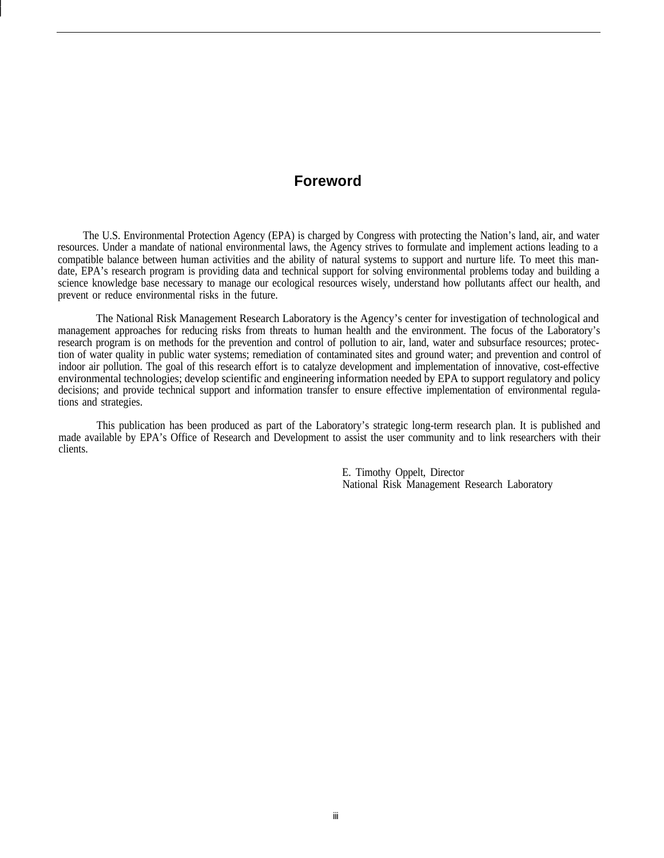#### **Foreword**

The U.S. Environmental Protection Agency (EPA) is charged by Congress with protecting the Nation's land, air, and water resources. Under a mandate of national environmental laws, the Agency strives to formulate and implement actions leading to a compatible balance between human activities and the ability of natural systems to support and nurture life. To meet this mandate, EPA's research program is providing data and technical support for solving environmental problems today and building a science knowledge base necessary to manage our ecological resources wisely, understand how pollutants affect our health, and prevent or reduce environmental risks in the future.

The National Risk Management Research Laboratory is the Agency's center for investigation of technological and management approaches for reducing risks from threats to human health and the environment. The focus of the Laboratory's research program is on methods for the prevention and control of pollution to air, land, water and subsurface resources; protection of water quality in public water systems; remediation of contaminated sites and ground water; and prevention and control of indoor air pollution. The goal of this research effort is to catalyze development and implementation of innovative, cost-effective environmental technologies; develop scientific and engineering information needed by EPA to support regulatory and policy decisions; and provide technical support and information transfer to ensure effective implementation of environmental regulations and strategies.

This publication has been produced as part of the Laboratory's strategic long-term research plan. It is published and made available by EPA's Office of Research and Development to assist the user community and to link researchers with their clients.

> E. Timothy Oppelt, Director National Risk Management Research Laboratory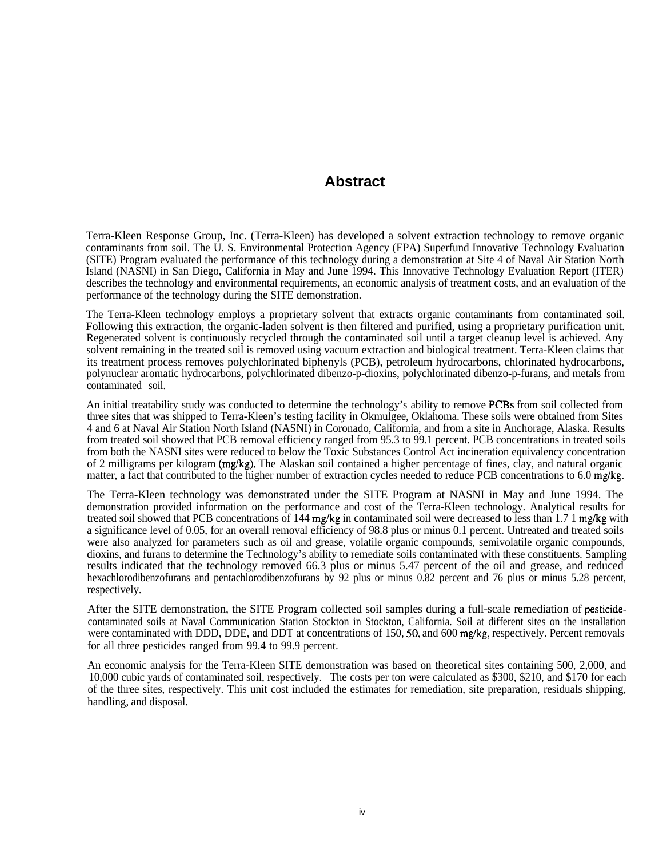## **Abstract**

Terra-Kleen Response Group, Inc. (Terra-Kleen) has developed a solvent extraction technology to remove organic contaminants from soil. The U. S. Environmental Protection Agency (EPA) Superfund Innovative Technology Evaluation (SITE) Program evaluated the performance of this technology during a demonstration at Site 4 of Naval Air Station North Island (NASNI) in San Diego, California in May and June 1994. This Innovative Technology Evaluation Report (ITER) describes the technology and environmental requirements, an economic analysis of treatment costs, and an evaluation of the performance of the technology during the SITE demonstration.

The Terra-Kleen technology employs a proprietary solvent that extracts organic contaminants from contaminated soil. Following this extraction, the organic-laden solvent is then filtered and purified, using a proprietary purification unit. Regenerated solvent is continuously recycled through the contaminated soil until a target cleanup level is achieved. Any solvent remaining in the treated soil is removed using vacuum extraction and biological treatment. Terra-Kleen claims that its treatment process removes polychlorinated biphenyls (PCB), petroleum hydrocarbons, chlorinated hydrocarbons, polynuclear aromatic hydrocarbons, polychlorinated dibenzo-p-dioxins, polychlorinated dibenzo-p-furans, and metals from contaminated soil.

An initial treatability study was conducted to determine the technology's ability to remove PCBs from soil collected from three sites that was shipped to Terra-Kleen's testing facility in Okmulgee, Oklahoma. These soils were obtained from Sites 4 and 6 at Naval Air Station North Island (NASNI) in Coronado, California, and from a site in Anchorage, Alaska. Results from treated soil showed that PCB removal efficiency ranged from 95.3 to 99.1 percent. PCB concentrations in treated soils from both the NASNI sites were reduced to below the Toxic Substances Control Act incineration equivalency concentration of 2 milligrams per kilogram (mg/kg). The Alaskan soil contained a higher percentage of fines, clay, and natural organic matter, a fact that contributed to the higher number of extraction cycles needed to reduce PCB concentrations to 6.0 mg/kg.

The Terra-Kleen technology was demonstrated under the SITE Program at NASNI in May and June 1994. The demonstration provided information on the performance and cost of the Terra-Kleen technology. Analytical results for treated soil showed that PCB concentrations of 144 mg/kg in contaminated soil were decreased to less than 1.7 1 mg/kg with a significance level of 0.05, for an overall removal efficiency of 98.8 plus or minus 0.1 percent. Untreated and treated soils were also analyzed for parameters such as oil and grease, volatile organic compounds, semivolatile organic compounds, dioxins, and furans to determine the Technology's ability to remediate soils contaminated with these constituents. Sampling results indicated that the technology removed 66.3 plus or minus 5.47 percent of the oil and grease, and reduced hexachlorodibenzofurans and pentachlorodibenzofurans by 92 plus or minus 0.82 percent and 76 plus or minus 5.28 percent, respectively.

After the SITE demonstration, the SITE Program collected soil samples during a full-scale remediation of pesticidecontaminated soils at Naval Communication Station Stockton in Stockton, California. Soil at different sites on the installation were contaminated with DDD, DDE, and DDT at concentrations of 150, 50, and 600 mg/kg, respectively. Percent removals for all three pesticides ranged from 99.4 to 99.9 percent.

An economic analysis for the Terra-Kleen SITE demonstration was based on theoretical sites containing 500, 2,000, and 10,000 cubic yards of contaminated soil, respectively. The costs per ton were calculated as \$300, \$210, and \$170 for each of the three sites, respectively. This unit cost included the estimates for remediation, site preparation, residuals shipping, handling, and disposal.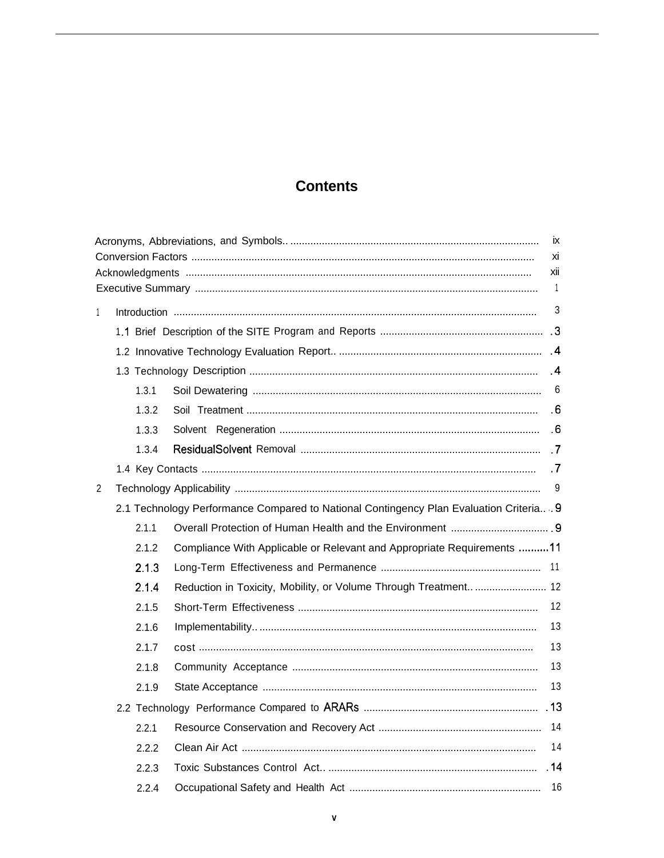# **Contents**

|    |       |                                                                                        | ix                    |  |
|----|-------|----------------------------------------------------------------------------------------|-----------------------|--|
| хi |       |                                                                                        |                       |  |
|    |       |                                                                                        | xii<br>$\overline{1}$ |  |
|    |       |                                                                                        |                       |  |
| 1  |       |                                                                                        | 3                     |  |
|    |       |                                                                                        |                       |  |
|    |       |                                                                                        |                       |  |
|    |       |                                                                                        | $\cdot$ 4             |  |
|    | 1.3.1 |                                                                                        | -6                    |  |
|    | 1.3.2 |                                                                                        | .6                    |  |
|    | 1.3.3 |                                                                                        |                       |  |
|    | 1.3.4 |                                                                                        |                       |  |
|    |       |                                                                                        | $\cdot$ .7            |  |
| 2  |       |                                                                                        | 9                     |  |
|    |       | 2.1 Technology Performance Compared to National Contingency Plan Evaluation Criteria 9 |                       |  |
|    | 2.1.1 |                                                                                        |                       |  |
|    | 2.1.2 | Compliance With Applicable or Relevant and Appropriate Requirements 11                 |                       |  |
|    | 2.1.3 |                                                                                        |                       |  |
|    | 2.1.4 | Reduction in Toxicity, Mobility, or Volume Through Treatment  12                       |                       |  |
|    | 2.1.5 |                                                                                        | 12                    |  |
|    | 2.1.6 |                                                                                        | 13                    |  |
|    | 2.1.7 |                                                                                        | 13                    |  |
|    | 2.1.8 |                                                                                        | 13                    |  |
|    | 2.1.9 |                                                                                        | 13                    |  |
|    |       |                                                                                        |                       |  |
|    | 2.2.1 |                                                                                        |                       |  |
|    | 2.2.2 |                                                                                        | 14                    |  |
|    | 2.2.3 |                                                                                        |                       |  |
|    | 2.2.4 |                                                                                        | 16                    |  |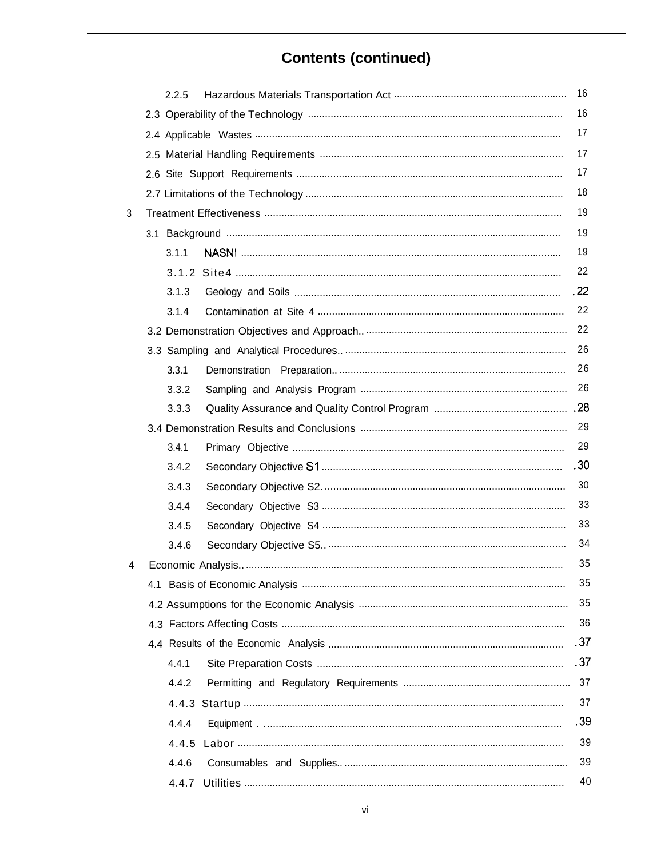# **Contents (continued)**

|   | 2.2.5 | 16   |
|---|-------|------|
|   |       | 16   |
|   |       | 17   |
|   |       | 17   |
|   |       | 17   |
|   |       | 18   |
| 3 |       | 19   |
|   |       | 19   |
|   | 3.1.1 | 19   |
|   |       | 22   |
|   | 3.1.3 | .22  |
|   | 3.1.4 | 22   |
|   |       | 22   |
|   |       | 26   |
|   | 3.3.1 | 26   |
|   | 3.3.2 | 26   |
|   | 3.3.3 |      |
|   |       | 29   |
|   | 3.4.1 | 29   |
|   | 3.4.2 | .30  |
|   | 3.4.3 | 30   |
|   | 3.4.4 | 33   |
|   | 3.4.5 | 33   |
|   | 3.4.6 | 34   |
| 4 |       | 35   |
|   |       | 35   |
|   |       | 35   |
|   |       | 36   |
|   |       | .37  |
|   | 4.4.1 | .37  |
|   | 4.4.2 | 37   |
|   |       | 37   |
|   | 4.4.4 | . 39 |
|   | 4.4.5 | 39   |
|   | 4.4.6 | 39   |
|   | 4.4.7 | 40   |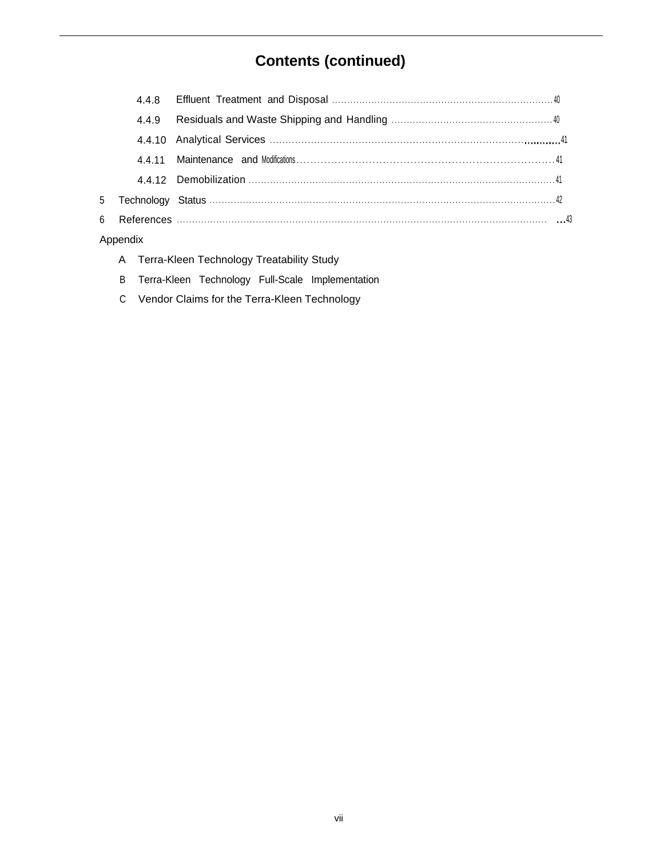# **Contents (continued)**

|                | 4.4.9 |  |
|----------------|-------|--|
|                |       |  |
|                |       |  |
|                |       |  |
| 5 <sup>5</sup> |       |  |
| 6              |       |  |
|                |       |  |

- A Terra-Kleen Technology Treatability Study
- B Terra-Kleen Technology Full-Scale Implementation
- C Vendor Claims for the Terra-Kleen Technology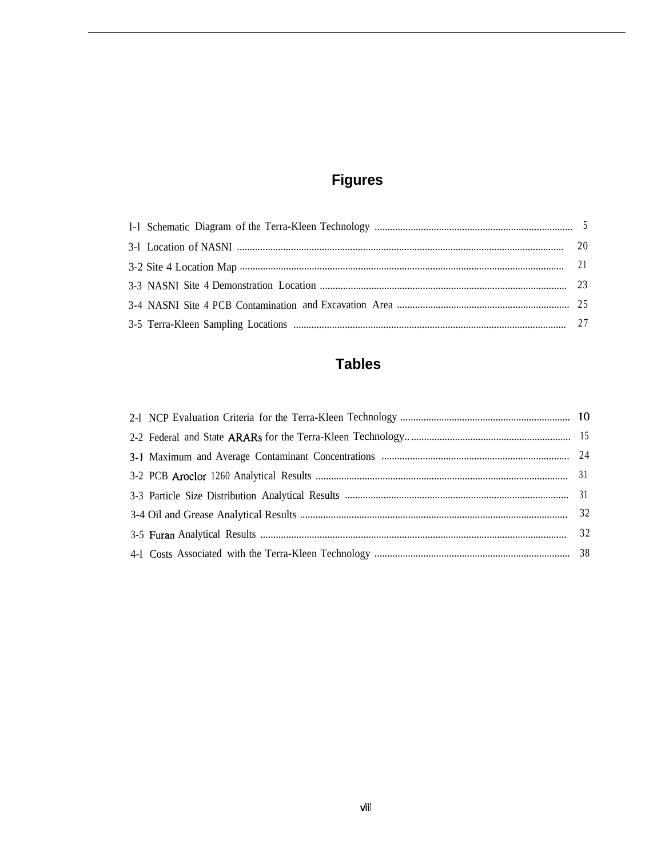# **Figures**

# **Tables**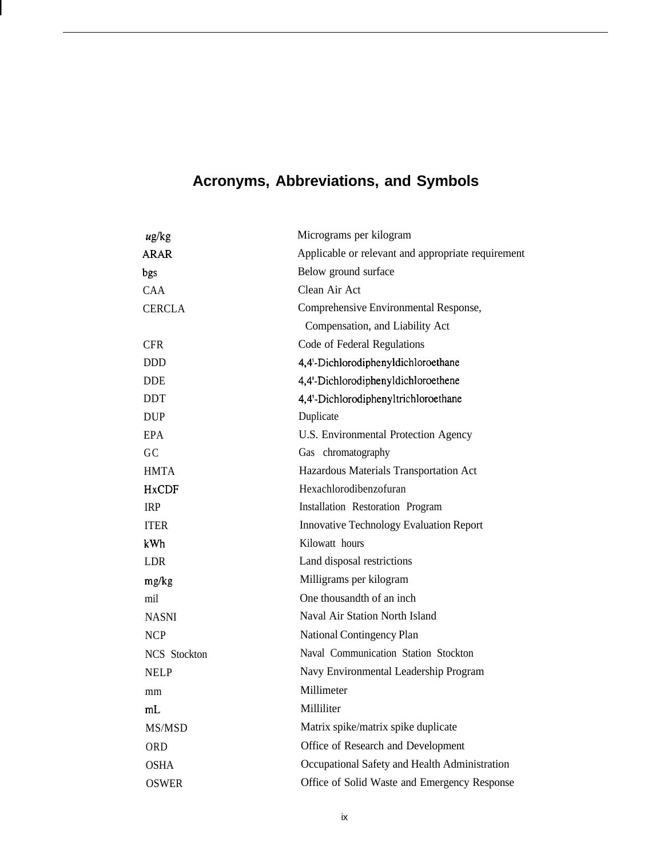# **Acronyms, Abbreviations, and Symbols**

| $\mu$ g/kg    | Micrograms per kilogram                            |
|---------------|----------------------------------------------------|
| ARAR          | Applicable or relevant and appropriate requirement |
| bgs           | Below ground surface                               |
| CAA.          | Clean Air Act                                      |
| <b>CERCLA</b> | Comprehensive Environmental Response,              |
|               | Compensation, and Liability Act                    |
| <b>CFR</b>    | Code of Federal Regulations                        |
| <b>DDD</b>    | 4,4'-Dichlorodiphenyldichloroethane                |
| <b>DDE</b>    | 4,4'-Dichlorodiphenyldichloroethene                |
| DDT           | 4,4'-Dichlorodiphenyltrichloroethane               |
| <b>DUP</b>    | Duplicate                                          |
| <b>EPA</b>    | U.S. Environmental Protection Agency               |
| GC            | Gas chromatography                                 |
| <b>HMTA</b>   | Hazardous Materials Transportation Act             |
| <b>HxCDF</b>  | Hexachlorodibenzofuran                             |
| <b>IRP</b>    | Installation Restoration Program                   |
| <b>ITER</b>   | <b>Innovative Technology Evaluation Report</b>     |
| kWh           | Kilowatt hours                                     |
| <b>LDR</b>    | Land disposal restrictions                         |
| mg/kg         | Milligrams per kilogram                            |
| mil           | One thousandth of an inch                          |
| <b>NASNI</b>  | Naval Air Station North Island                     |
| <b>NCP</b>    | National Contingency Plan                          |
| NCS Stockton  | Naval Communication Station Stockton               |
| <b>NELP</b>   | Navy Environmental Leadership Program              |
| mm            | Millimeter                                         |
| mL            | Milliliter                                         |
| MS/MSD        | Matrix spike/matrix spike duplicate                |
| ORD           | Office of Research and Development                 |
| OSHA          | Occupational Safety and Health Administration      |
| OSWER         | Office of Solid Waste and Emergency Response       |
|               |                                                    |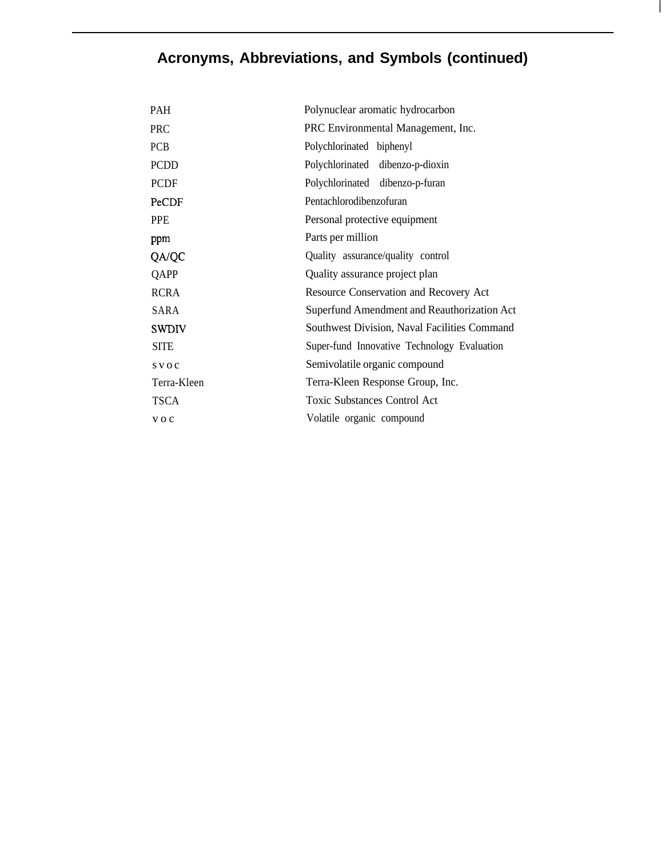# **Acronyms, Abbreviations, and Symbols (continued)**

 $\mathbf{I}$ 

| <b>PAH</b>   | Polynuclear aromatic hydrocarbon             |
|--------------|----------------------------------------------|
| <b>PRC</b>   | PRC Environmental Management, Inc.           |
| PCB          | Polychlorinated biphenyl                     |
| <b>PCDD</b>  | Polychlorinated dibenzo-p-dioxin             |
| <b>PCDF</b>  | Polychlorinated dibenzo-p-furan              |
| PeCDF        | Pentachlorodibenzofuran                      |
| <b>PPE</b>   | Personal protective equipment                |
| ppm          | Parts per million                            |
| QA/QC        | Quality assurance/quality control            |
| QAPP         | Quality assurance project plan               |
| RCRA         | Resource Conservation and Recovery Act       |
| SARA         | Superfund Amendment and Reauthorization Act  |
| <b>SWDIV</b> | Southwest Division, Naval Facilities Command |
| <b>SITE</b>  | Super-fund Innovative Technology Evaluation  |
| $S$ V O C    | Semivolatile organic compound                |
| Terra-Kleen  | Terra-Kleen Response Group, Inc.             |
| TSCA         | <b>Toxic Substances Control Act</b>          |
| $V$ O C      | Volatile organic compound                    |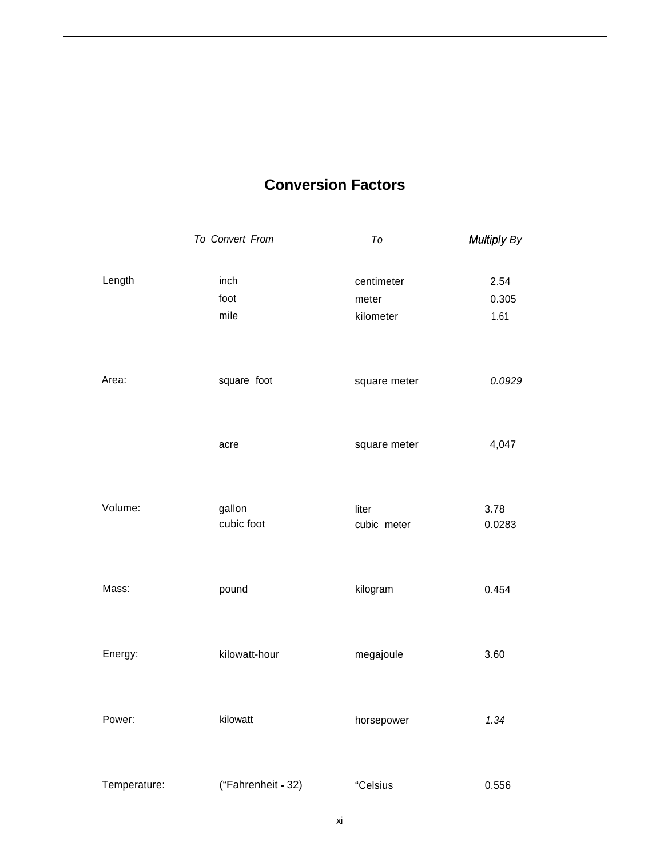# **Conversion Factors**

|              | To Convert From      | $\mathcal{T}\mathcal{O}$ | Multiply By    |
|--------------|----------------------|--------------------------|----------------|
| Length       | inch<br>foot         | centimeter<br>meter      | 2.54<br>0.305  |
|              | mile                 | kilometer                | 1.61           |
| Area:        | square foot          | square meter             | 0.0929         |
|              | acre                 | square meter             | 4,047          |
| Volume:      | gallon<br>cubic foot | liter<br>cubic meter     | 3.78<br>0.0283 |
| Mass:        | pound                | kilogram                 | 0.454          |
| Energy:      | kilowatt-hour        | megajoule                | 3.60           |
| Power:       | kilowatt             | horsepower               | 1.34           |
| Temperature: | ("Fahrenheit - 32)   | "Celsius                 | 0.556          |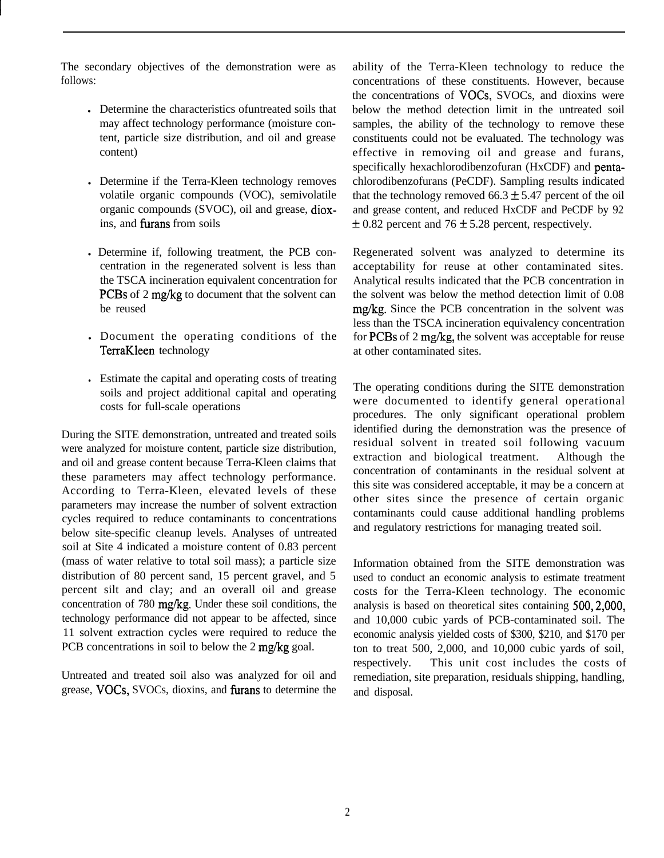The secondary objectives of the demonstration were as follows:

- Determine the characteristics of untreated soils that may affect technology performance (moisture content, particle size distribution, and oil and grease content)
- Determine if the Terra-Kleen technology removes volatile organic compounds (VOC), semivolatile organic compounds (SVOC), oil and grease, dioxins, and furans from soils
- . Determine if, following treatment, the PCB concentration in the regenerated solvent is less than the TSCA incineration equivalent concentration for PCBs of 2 mg/kg to document that the solvent can be reused
- Document the operating conditions of the TerraKleen technology
- <sup>l</sup> Estimate the capital and operating costs of treating soils and project additional capital and operating costs for full-scale operations

During the SITE demonstration, untreated and treated soils were analyzed for moisture content, particle size distribution, and oil and grease content because Terra-Kleen claims that these parameters may affect technology performance. According to Terra-Kleen, elevated levels of these parameters may increase the number of solvent extraction cycles required to reduce contaminants to concentrations below site-specific cleanup levels. Analyses of untreated soil at Site 4 indicated a moisture content of 0.83 percent (mass of water relative to total soil mass); a particle size distribution of 80 percent sand, 15 percent gravel, and 5 percent silt and clay; and an overall oil and grease concentration of 780  $mg/kg$ . Under these soil conditions, the technology performance did not appear to be affected, since 11 solvent extraction cycles were required to reduce the PCB concentrations in soil to below the 2 mg/kg goal.

Untreated and treated soil also was analyzed for oil and grease, VOCs, SVOCs, dioxins, and furans to determine the

ability of the Terra-Kleen technology to reduce the concentrations of these constituents. However, because the concentrations of VOCs, SVOCs, and dioxins were below the method detection limit in the untreated soil samples, the ability of the technology to remove these constituents could not be evaluated. The technology was effective in removing oil and grease and furans, specifically hexachlorodibenzofuran (HxCDF) and pentachlorodibenzofurans (PeCDF). Sampling results indicated that the technology removed  $66.3 \pm 5.47$  percent of the oil and grease content, and reduced HxCDF and PeCDF by 92  $\pm$  0.82 percent and 76  $\pm$  5.28 percent, respectively.

Regenerated solvent was analyzed to determine its acceptability for reuse at other contaminated sites. Analytical results indicated that the PCB concentration in the solvent was below the method detection limit of 0.08 mg/kg. Since the PCB concentration in the solvent was less than the TSCA incineration equivalency concentration for PCBs of 2 mg/kg, the solvent was acceptable for reuse at other contaminated sites.

The operating conditions during the SITE demonstration were documented to identify general operational procedures. The only significant operational problem identified during the demonstration was the presence of residual solvent in treated soil following vacuum extraction and biological treatment. Although the concentration of contaminants in the residual solvent at this site was considered acceptable, it may be a concern at other sites since the presence of certain organic contaminants could cause additional handling problems and regulatory restrictions for managing treated soil.

Information obtained from the SITE demonstration was used to conduct an economic analysis to estimate treatment costs for the Terra-Kleen technology. The economic analysis is based on theoretical sites containing 500,2,000, and 10,000 cubic yards of PCB-contaminated soil. The economic analysis yielded costs of \$300, \$210, and \$170 per ton to treat 500, 2,000, and 10,000 cubic yards of soil, respectively. This unit cost includes the costs of remediation, site preparation, residuals shipping, handling, and disposal.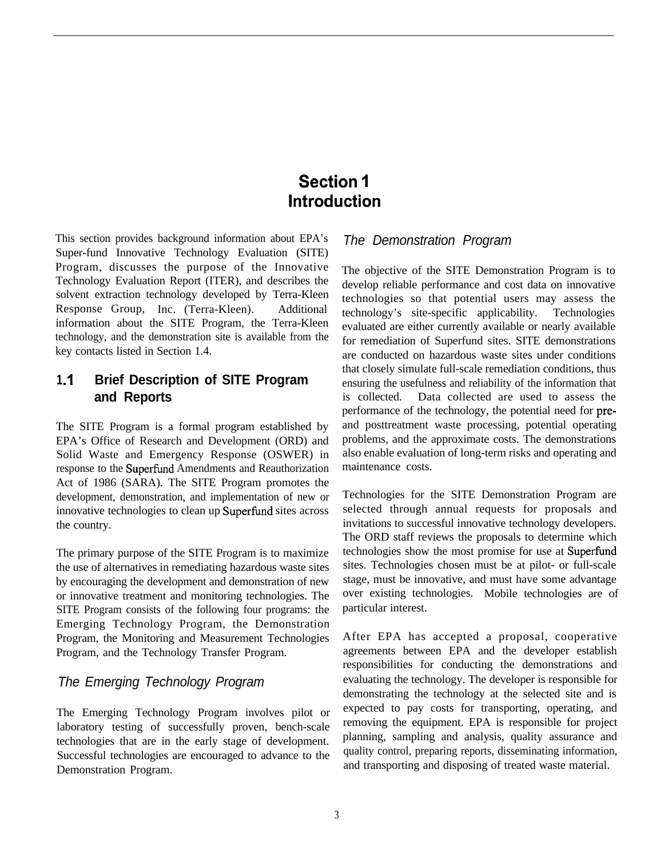# **Section <sup>1</sup> Introduction**

This section provides background information about EPA's Super-fund Innovative Technology Evaluation (SITE) Program, discusses the purpose of the Innovative Technology Evaluation Report (ITER), and describes the solvent extraction technology developed by Terra-Kleen Response Group, Inc. (Terra-Kleen). Additional information about the SITE Program, the Terra-Kleen technology, and the demonstration site is available from the key contacts listed in Section 1.4.

## **1 .I Brief Description of SITE Program and Reports**

The SITE Program is a formal program established by EPA's Office of Research and Development (ORD) and Solid Waste and Emergency Response (OSWER) in response to the Superfund Amendments and Reauthorization Act of 1986 (SARA). The SITE Program promotes the development, demonstration, and implementation of new or innovative technologies to clean up Superfind sites across the country.

The primary purpose of the SITE Program is to maximize the use of alternatives in remediating hazardous waste sites by encouraging the development and demonstration of new or innovative treatment and monitoring technologies. The SITE Program consists of the following four programs: the Emerging Technology Program, the Demonstration Program, the Monitoring and Measurement Technologies Program, and the Technology Transfer Program.

# *The Emerging Technology Program*

The Emerging Technology Program involves pilot or laboratory testing of successfully proven, bench-scale technologies that are in the early stage of development. Successful technologies are encouraged to advance to the Demonstration Program.

#### *The Demonstration Program*

The objective of the SITE Demonstration Program is to develop reliable performance and cost data on innovative technologies so that potential users may assess the technology's site-specific applicability. Technologies evaluated are either currently available or nearly available for remediation of Superfund sites. SITE demonstrations are conducted on hazardous waste sites under conditions that closely simulate full-scale remediation conditions, thus ensuring the usefulness and reliability of the information that is collected. Data collected are used to assess the performance of the technology, the potential need for preand posttreatment waste processing, potential operating problems, and the approximate costs. The demonstrations also enable evaluation of long-term risks and operating and maintenance costs.

Technologies for the SITE Demonstration Program are selected through annual requests for proposals and invitations to successful innovative technology developers. The ORD staff reviews the proposals to determine which technologies show the most promise for use at Superfund sites. Technologies chosen must be at pilot- or full-scale stage, must be innovative, and must have some advantage over existing technologies. Mobile technologies are of particular interest.

After EPA has accepted a proposal, cooperative agreements between EPA and the developer establish responsibilities for conducting the demonstrations and evaluating the technology. The developer is responsible for demonstrating the technology at the selected site and is expected to pay costs for transporting, operating, and removing the equipment. EPA is responsible for project planning, sampling and analysis, quality assurance and quality control, preparing reports, disseminating information, and transporting and disposing of treated waste material.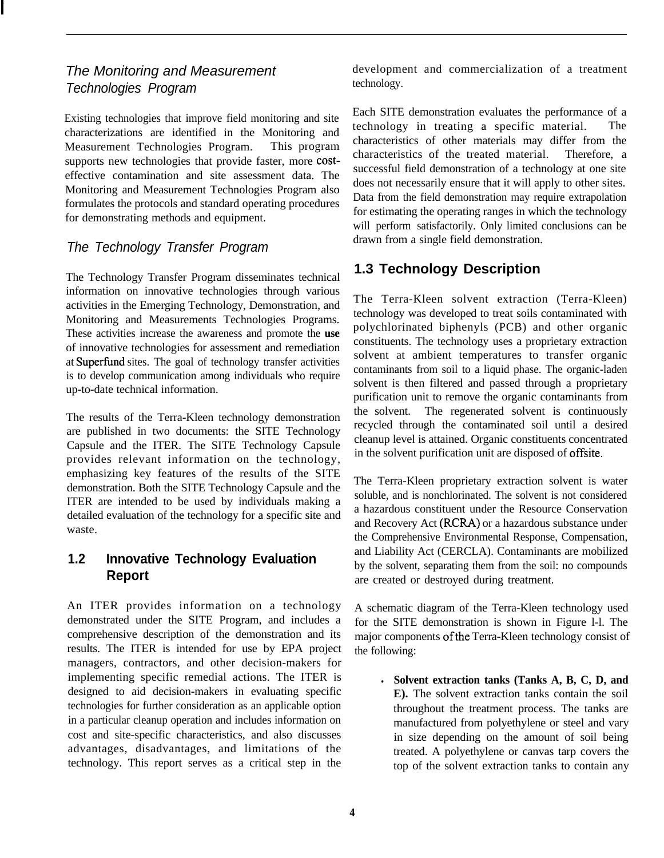#### *The Monitoring and Measurement Technologies Program*

Existing technologies that improve field monitoring and site characterizations are identified in the Monitoring and Measurement Technologies Program. This program supports new technologies that provide faster, more costeffective contamination and site assessment data. The Monitoring and Measurement Technologies Program also formulates the protocols and standard operating procedures for demonstrating methods and equipment.

#### *The Technology Transfer Program*

The Technology Transfer Program disseminates technical information on innovative technologies through various activities in the Emerging Technology, Demonstration, and Monitoring and Measurements Technologies Programs. These activities increase the awareness and promote the **use** of innovative technologies for assessment and remediation at Superfund sites. The goal of technology transfer activities is to develop communication among individuals who require up-to-date technical information.

The results of the Terra-Kleen technology demonstration are published in two documents: the SITE Technology Capsule and the ITER. The SITE Technology Capsule provides relevant information on the technology, emphasizing key features of the results of the SITE demonstration. Both the SITE Technology Capsule and the ITER are intended to be used by individuals making a detailed evaluation of the technology for a specific site and waste.

# **1.2 Innovative Technology Evaluation Report**

An ITER provides information on a technology demonstrated under the SITE Program, and includes a comprehensive description of the demonstration and its results. The ITER is intended for use by EPA project managers, contractors, and other decision-makers for implementing specific remedial actions. The ITER is designed to aid decision-makers in evaluating specific technologies for further consideration as an applicable option in a particular cleanup operation and includes information on cost and site-specific characteristics, and also discusses advantages, disadvantages, and limitations of the technology. This report serves as a critical step in the development and commercialization of a treatment technology.

Each SITE demonstration evaluates the performance of a technology in treating a specific material. The characteristics of other materials may differ from the characteristics of the treated material. Therefore, a successful field demonstration of a technology at one site does not necessarily ensure that it will apply to other sites. Data from the field demonstration may require extrapolation for estimating the operating ranges in which the technology will perform satisfactorily. Only limited conclusions can be drawn from a single field demonstration.

# **1.3 Technology Description**

The Terra-Kleen solvent extraction (Terra-Kleen) technology was developed to treat soils contaminated with polychlorinated biphenyls (PCB) and other organic constituents. The technology uses a proprietary extraction solvent at ambient temperatures to transfer organic contaminants from soil to a liquid phase. The organic-laden solvent is then filtered and passed through a proprietary purification unit to remove the organic contaminants from the solvent. The regenerated solvent is continuously recycled through the contaminated soil until a desired cleanup level is attained. Organic constituents concentrated in the solvent purification unit are disposed of offsite.

The Terra-Kleen proprietary extraction solvent is water soluble, and is nonchlorinated. The solvent is not considered a hazardous constituent under the Resource Conservation and Recovery Act (RCR4) or a hazardous substance under the Comprehensive Environmental Response, Compensation, and Liability Act (CERCLA). Contaminants are mobilized by the solvent, separating them from the soil: no compounds are created or destroyed during treatment.

A schematic diagram of the Terra-Kleen technology used for the SITE demonstration is shown in Figure l-l. The major components of the Terra-Kleen technology consist of the following:

<sup>l</sup> **Solvent extraction tanks (Tanks A, B, C, D, and E).** The solvent extraction tanks contain the soil throughout the treatment process. The tanks are manufactured from polyethylene or steel and vary in size depending on the amount of soil being treated. A polyethylene or canvas tarp covers the top of the solvent extraction tanks to contain any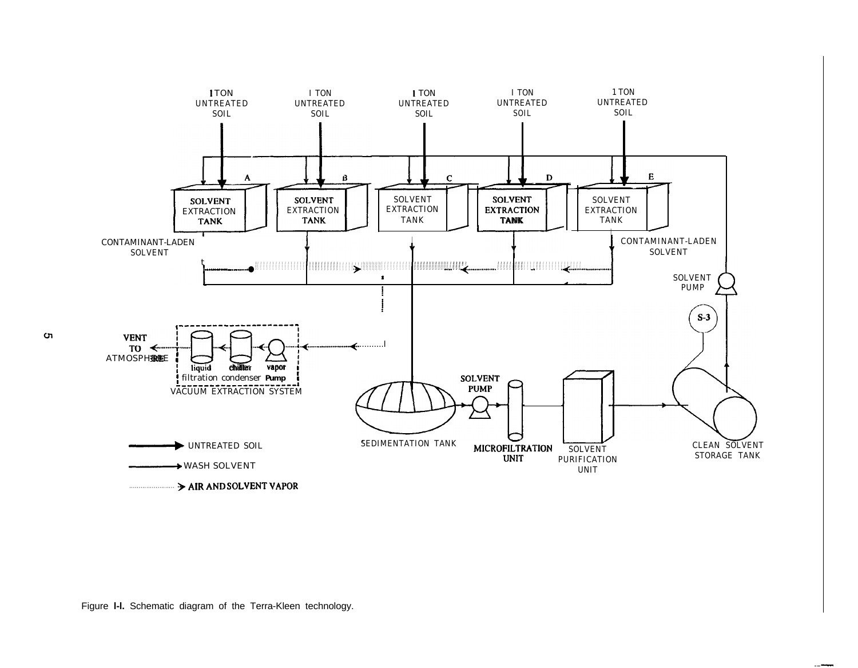

.--

Figure **l-l.** Schematic diagram of the Terra-Kleen technology.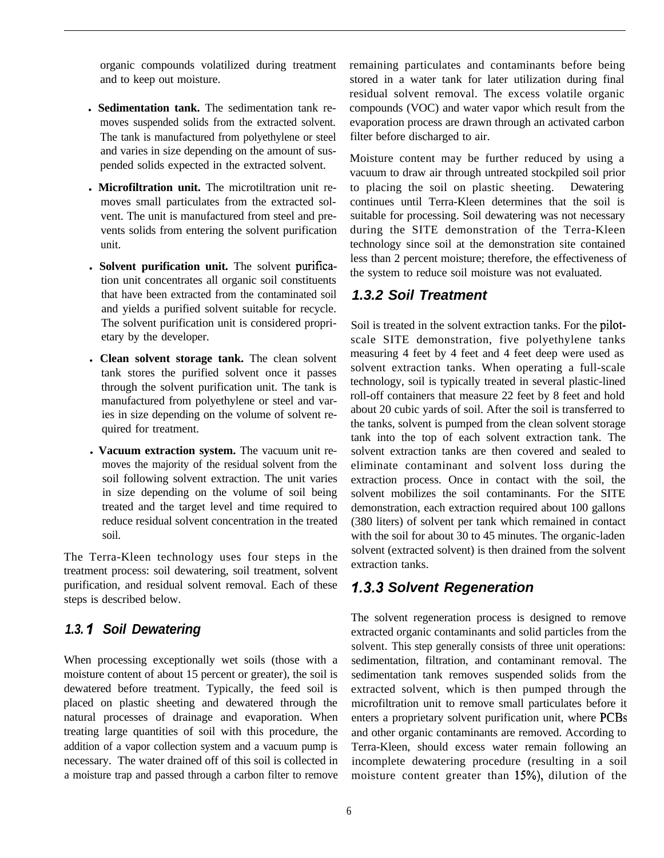organic compounds volatilized during treatment and to keep out moisture.

- l **Sedimentation tank.** The sedimentation tank removes suspended solids from the extracted solvent. The tank is manufactured from polyethylene or steel and varies in size depending on the amount of suspended solids expected in the extracted solvent.
- **. Microfiltration unit.** The microtiltration unit removes small particulates from the extracted solvent. The unit is manufactured from steel and prevents solids from entering the solvent purification unit.
- l **Solvent purification unit.** The solvent puritication unit concentrates all organic soil constituents that have been extracted from the contaminated soil and yields a purified solvent suitable for recycle. The solvent purification unit is considered proprietary by the developer.
- <sup>l</sup>**Clean solvent storage tank.** The clean solvent tank stores the purified solvent once it passes through the solvent purification unit. The tank is manufactured from polyethylene or steel and varies in size depending on the volume of solvent required for treatment.
- l **Vacuum extraction system.** The vacuum unit removes the majority of the residual solvent from the soil following solvent extraction. The unit varies in size depending on the volume of soil being treated and the target level and time required to reduce residual solvent concentration in the treated soil.

The Terra-Kleen technology uses four steps in the treatment process: soil dewatering, soil treatment, solvent purification, and residual solvent removal. Each of these steps is described below.

#### *1.3. I Soil Dewatering*

When processing exceptionally wet soils (those with a moisture content of about 15 percent or greater), the soil is dewatered before treatment. Typically, the feed soil is placed on plastic sheeting and dewatered through the natural processes of drainage and evaporation. When treating large quantities of soil with this procedure, the addition of a vapor collection system and a vacuum pump is necessary. The water drained off of this soil is collected in a moisture trap and passed through a carbon filter to remove remaining particulates and contaminants before being stored in a water tank for later utilization during final residual solvent removal. The excess volatile organic compounds (VOC) and water vapor which result from the evaporation process are drawn through an activated carbon filter before discharged to air.

Moisture content may be further reduced by using a vacuum to draw air through untreated stockpiled soil prior to placing the soil on plastic sheeting. Dewatering continues until Terra-Kleen determines that the soil is suitable for processing. Soil dewatering was not necessary during the SITE demonstration of the Terra-Kleen technology since soil at the demonstration site contained less than 2 percent moisture; therefore, the effectiveness of the system to reduce soil moisture was not evaluated.

#### *1.3.2 Soil Treatment*

Soil is treated in the solvent extraction tanks. For the pilotscale SITE demonstration, five polyethylene tanks measuring 4 feet by 4 feet and 4 feet deep were used as solvent extraction tanks. When operating a full-scale technology, soil is typically treated in several plastic-lined roll-off containers that measure 22 feet by 8 feet and hold about 20 cubic yards of soil. After the soil is transferred to the tanks, solvent is pumped from the clean solvent storage tank into the top of each solvent extraction tank. The solvent extraction tanks are then covered and sealed to eliminate contaminant and solvent loss during the extraction process. Once in contact with the soil, the solvent mobilizes the soil contaminants. For the SITE demonstration, each extraction required about 100 gallons (380 liters) of solvent per tank which remained in contact with the soil for about 30 to 45 minutes. The organic-laden solvent (extracted solvent) is then drained from the solvent extraction tanks.

# *1.3.3 Solvent Regeneration*

The solvent regeneration process is designed to remove extracted organic contaminants and solid particles from the solvent. This step generally consists of three unit operations: sedimentation, filtration, and contaminant removal. The sedimentation tank removes suspended solids from the extracted solvent, which is then pumped through the microfiltration unit to remove small particulates before it enters a proprietary solvent purification unit, where PCBs and other organic contaminants are removed. According to Terra-Kleen, should excess water remain following an incomplete dewatering procedure (resulting in a soil moisture content greater than 15%), dilution of the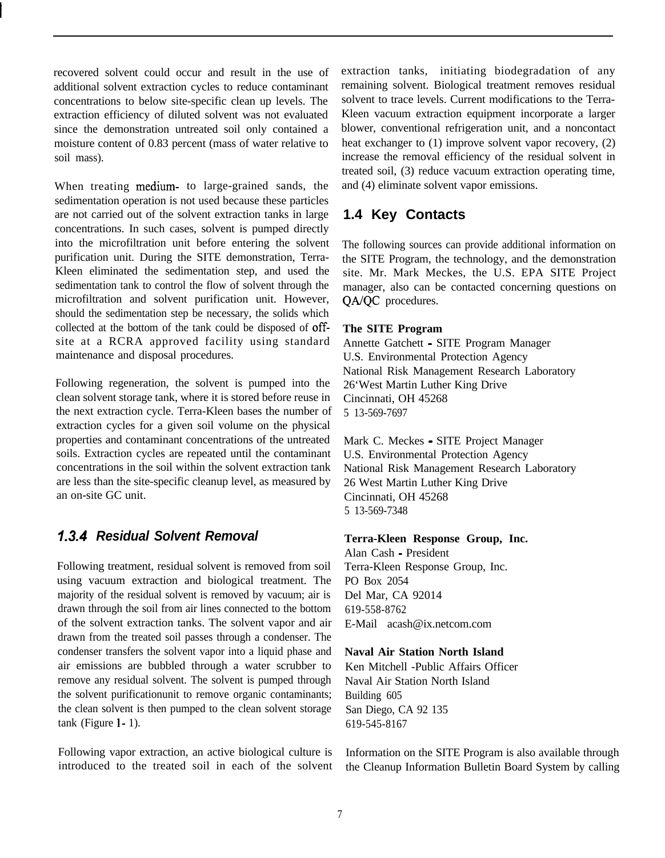recovered solvent could occur and result in the use of additional solvent extraction cycles to reduce contaminant concentrations to below site-specific clean up levels. The extraction efficiency of diluted solvent was not evaluated since the demonstration untreated soil only contained a moisture content of 0.83 percent (mass of water relative to soil mass).

When treating medium- to large-grained sands, the sedimentation operation is not used because these particles are not carried out of the solvent extraction tanks in large concentrations. In such cases, solvent is pumped directly into the microfiltration unit before entering the solvent purification unit. During the SITE demonstration, Terra-Kleen eliminated the sedimentation step, and used the sedimentation tank to control the flow of solvent through the microfiltration and solvent purification unit. However, should the sedimentation step be necessary, the solids which collected at the bottom of the tank could be disposed of offsite at a RCRA approved facility using standard maintenance and disposal procedures.

Following regeneration, the solvent is pumped into the clean solvent storage tank, where it is stored before reuse in the next extraction cycle. Terra-Kleen bases the number of extraction cycles for a given soil volume on the physical properties and contaminant concentrations of the untreated soils. Extraction cycles are repeated until the contaminant concentrations in the soil within the solvent extraction tank are less than the site-specific cleanup level, as measured by an on-site GC unit.

# *1.3.4 Residual Solvent Removal*

Following treatment, residual solvent is removed from soil using vacuum extraction and biological treatment. The majority of the residual solvent is removed by vacuum; air is drawn through the soil from air lines connected to the bottom of the solvent extraction tanks. The solvent vapor and air drawn from the treated soil passes through a condenser. The condenser transfers the solvent vapor into a liquid phase and air emissions are bubbled through a water scrubber to remove any residual solvent. The solvent is pumped through the solvent purificationunit to remove organic contaminants; the clean solvent is then pumped to the clean solvent storage  $tank$  (Figure  $l - 1$ ).

Following vapor extraction, an active biological culture is introduced to the treated soil in each of the solvent extraction tanks, initiating biodegradation of any remaining solvent. Biological treatment removes residual solvent to trace levels. Current modifications to the Terra-Kleen vacuum extraction equipment incorporate a larger blower, conventional refrigeration unit, and a noncontact heat exchanger to (1) improve solvent vapor recovery, (2) increase the removal efficiency of the residual solvent in treated soil, (3) reduce vacuum extraction operating time, and (4) eliminate solvent vapor emissions.

# **1.4 Key Contacts**

The following sources can provide additional information on the SITE Program, the technology, and the demonstration site. Mr. Mark Meckes, the U.S. EPA SITE Project manager, also can be contacted concerning questions on QA/QC procedures.

#### **The SITE Program**

Annette Gatchett - SITE Program Manager U.S. Environmental Protection Agency National Risk Management Research Laboratory 26'West Martin Luther King Drive Cincinnati, OH 45268 5 13-569-7697

Mark C. Meckes - SITE Project Manager U.S. Environmental Protection Agency National Risk Management Research Laboratory 26 West Martin Luther King Drive Cincinnati, OH 45268 5 13-569-7348

#### **Terra-Kleen Response Group, Inc.**

Alan Cash - President Terra-Kleen Response Group, Inc. PO Box 2054 Del Mar, CA 92014 619-558-8762 E-Mail acash@ix.netcom.com

#### **Naval Air Station North Island**

Ken Mitchell -Public Affairs Officer Naval Air Station North Island Building 605 San Diego, CA 92 135 619-545-8167

Information on the SITE Program is also available through the Cleanup Information Bulletin Board System by calling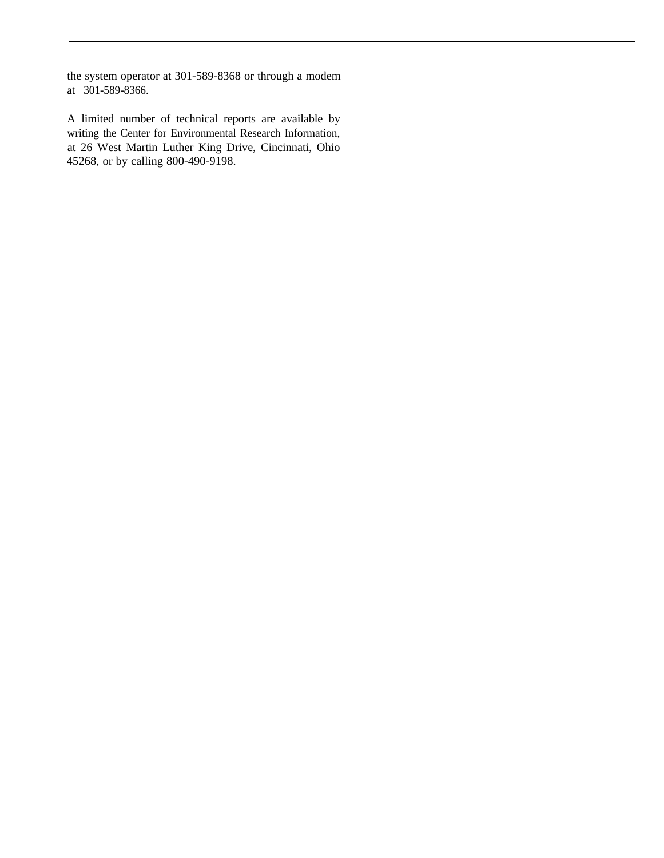the system operator at 301-589-8368 or through a modem at 301-589-8366.

A limited number of technical reports are available by writing the Center for Environmental Research Information, at 26 West Martin Luther King Drive, Cincinnati, Ohio 45268, or by calling 800-490-9198.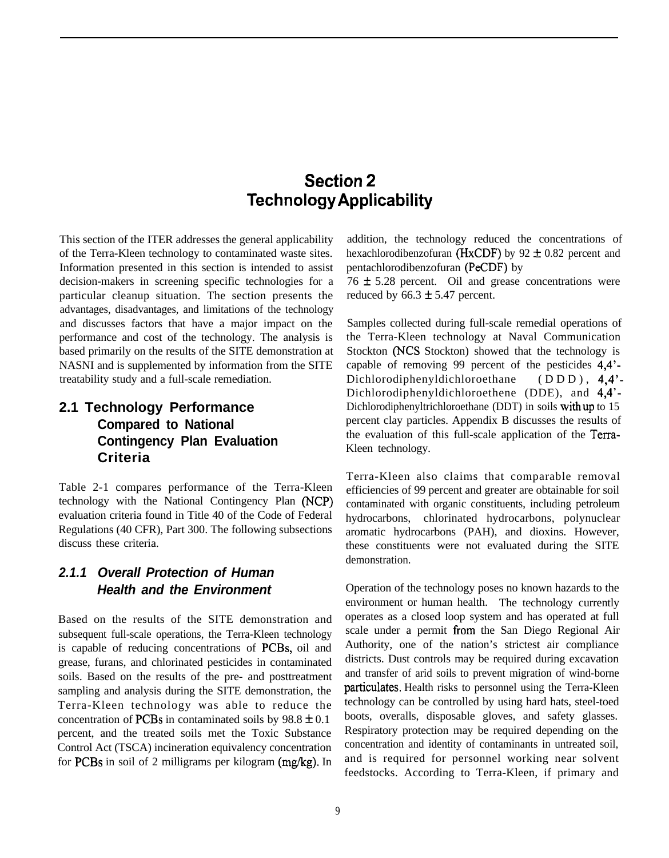# **Section 2 Technology Applicability**

This section of the ITER addresses the general applicability of the Terra-Kleen technology to contaminated waste sites. Information presented in this section is intended to assist decision-makers in screening specific technologies for a particular cleanup situation. The section presents the advantages, disadvantages, and limitations of the technology and discusses factors that have a major impact on the performance and cost of the technology. The analysis is based primarily on the results of the SITE demonstration at NASNI and is supplemented by information from the SITE treatability study and a full-scale remediation.

# **2.1 Technology Performance Compared to National Contingency Plan Evaluation Criteria**

Table 2-1 compares performance of the Terra-Kleen technology with the National Contingency Plan (NCP) evaluation criteria found in Title 40 of the Code of Federal Regulations (40 CFR), Part 300. The following subsections discuss these criteria.

## *2.1.1 Overall Protection of Human Health and the Environment*

Based on the results of the SITE demonstration and subsequent full-scale operations, the Terra-Kleen technology is capable of reducing concentrations of PCBs, oil and grease, furans, and chlorinated pesticides in contaminated soils. Based on the results of the pre- and posttreatment sampling and analysis during the SITE demonstration, the Terra-Kleen technology was able to reduce the concentration of PCBs in contaminated soils by  $98.8 \pm 0.1$ percent, and the treated soils met the Toxic Substance Control Act (TSCA) incineration equivalency concentration for PCBs in soil of 2 milligrams per kilogram (mg/kg). In

addition, the technology reduced the concentrations of hexachlorodibenzofuran (HxCDF) by  $92 \pm 0.82$  percent and pentachlorodibenzofuran (PeCDF) by

 $76 \pm 5.28$  percent. Oil and grease concentrations were reduced by  $66.3 \pm 5.47$  percent.

Samples collected during full-scale remedial operations of the Terra-Kleen technology at Naval Communication Stockton (NCS Stockton) showed that the technology is capable of removing 99 percent of the pesticides 4,4'- Dichlorodiphenyldichloroethane (DDD), 4,4'-Dichlorodiphenyldichloroethene (DDE), and 4,4'- Dichlorodiphenyltrichloroethane (DDT) in soils withup to 15 percent clay particles. Appendix B discusses the results of the evaluation of this full-scale application of the Terra-Kleen technology.

Terra-Kleen also claims that comparable removal efficiencies of 99 percent and greater are obtainable for soil contaminated with organic constituents, including petroleum hydrocarbons, chlorinated hydrocarbons, polynuclear aromatic hydrocarbons (PAH), and dioxins. However, these constituents were not evaluated during the SITE demonstration.

Operation of the technology poses no known hazards to the environment or human health. The technology currently operates as a closed loop system and has operated at full scale under a permit from the San Diego Regional Air Authority, one of the nation's strictest air compliance districts. Dust controls may be required during excavation and transfer of arid soils to prevent migration of wind-borne particulates. Health risks to personnel using the Terra-Kleen technology can be controlled by using hard hats, steel-toed boots, overalls, disposable gloves, and safety glasses. Respiratory protection may be required depending on the concentration and identity of contaminants in untreated soil, and is required for personnel working near solvent feedstocks. According to Terra-Kleen, if primary and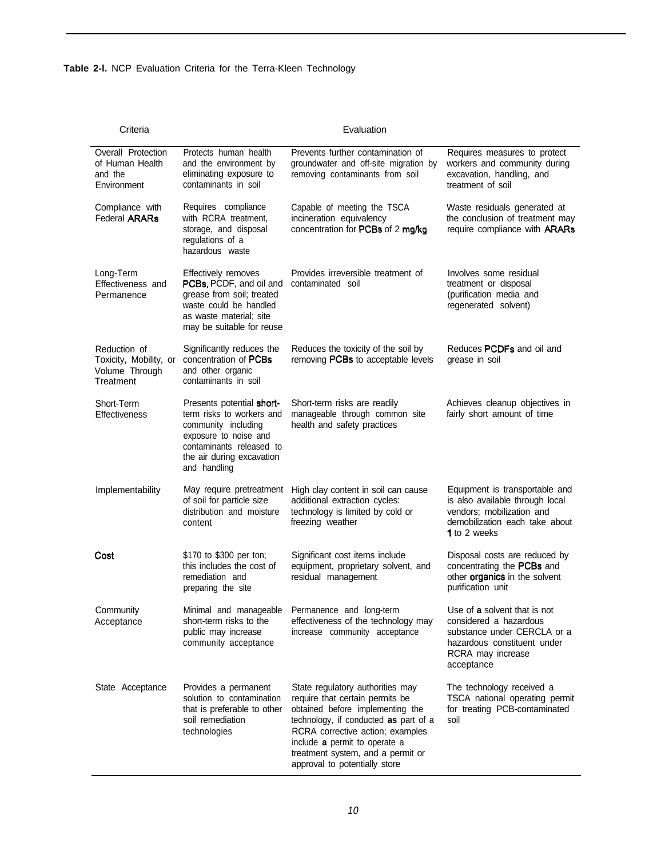| Criteria                                                              | Evaluation                                                                                                                                                                      |                                                                                                                                                                                                                                                                                             |                                                                                                                                                         |  |
|-----------------------------------------------------------------------|---------------------------------------------------------------------------------------------------------------------------------------------------------------------------------|---------------------------------------------------------------------------------------------------------------------------------------------------------------------------------------------------------------------------------------------------------------------------------------------|---------------------------------------------------------------------------------------------------------------------------------------------------------|--|
| Overall Protection<br>of Human Health<br>and the<br>Environment       | Protects human health<br>and the environment by<br>eliminating exposure to<br>contaminants in soil                                                                              | Prevents further contamination of<br>groundwater and off-site migration by<br>removing contaminants from soil                                                                                                                                                                               | Requires measures to protect<br>workers and community during<br>excavation, handling, and<br>treatment of soil                                          |  |
| Compliance with<br><b>Federal ARARs</b>                               | Requires compliance<br>with RCRA treatment,<br>storage, and disposal<br>regulations of a<br>hazardous waste                                                                     | Capable of meeting the TSCA<br>incineration equivalency<br>concentration for PCBs of 2 mg/kg                                                                                                                                                                                                | Waste residuals generated at<br>the conclusion of treatment may<br>require compliance with <b>ARARs</b>                                                 |  |
| Long-Term<br>Effectiveness and<br>Permanence                          | Effectively removes<br>PCBs, PCDF, and oil and<br>grease from soil; treated<br>waste could be handled<br>as waste material; site<br>may be suitable for reuse                   | Provides irreversible treatment of<br>contaminated soil                                                                                                                                                                                                                                     | Involves some residual<br>treatment or disposal<br>(purification media and<br>regenerated solvent)                                                      |  |
| Reduction of<br>Toxicity, Mobility, or<br>Volume Through<br>Treatment | Significantly reduces the<br>concentration of PCBs<br>and other organic<br>contaminants in soil                                                                                 | Reduces the toxicity of the soil by<br>removing PCBs to acceptable levels                                                                                                                                                                                                                   | Reduces <b>PCDFs</b> and oil and<br>grease in soil                                                                                                      |  |
| Short-Term<br>Effectiveness                                           | Presents potential short-<br>term risks to workers and<br>community including<br>exposure to noise and<br>contaminants released to<br>the air during excavation<br>and handling | Short-term risks are readily<br>manageable through common site<br>health and safety practices                                                                                                                                                                                               | Achieves cleanup objectives in<br>fairly short amount of time                                                                                           |  |
| Implementability                                                      | May require pretreatment<br>of soil for particle size<br>distribution and moisture<br>content                                                                                   | High clay content in soil can cause<br>additional extraction cycles:<br>technology is limited by cold or<br>freezing weather                                                                                                                                                                | Equipment is transportable and<br>is also available through local<br>vendors; mobilization and<br>demobilization each take about<br>1 to 2 weeks        |  |
| Cost                                                                  | \$170 to \$300 per ton;<br>this includes the cost of<br>remediation and<br>preparing the site                                                                                   | Significant cost items include<br>equipment, proprietary solvent, and<br>residual management                                                                                                                                                                                                | Disposal costs are reduced by<br>concentrating the PCBs and<br>other organics in the solvent<br>purification unit                                       |  |
| Community<br>Acceptance                                               | Minimal and manageable<br>short-term risks to the<br>public may increase<br>community acceptance                                                                                | Permanence and long-term<br>effectiveness of the technology may<br>increase community acceptance                                                                                                                                                                                            | Use of a solvent that is not<br>considered a hazardous<br>substance under CERCLA or a<br>hazardous constituent under<br>RCRA may increase<br>acceptance |  |
| State Acceptance                                                      | Provides a permanent<br>solution to contamination<br>that is preferable to other<br>soil remediation<br>technologies                                                            | State regulatory authorities may<br>require that certain permits be<br>obtained before implementing the<br>technology, if conducted as part of a<br>RCRA corrective action; examples<br>include a permit to operate a<br>treatment system, and a permit or<br>approval to potentially store | The technology received a<br>TSCA national operating permit<br>for treating PCB-contaminated<br>soil                                                    |  |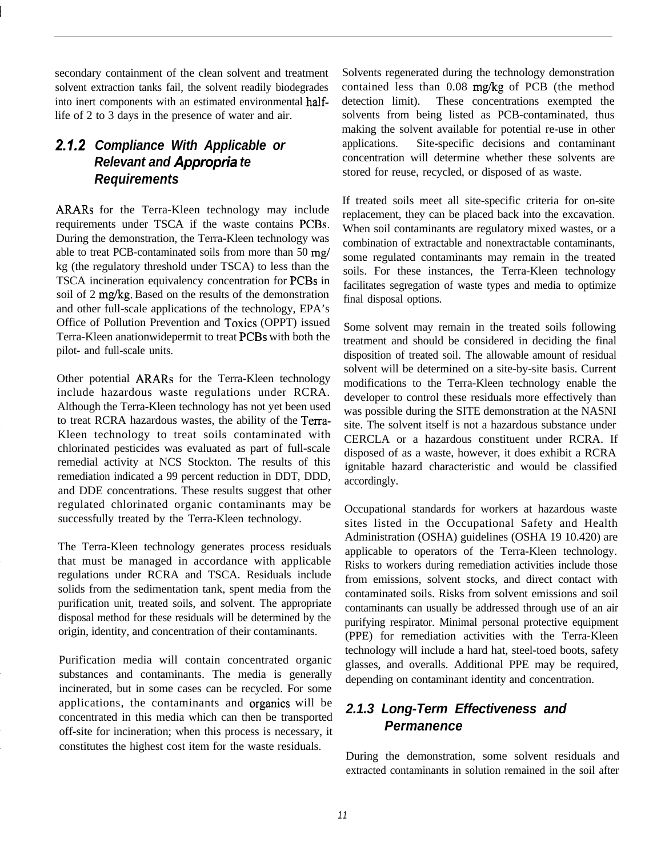secondary containment of the clean solvent and treatment solvent extraction tanks fail, the solvent readily biodegrades into inert components with an estimated environmental halflife of 2 to 3 days in the presence of water and air.

# *2.1.2 Compliance With Applicable or Relevant and Appropria te Requirements*

ARARs for the Terra-Kleen technology may include requirements under TSCA if the waste contains PCBs. During the demonstration, the Terra-Kleen technology was able to treat PCB-contaminated soils from more than 50 mg/ kg (the regulatory threshold under TSCA) to less than the TSCA incineration equivalency concentration for PCBs in soil of 2 mg/kg. Based on the results of the demonstration and other full-scale applications of the technology, EPA's Office of Pollution Prevention and Toxics (OPPT) issued Terra-Kleen anationwidepermit to treat PCBs with both the pilot- and full-scale units.

Other potential ARARs for the Terra-Kleen technology include hazardous waste regulations under RCRA. Although the Terra-Kleen technology has not yet been used to treat RCRA hazardous wastes, the ability of the Terra-Kleen technology to treat soils contaminated with chlorinated pesticides was evaluated as part of full-scale remedial activity at NCS Stockton. The results of this remediation indicated a 99 percent reduction in DDT, DDD, and DDE concentrations. These results suggest that other regulated chlorinated organic contaminants may be successfully treated by the Terra-Kleen technology.

The Terra-Kleen technology generates process residuals that must be managed in accordance with applicable regulations under RCRA and TSCA. Residuals include solids from the sedimentation tank, spent media from the purification unit, treated soils, and solvent. The appropriate disposal method for these residuals will be determined by the origin, identity, and concentration of their contaminants.

Purification media will contain concentrated organic substances and contaminants. The media is generally incinerated, but in some cases can be recycled. For some applications, the contaminants and organics will be concentrated in this media which can then be transported off-site for incineration; when this process is necessary, it constitutes the highest cost item for the waste residuals.

Solvents regenerated during the technology demonstration contained less than 0.08 mg/kg of PCB (the method detection limit). These concentrations exempted the solvents from being listed as PCB-contaminated, thus making the solvent available for potential re-use in other applications. Site-specific decisions and contaminant concentration will determine whether these solvents are stored for reuse, recycled, or disposed of as waste.

If treated soils meet all site-specific criteria for on-site replacement, they can be placed back into the excavation. When soil contaminants are regulatory mixed wastes, or a combination of extractable and nonextractable contaminants, some regulated contaminants may remain in the treated soils. For these instances, the Terra-Kleen technology facilitates segregation of waste types and media to optimize final disposal options.

Some solvent may remain in the treated soils following treatment and should be considered in deciding the final disposition of treated soil. The allowable amount of residual solvent will be determined on a site-by-site basis. Current modifications to the Terra-Kleen technology enable the developer to control these residuals more effectively than was possible during the SITE demonstration at the NASNI site. The solvent itself is not a hazardous substance under CERCLA or a hazardous constituent under RCRA. If disposed of as a waste, however, it does exhibit a RCRA ignitable hazard characteristic and would be classified accordingly.

Occupational standards for workers at hazardous waste sites listed in the Occupational Safety and Health Administration (OSHA) guidelines (OSHA 19 10.420) are applicable to operators of the Terra-Kleen technology. Risks to workers during remediation activities include those from emissions, solvent stocks, and direct contact with contaminated soils. Risks from solvent emissions and soil contaminants can usually be addressed through use of an air purifying respirator. Minimal personal protective equipment (PPE) for remediation activities with the Terra-Kleen technology will include a hard hat, steel-toed boots, safety glasses, and overalls. Additional PPE may be required, depending on contaminant identity and concentration.

# *2.1.3 Long-Term Effectiveness and Permanence*

During the demonstration, some solvent residuals and extracted contaminants in solution remained in the soil after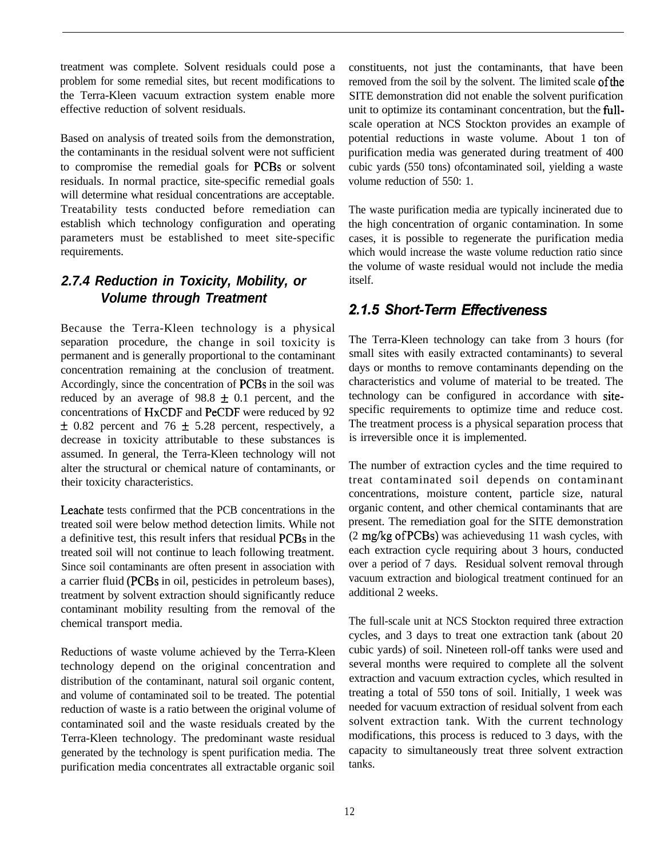treatment was complete. Solvent residuals could pose a problem for some remedial sites, but recent modifications to the Terra-Kleen vacuum extraction system enable more effective reduction of solvent residuals.

Based on analysis of treated soils from the demonstration, the contaminants in the residual solvent were not sufficient to compromise the remedial goals for PCBs or solvent residuals. In normal practice, site-specific remedial goals will determine what residual concentrations are acceptable. Treatability tests conducted before remediation can establish which technology configuration and operating parameters must be established to meet site-specific requirements.

# *2.7.4 Reduction in Toxicity, Mobility, or Volume through Treatment*

Because the Terra-Kleen technology is a physical separation procedure, the change in soil toxicity is permanent and is generally proportional to the contaminant concentration remaining at the conclusion of treatment. Accordingly, since the concentration of PCBs in the soil was reduced by an average of  $98.8 \pm 0.1$  percent, and the concentrations of HxCDF and PeCDF were reduced by 92  $\pm$  0.82 percent and 76  $\pm$  5.28 percent, respectively, a decrease in toxicity attributable to these substances is assumed. In general, the Terra-Kleen technology will not alter the structural or chemical nature of contaminants, or their toxicity characteristics.

Leachate tests confirmed that the PCB concentrations in the treated soil were below method detection limits. While not a definitive test, this result infers that residual PCBs in the treated soil will not continue to leach following treatment. Since soil contaminants are often present in association with a carrier fluid (PCBs in oil, pesticides in petroleum bases), treatment by solvent extraction should significantly reduce contaminant mobility resulting from the removal of the chemical transport media.

Reductions of waste volume achieved by the Terra-Kleen technology depend on the original concentration and distribution of the contaminant, natural soil organic content, and volume of contaminated soil to be treated. The potential reduction of waste is a ratio between the original volume of contaminated soil and the waste residuals created by the Terra-Kleen technology. The predominant waste residual generated by the technology is spent purification media. The purification media concentrates all extractable organic soil constituents, not just the contaminants, that have been removed from the soil by the solvent. The limited scale of the SITE demonstration did not enable the solvent purification unit to optimize its contaminant concentration, but the fullscale operation at NCS Stockton provides an example of potential reductions in waste volume. About 1 ton of purification media was generated during treatment of 400 cubic yards (550 tons) ofcontaminated soil, yielding a waste volume reduction of 550: 1.

The waste purification media are typically incinerated due to the high concentration of organic contamination. In some cases, it is possible to regenerate the purification media which would increase the waste volume reduction ratio since the volume of waste residual would not include the media itself.

# *2.7.5 Shod-Term EtFectiveness*

The Terra-Kleen technology can take from 3 hours (for small sites with easily extracted contaminants) to several days or months to remove contaminants depending on the characteristics and volume of material to be treated. The technology can be configured in accordance with sitespecific requirements to optimize time and reduce cost. The treatment process is a physical separation process that is irreversible once it is implemented.

The number of extraction cycles and the time required to treat contaminated soil depends on contaminant concentrations, moisture content, particle size, natural organic content, and other chemical contaminants that are present. The remediation goal for the SITE demonstration (2 mg/kg ofPCBs) was achievedusing 11 wash cycles, with each extraction cycle requiring about 3 hours, conducted over a period of 7 days. Residual solvent removal through vacuum extraction and biological treatment continued for an additional 2 weeks.

The full-scale unit at NCS Stockton required three extraction cycles, and 3 days to treat one extraction tank (about 20 cubic yards) of soil. Nineteen roll-off tanks were used and several months were required to complete all the solvent extraction and vacuum extraction cycles, which resulted in treating a total of 550 tons of soil. Initially, 1 week was needed for vacuum extraction of residual solvent from each solvent extraction tank. With the current technology modifications, this process is reduced to 3 days, with the capacity to simultaneously treat three solvent extraction tanks.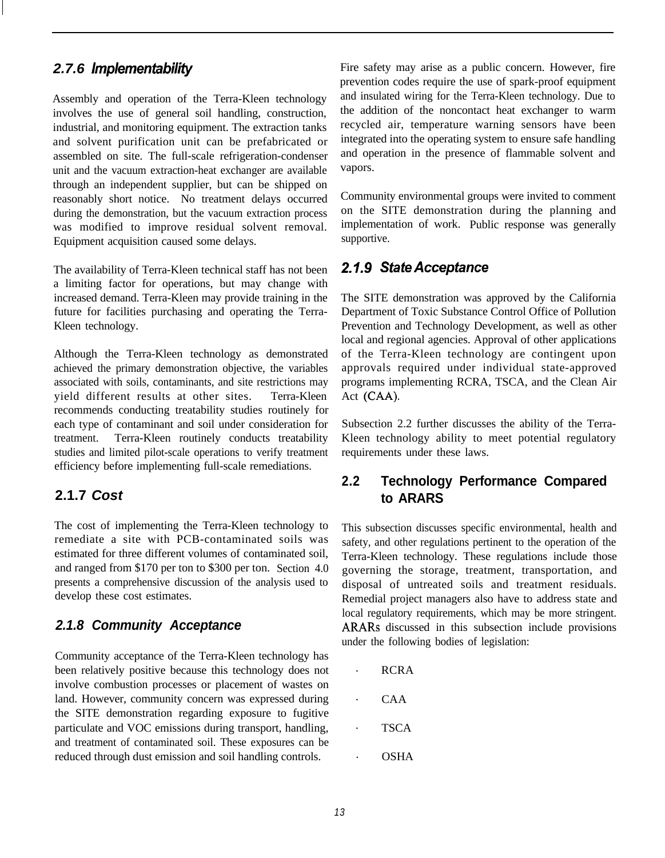#### *2.7.6 lmplementabihty*

Assembly and operation of the Terra-Kleen technology involves the use of general soil handling, construction, industrial, and monitoring equipment. The extraction tanks and solvent purification unit can be prefabricated or assembled on site. The full-scale refrigeration-condenser unit and the vacuum extraction-heat exchanger are available through an independent supplier, but can be shipped on reasonably short notice. No treatment delays occurred during the demonstration, but the vacuum extraction process was modified to improve residual solvent removal. Equipment acquisition caused some delays.

The availability of Terra-Kleen technical staff has not been a limiting factor for operations, but may change with increased demand. Terra-Kleen may provide training in the future for facilities purchasing and operating the Terra-Kleen technology.

Although the Terra-Kleen technology as demonstrated achieved the primary demonstration objective, the variables associated with soils, contaminants, and site restrictions may yield different results at other sites. Terra-Kleen recommends conducting treatability studies routinely for each type of contaminant and soil under consideration for treatment. Terra-Kleen routinely conducts treatability studies and limited pilot-scale operations to verify treatment efficiency before implementing full-scale remediations.

#### **2.1.7** *Cost*

The cost of implementing the Terra-Kleen technology to remediate a site with PCB-contaminated soils was estimated for three different volumes of contaminated soil, and ranged from \$170 per ton to \$300 per ton. Section 4.0 presents a comprehensive discussion of the analysis used to develop these cost estimates.

#### *2.1.8 Community Acceptance*

Community acceptance of the Terra-Kleen technology has been relatively positive because this technology does not involve combustion processes or placement of wastes on land. However, community concern was expressed during the SITE demonstration regarding exposure to fugitive particulate and VOC emissions during transport, handling, and treatment of contaminated soil. These exposures can be reduced through dust emission and soil handling controls.

Fire safety may arise as a public concern. However, fire prevention codes require the use of spark-proof equipment and insulated wiring for the Terra-Kleen technology. Due to the addition of the noncontact heat exchanger to warm recycled air, temperature warning sensors have been integrated into the operating system to ensure safe handling and operation in the presence of flammable solvent and vapors.

Community environmental groups were invited to comment on the SITE demonstration during the planning and implementation of work. Public response was generally supportive.

# *2.f.9 StateAcceptance*

The SITE demonstration was approved by the California Department of Toxic Substance Control Office of Pollution Prevention and Technology Development, as well as other local and regional agencies. Approval of other applications of the Terra-Kleen technology are contingent upon approvals required under individual state-approved programs implementing RCRA, TSCA, and the Clean Air Act (CAA).

Subsection 2.2 further discusses the ability of the Terra-Kleen technology ability to meet potential regulatory requirements under these laws.

# **2.2 Technology Performance Compared to ARARS**

This subsection discusses specific environmental, health and safety, and other regulations pertinent to the operation of the Terra-Kleen technology. These regulations include those governing the storage, treatment, transportation, and disposal of untreated soils and treatment residuals. Remedial project managers also have to address state and local regulatory requirements, which may be more stringent. ARARs discussed in this subsection include provisions under the following bodies of legislation:

- . RCRA
- . CAA
- . TSCA
- . OSHA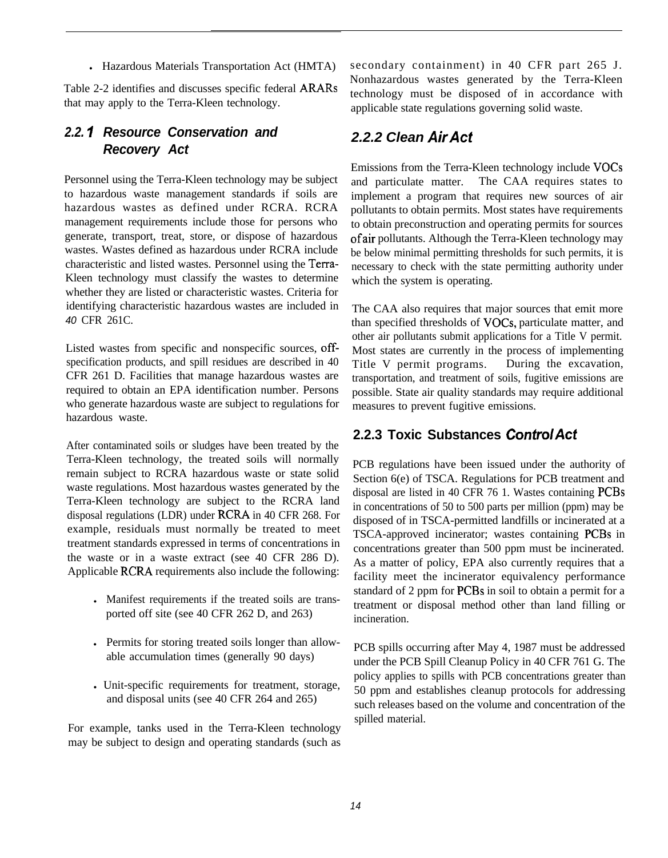• Hazardous Materials Transportation Act (HMTA)

Table 2-2 identifies and discusses specific federal ARARs that may apply to the Terra-Kleen technology.

#### *2.2. I Resource Conservation and Recovery Act*

Personnel using the Terra-Kleen technology may be subject to hazardous waste management standards if soils are hazardous wastes as defined under RCRA. RCRA management requirements include those for persons who generate, transport, treat, store, or dispose of hazardous wastes. Wastes defined as hazardous under RCRA include characteristic and listed wastes. Personnel using the Terra-Kleen technology must classify the wastes to determine whether they are listed or characteristic wastes. Criteria for identifying characteristic hazardous wastes are included in *40* CFR 261C.

Listed wastes from specific and nonspecific sources, offspecification products, and spill residues are described in 40 CFR 261 D. Facilities that manage hazardous wastes are required to obtain an EPA identification number. Persons who generate hazardous waste are subject to regulations for hazardous waste.

After contaminated soils or sludges have been treated by the Terra-Kleen technology, the treated soils will normally remain subject to RCRA hazardous waste or state solid waste regulations. Most hazardous wastes generated by the Terra-Kleen technology are subject to the RCRA land disposal regulations (LDR) under RCRA in 40 CFR 268. For example, residuals must normally be treated to meet treatment standards expressed in terms of concentrations in the waste or in a waste extract (see 40 CFR 286 D). Applicable RCRA requirements also include the following:

- Manifest requirements if the treated soils are transported off site (see 40 CFR 262 D, and 263)
- In Permits for storing treated soils longer than allowable accumulation times (generally 90 days)
- Unit-specific requirements for treatment, storage, and disposal units (see 40 CFR 264 and 265)

For example, tanks used in the Terra-Kleen technology may be subject to design and operating standards (such as

secondary containment) in 40 CFR part 265 J. Nonhazardous wastes generated by the Terra-Kleen technology must be disposed of in accordance with applicable state regulations governing solid waste.

# *2.2.2 Clean AirAct*

Emissions from the Terra-Kleen technology include VOCs and particulate matter. The CAA requires states to implement a program that requires new sources of air pollutants to obtain permits. Most states have requirements to obtain preconstruction and operating permits for sources ofair pollutants. Although the Terra-Kleen technology may be below minimal permitting thresholds for such permits, it is necessary to check with the state permitting authority under which the system is operating.

The CAA also requires that major sources that emit more than specified thresholds of VOCs, particulate matter, and other air pollutants submit applications for a Title V permit. Most states are currently in the process of implementing Title V permit programs. During the excavation, transportation, and treatment of soils, fugitive emissions are possible. State air quality standards may require additional measures to prevent fugitive emissions.

# **2.2.3 Toxic Substances ControlAct**

PCB regulations have been issued under the authority of Section 6(e) of TSCA. Regulations for PCB treatment and disposal are listed in 40 CFR 76 1. Wastes containing PCBs in concentrations of 50 to 500 parts per million (ppm) may be disposed of in TSCA-permitted landfills or incinerated at a TSCA-approved incinerator; wastes containing PCBs in concentrations greater than 500 ppm must be incinerated. As a matter of policy, EPA also currently requires that a facility meet the incinerator equivalency performance standard of 2 ppm for **PCBs** in soil to obtain a permit for a treatment or disposal method other than land filling or incineration.

PCB spills occurring after May 4, 1987 must be addressed under the PCB Spill Cleanup Policy in 40 CFR 761 G. The policy applies to spills with PCB concentrations greater than 50 ppm and establishes cleanup protocols for addressing such releases based on the volume and concentration of the spilled material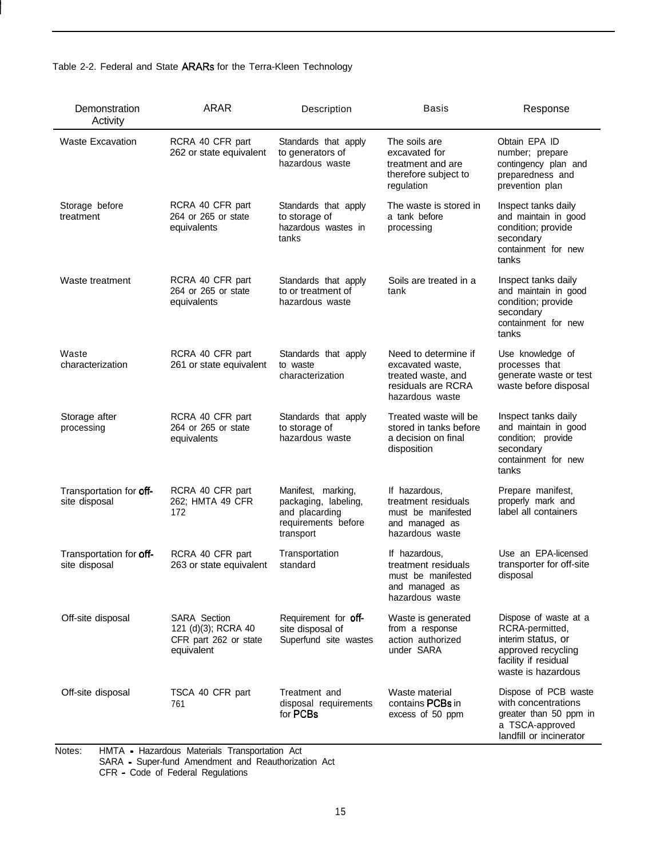|  |  | Table 2-2. Federal and State ARARs for the Terra-Kleen Technology |  |  |
|--|--|-------------------------------------------------------------------|--|--|
|--|--|-------------------------------------------------------------------|--|--|

| Demonstration<br>Activity                | <b>ARAR</b>                                                                       | Description                                                                                      | <b>Basis</b>                                                                                            | Response                                                                                                                           |
|------------------------------------------|-----------------------------------------------------------------------------------|--------------------------------------------------------------------------------------------------|---------------------------------------------------------------------------------------------------------|------------------------------------------------------------------------------------------------------------------------------------|
| <b>Waste Excavation</b>                  | RCRA 40 CFR part<br>262 or state equivalent                                       | Standards that apply<br>to generators of<br>hazardous waste                                      | The soils are<br>excavated for<br>treatment and are<br>therefore subject to<br>regulation               | Obtain EPA ID<br>number; prepare<br>contingency plan and<br>preparedness and<br>prevention plan                                    |
| Storage before<br>treatment              | RCRA 40 CFR part<br>264 or 265 or state<br>equivalents                            | Standards that apply<br>to storage of<br>hazardous wastes in<br>tanks                            | The waste is stored in<br>a tank before<br>processing                                                   | Inspect tanks daily<br>and maintain in good<br>condition; provide<br>secondary<br>containment for new<br>tanks                     |
| Waste treatment                          | RCRA 40 CFR part<br>264 or 265 or state<br>equivalents                            | Standards that apply<br>to or treatment of<br>hazardous waste                                    | Soils are treated in a<br>tank                                                                          | Inspect tanks daily<br>and maintain in good<br>condition; provide<br>secondary<br>containment for new<br>tanks                     |
| Waste<br>characterization                | RCRA 40 CFR part<br>261 or state equivalent                                       | Standards that apply<br>to waste<br>characterization                                             | Need to determine if<br>excavated waste,<br>treated waste, and<br>residuals are RCRA<br>hazardous waste | Use knowledge of<br>processes that<br>generate waste or test<br>waste before disposal                                              |
| Storage after<br>processing              | RCRA 40 CFR part<br>264 or 265 or state<br>equivalents                            | Standards that apply<br>to storage of<br>hazardous waste                                         | Treated waste will be<br>stored in tanks before<br>a decision on final<br>disposition                   | Inspect tanks daily<br>and maintain in good<br>condition; provide<br>secondary<br>containment for new<br>tanks                     |
| Transportation for off-<br>site disposal | RCRA 40 CFR part<br>262; HMTA 49 CFR<br>172                                       | Manifest, marking,<br>packaging, labeling,<br>and placarding<br>requirements before<br>transport | If hazardous,<br>treatment residuals<br>must be manifested<br>and managed as<br>hazardous waste         | Prepare manifest,<br>properly mark and<br>label all containers                                                                     |
| Transportation for off-<br>site disposal | RCRA 40 CFR part<br>263 or state equivalent                                       | Transportation<br>standard                                                                       | If hazardous,<br>treatment residuals<br>must be manifested<br>and managed as<br>hazardous waste         | Use an EPA-licensed<br>transporter for off-site<br>disposal                                                                        |
| Off-site disposal                        | <b>SARA Section</b><br>121 (d)(3); RCRA 40<br>CFR part 262 or state<br>equivalent | Requirement for off-<br>site disposal of<br>Superfund site wastes                                | Waste is generated<br>from a response<br>action authorized<br>under SARA                                | Dispose of waste at a<br>RCRA-permitted,<br>interim status, or<br>approved recycling<br>facility if residual<br>waste is hazardous |
| Off-site disposal                        | TSCA 40 CFR part<br>761                                                           | Treatment and<br>disposal requirements<br>for PCBs                                               | Waste material<br>contains <b>PCBs</b> in<br>excess of 50 ppm                                           | Dispose of PCB waste<br>with concentrations<br>greater than 50 ppm in<br>a TSCA-approved<br>landfill or incinerator                |

Notes: HMTA - Hazardous Materials Transportation Act

SARA - Super-fund Amendment and Reauthorization Act

CFR - Code of Federal Regulations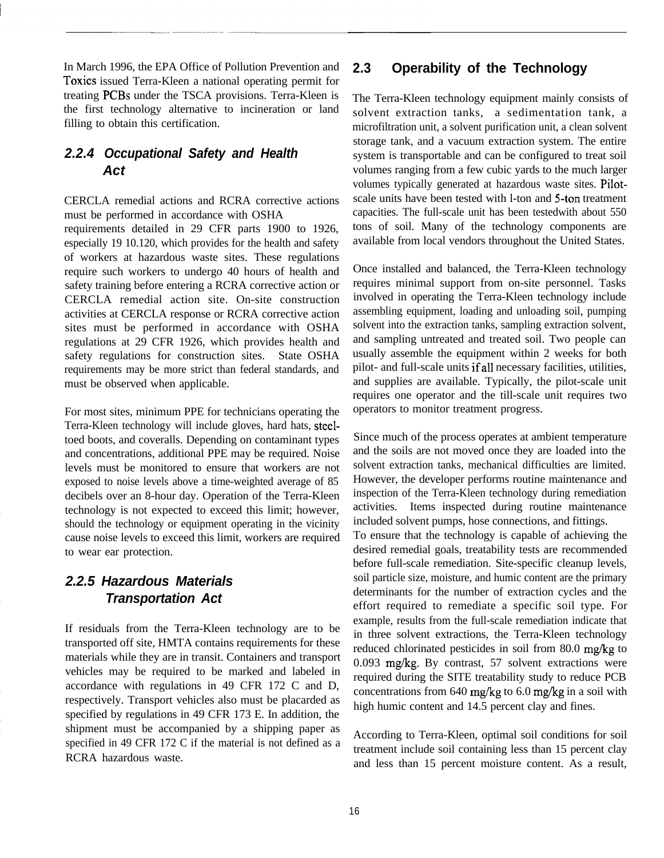In March 1996, the EPA Office of Pollution Prevention and Toxics issued Terra-Kleen a national operating permit for treating PCBs under the TSCA provisions. Terra-Kleen is the first technology alternative to incineration or land filling to obtain this certification.

# *2.2.4 Occupational Safety and Health Act*

CERCLA remedial actions and RCRA corrective actions must be performed in accordance with OSHA

requirements detailed in 29 CFR parts 1900 to 1926, especially 19 10.120, which provides for the health and safety of workers at hazardous waste sites. These regulations require such workers to undergo 40 hours of health and safety training before entering a RCRA corrective action or CERCLA remedial action site. On-site construction activities at CERCLA response or RCRA corrective action sites must be performed in accordance with OSHA regulations at 29 CFR 1926, which provides health and safety regulations for construction sites. State OSHA requirements may be more strict than federal standards, and must be observed when applicable.

For most sites, minimum PPE for technicians operating the Terra-Kleen technology will include gloves, hard hats, steeltoed boots, and coveralls. Depending on contaminant types and concentrations, additional PPE may be required. Noise levels must be monitored to ensure that workers are not exposed to noise levels above a time-weighted average of 85 decibels over an 8-hour day. Operation of the Terra-Kleen technology is not expected to exceed this limit; however, should the technology or equipment operating in the vicinity cause noise levels to exceed this limit, workers are required to wear ear protection.

#### *2.2.5 Hazardous Materials Transportation Act*

If residuals from the Terra-Kleen technology are to be transported off site, HMTA contains requirements for these materials while they are in transit. Containers and transport vehicles may be required to be marked and labeled in accordance with regulations in 49 CFR 172 C and D, respectively. Transport vehicles also must be placarded as specified by regulations in 49 CFR 173 E. In addition, the shipment must be accompanied by a shipping paper as specified in 49 CFR 172 C if the material is not defined as a RCRA hazardous waste.

#### **2.3 Operability of the Technology**

The Terra-Kleen technology equipment mainly consists of solvent extraction tanks, a sedimentation tank, a microfiltration unit, a solvent purification unit, a clean solvent storage tank, and a vacuum extraction system. The entire system is transportable and can be configured to treat soil volumes ranging from a few cubic yards to the much larger volumes typically generated at hazardous waste sites. Pilotscale units have been tested with l-ton and 5-ton treatment capacities. The full-scale unit has been testedwith about 550 tons of soil. Many of the technology components are available from local vendors throughout the United States.

Once installed and balanced, the Terra-Kleen technology requires minimal support from on-site personnel. Tasks involved in operating the Terra-Kleen technology include assembling equipment, loading and unloading soil, pumping solvent into the extraction tanks, sampling extraction solvent, and sampling untreated and treated soil. Two people can usually assemble the equipment within 2 weeks for both pilot- and full-scale units ifall necessary facilities, utilities, and supplies are available. Typically, the pilot-scale unit requires one operator and the till-scale unit requires two operators to monitor treatment progress.

Since much of the process operates at ambient temperature and the soils are not moved once they are loaded into the solvent extraction tanks, mechanical difficulties are limited. However, the developer performs routine maintenance and inspection of the Terra-Kleen technology during remediation activities. Items inspected during routine maintenance included solvent pumps, hose connections, and fittings. To ensure that the technology is capable of achieving the desired remedial goals, treatability tests are recommended before full-scale remediation. Site-specific cleanup levels, soil particle size, moisture, and humic content are the primary determinants for the number of extraction cycles and the effort required to remediate a specific soil type. For example, results from the full-scale remediation indicate that in three solvent extractions, the Terra-Kleen technology reduced chlorinated pesticides in soil from 80.0 mg/kg to  $0.093$  mg/kg. By contrast, 57 solvent extractions were required during the SITE treatability study to reduce PCB concentrations from 640 mg/kg to 6.0 mg/kg in a soil with high humic content and 14.5 percent clay and fines.

According to Terra-Kleen, optimal soil conditions for soil treatment include soil containing less than 15 percent clay and less than 15 percent moisture content. As a result,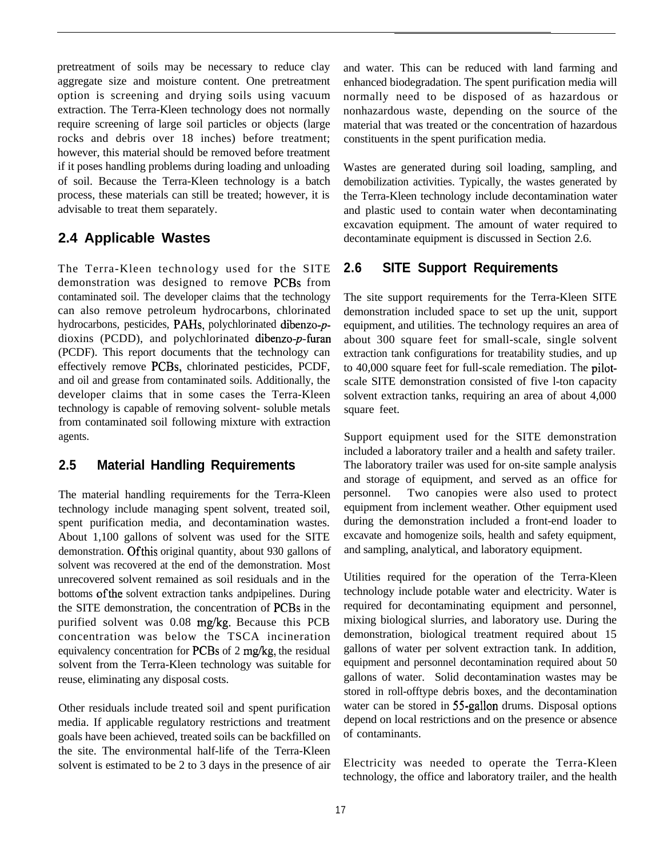pretreatment of soils may be necessary to reduce clay aggregate size and moisture content. One pretreatment option is screening and drying soils using vacuum extraction. The Terra-Kleen technology does not normally require screening of large soil particles or objects (large rocks and debris over 18 inches) before treatment; however, this material should be removed before treatment if it poses handling problems during loading and unloading of soil. Because the Terra-Kleen technology is a batch process, these materials can still be treated; however, it is advisable to treat them separately.

#### **2.4 Applicable Wastes**

The Terra-Kleen technology used for the SITE demonstration was designed to remove PCBs from contaminated soil. The developer claims that the technology can also remove petroleum hydrocarbons, chlorinated hydrocarbons, pesticides, PAHs, polychlorinated dibenzo-pdioxins (PCDD), and polychlorinated dibenzo-p-furan (PCDF). This report documents that the technology can effectively remove PCBs, chlorinated pesticides, PCDF, and oil and grease from contaminated soils. Additionally, the developer claims that in some cases the Terra-Kleen technology is capable of removing solvent- soluble metals from contaminated soil following mixture with extraction agents.

#### **2.5 Material Handling Requirements**

The material handling requirements for the Terra-Kleen technology include managing spent solvent, treated soil, spent purification media, and decontamination wastes. About 1,100 gallons of solvent was used for the SITE demonstration. Ofthis original quantity, about 930 gallons of solvent was recovered at the end of the demonstration. Most unrecovered solvent remained as soil residuals and in the bottoms ofthe solvent extraction tanks andpipelines. During the SITE demonstration, the concentration of PCBs in the purified solvent was 0.08 mg/kg. Because this PCB concentration was below the TSCA incineration equivalency concentration for PCBs of 2 mg/kg, the residual solvent from the Terra-Kleen technology was suitable for reuse, eliminating any disposal costs.

Other residuals include treated soil and spent purification media. If applicable regulatory restrictions and treatment goals have been achieved, treated soils can be backfilled on the site. The environmental half-life of the Terra-Kleen solvent is estimated to be 2 to 3 days in the presence of air

and water. This can be reduced with land farming and enhanced biodegradation. The spent purification media will normally need to be disposed of as hazardous or nonhazardous waste, depending on the source of the material that was treated or the concentration of hazardous constituents in the spent purification media.

Wastes are generated during soil loading, sampling, and demobilization activities. Typically, the wastes generated by the Terra-Kleen technology include decontamination water and plastic used to contain water when decontaminating excavation equipment. The amount of water required to decontaminate equipment is discussed in Section 2.6.

#### **2.6 SITE Support Requirements**

The site support requirements for the Terra-Kleen SITE demonstration included space to set up the unit, support equipment, and utilities. The technology requires an area of about 300 square feet for small-scale, single solvent extraction tank configurations for treatability studies, and up to 40,000 square feet for full-scale remediation. The pilotscale SITE demonstration consisted of five l-ton capacity solvent extraction tanks, requiring an area of about 4,000 square feet.

Support equipment used for the SITE demonstration included a laboratory trailer and a health and safety trailer. The laboratory trailer was used for on-site sample analysis and storage of equipment, and served as an office for personnel. Two canopies were also used to protect equipment from inclement weather. Other equipment used during the demonstration included a front-end loader to excavate and homogenize soils, health and safety equipment, and sampling, analytical, and laboratory equipment.

Utilities required for the operation of the Terra-Kleen technology include potable water and electricity. Water is required for decontaminating equipment and personnel, mixing biological slurries, and laboratory use. During the demonstration, biological treatment required about 15 gallons of water per solvent extraction tank. In addition, equipment and personnel decontamination required about 50 gallons of water. Solid decontamination wastes may be stored in roll-offtype debris boxes, and the decontamination water can be stored in 55-gallon drums. Disposal options depend on local restrictions and on the presence or absence of contaminants.

Electricity was needed to operate the Terra-Kleen technology, the office and laboratory trailer, and the health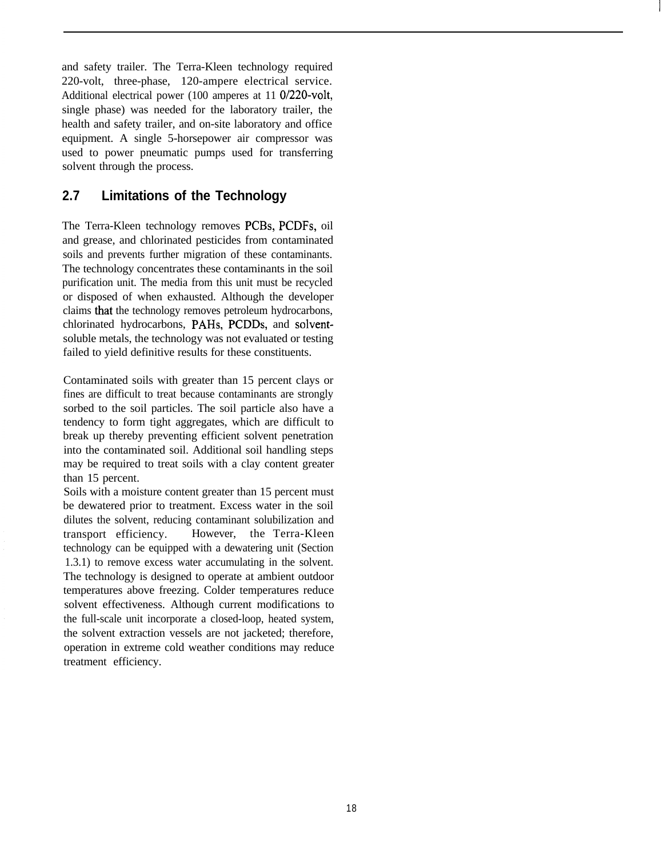and safety trailer. The Terra-Kleen technology required 220-volt, three-phase, 120-ampere electrical service. Additional electrical power (100 amperes at 11 O/220-volt, single phase) was needed for the laboratory trailer, the health and safety trailer, and on-site laboratory and office equipment. A single 5-horsepower air compressor was used to power pneumatic pumps used for transferring solvent through the process.

## **2.7 Limitations of the Technology**

The Terra-Kleen technology removes PCBs, PCDFs, oil and grease, and chlorinated pesticides from contaminated soils and prevents further migration of these contaminants. The technology concentrates these contaminants in the soil purification unit. The media from this unit must be recycled or disposed of when exhausted. Although the developer claims that the technology removes petroleum hydrocarbons, chlorinated hydrocarbons, PAHs, PCDDs, and solventsoluble metals, the technology was not evaluated or testing failed to yield definitive results for these constituents.

Contaminated soils with greater than 15 percent clays or fines are difficult to treat because contaminants are strongly sorbed to the soil particles. The soil particle also have a tendency to form tight aggregates, which are difficult to break up thereby preventing efficient solvent penetration into the contaminated soil. Additional soil handling steps may be required to treat soils with a clay content greater than 15 percent.

Soils with a moisture content greater than 15 percent must be dewatered prior to treatment. Excess water in the soil dilutes the solvent, reducing contaminant solubilization and transport efficiency. However, the Terra-Kleen technology can be equipped with a dewatering unit (Section 1.3.1) to remove excess water accumulating in the solvent. The technology is designed to operate at ambient outdoor temperatures above freezing. Colder temperatures reduce solvent effectiveness. Although current modifications to the full-scale unit incorporate a closed-loop, heated system, the solvent extraction vessels are not jacketed; therefore, operation in extreme cold weather conditions may reduce treatment efficiency.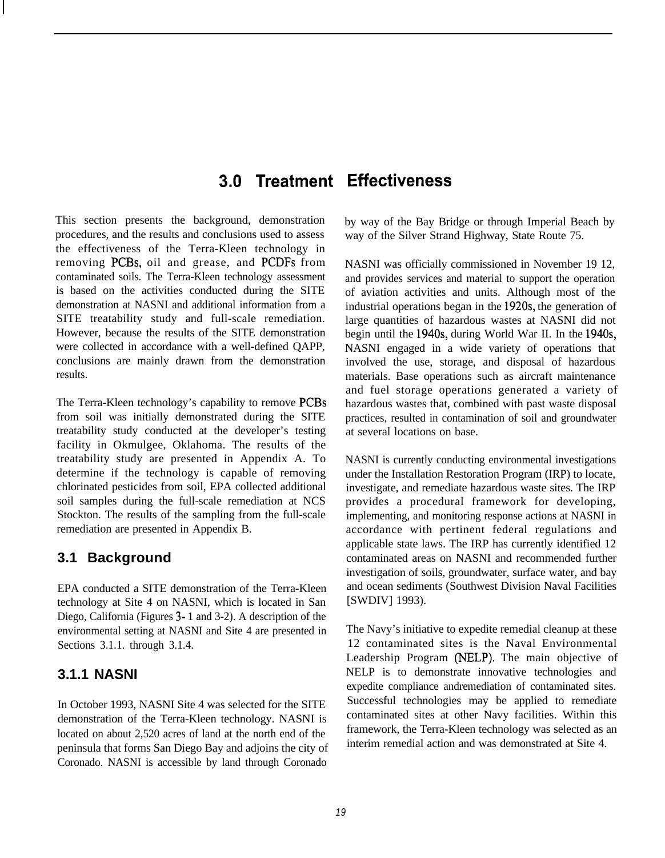# **3.0 Treatment Effectiveness**

This section presents the background, demonstration procedures, and the results and conclusions used to assess the effectiveness of the Terra-Kleen technology in removing PCBs, oil and grease, and PCDFs from contaminated soils. The Terra-Kleen technology assessment is based on the activities conducted during the SITE demonstration at NASNI and additional information from a SITE treatability study and full-scale remediation. However, because the results of the SITE demonstration were collected in accordance with a well-defined QAPP, conclusions are mainly drawn from the demonstration results.

The Terra-Kleen technology's capability to remove PCBs from soil was initially demonstrated during the SITE treatability study conducted at the developer's testing facility in Okmulgee, Oklahoma. The results of the treatability study are presented in Appendix A. To determine if the technology is capable of removing chlorinated pesticides from soil, EPA collected additional soil samples during the full-scale remediation at NCS Stockton. The results of the sampling from the full-scale remediation are presented in Appendix B.

# **3.1 Background**

EPA conducted a SITE demonstration of the Terra-Kleen technology at Site 4 on NASNI, which is located in San Diego, California (Figures 3- 1 and 3-2). A description of the environmental setting at NASNI and Site 4 are presented in Sections 3.1.1. through 3.1.4.

# **3.1.1 NASNI**

In October 1993, NASNI Site 4 was selected for the SITE demonstration of the Terra-Kleen technology. NASNI is located on about 2,520 acres of land at the north end of the peninsula that forms San Diego Bay and adjoins the city of Coronado. NASNI is accessible by land through Coronado

by way of the Bay Bridge or through Imperial Beach by way of the Silver Strand Highway, State Route 75.

NASNI was officially commissioned in November 19 12, and provides services and material to support the operation of aviation activities and units. Although most of the industrial operations began in the 1920s, the generation of large quantities of hazardous wastes at NASNI did not begin until the 194Os, during World War II. In the 194Os, NASNI engaged in a wide variety of operations that involved the use, storage, and disposal of hazardous materials. Base operations such as aircraft maintenance and fuel storage operations generated a variety of hazardous wastes that, combined with past waste disposal practices, resulted in contamination of soil and groundwater at several locations on base.

NASNI is currently conducting environmental investigations under the Installation Restoration Program (IRP) to locate, investigate, and remediate hazardous waste sites. The IRP provides a procedural framework for developing, implementing, and monitoring response actions at NASNI in accordance with pertinent federal regulations and applicable state laws. The IRP has currently identified 12 contaminated areas on NASNI and recommended further investigation of soils, groundwater, surface water, and bay and ocean sediments (Southwest Division Naval Facilities [SWDIV] 1993).

The Navy's initiative to expedite remedial cleanup at these 12 contaminated sites is the Naval Environmental Leadership Program (NELP). The main objective of NELP is to demonstrate innovative technologies and expedite compliance andremediation of contaminated sites. Successful technologies may be applied to remediate contaminated sites at other Navy facilities. Within this framework, the Terra-Kleen technology was selected as an interim remedial action and was demonstrated at Site 4.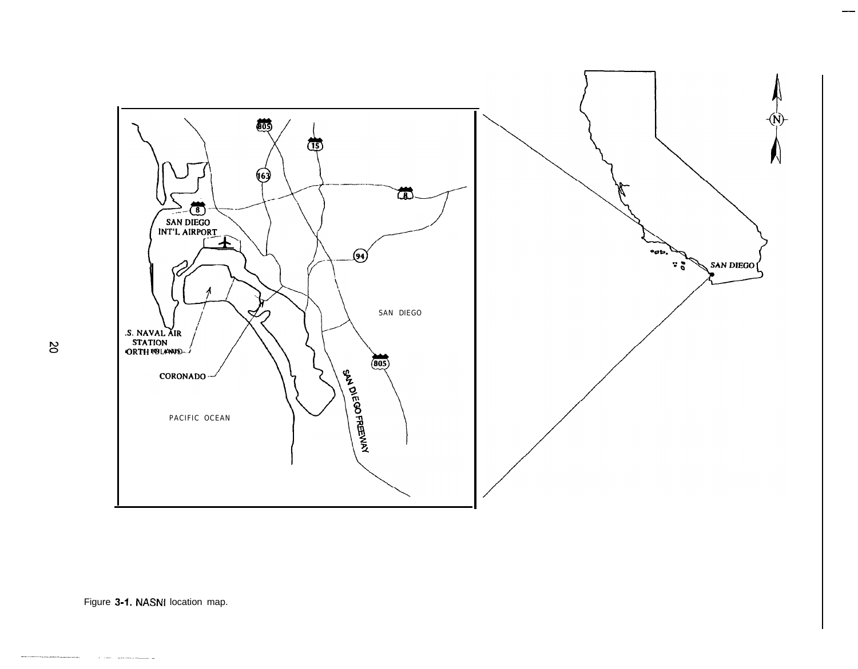

 $\infty$ 

Figure 3-1. NASNI location map.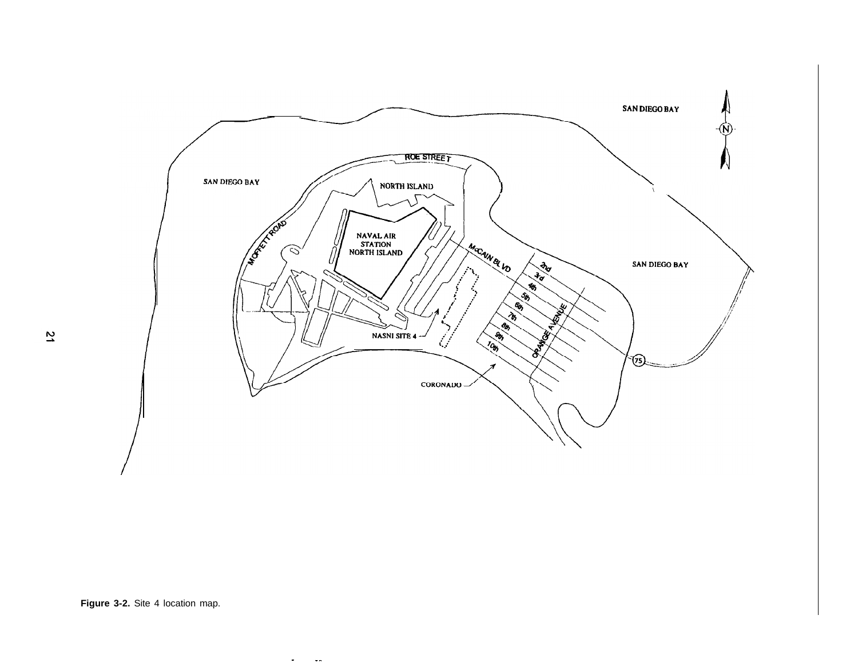

**Figure 3-2.** Site 4 location map.

 $\mathbf{r} = -\mathbf{r}$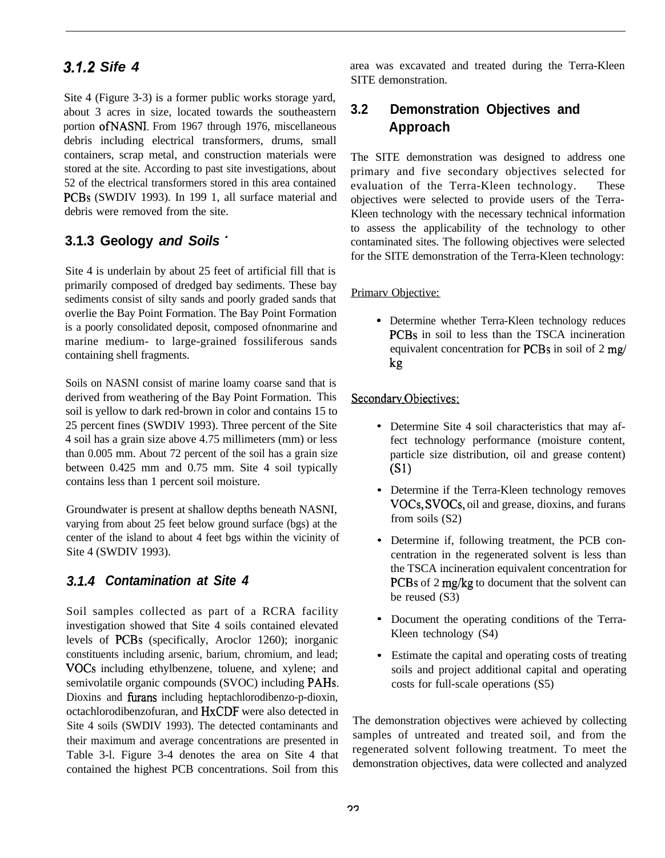# **3.1.2** *Sife 4*

Site 4 (Figure 3-3) is a former public works storage yard, about 3 acres in size, located towards the southeastern portion ofNASN1. From 1967 through 1976, miscellaneous debris including electrical transformers, drums, small containers, scrap metal, and construction materials were stored at the site. According to past site investigations, about 52 of the electrical transformers stored in this area contained PCBs (SWDIV 1993). In 199 1, all surface material and debris were removed from the site.

# **3.1.3 Geology** *and Soils '*

Site 4 is underlain by about 25 feet of artificial fill that is primarily composed of dredged bay sediments. These bay sediments consist of silty sands and poorly graded sands that overlie the Bay Point Formation. The Bay Point Formation is a poorly consolidated deposit, composed ofnonmarine and marine medium- to large-grained fossiliferous sands containing shell fragments.

Soils on NASNI consist of marine loamy coarse sand that is derived from weathering of the Bay Point Formation. This soil is yellow to dark red-brown in color and contains 15 to 25 percent fines (SWDIV 1993). Three percent of the Site 4 soil has a grain size above 4.75 millimeters (mm) or less than 0.005 mm. About 72 percent of the soil has a grain size between 0.425 mm and 0.75 mm. Site 4 soil typically contains less than 1 percent soil moisture.

Groundwater is present at shallow depths beneath NASNI, varying from about 25 feet below ground surface (bgs) at the center of the island to about 4 feet bgs within the vicinity of Site 4 (SWDIV 1993).

# *3.1.4 Contamination at Site 4*

Soil samples collected as part of a RCRA facility investigation showed that Site 4 soils contained elevated levels of PCBs (specifically, Aroclor 1260); inorganic constituents including arsenic, barium, chromium, and lead; VOCs including ethylbenzene, toluene, and xylene; and semivolatile organic compounds (SVOC) including PAHs. Dioxins and furans including heptachlorodibenzo-p-dioxin, octachlorodibenzofuran, and HxCDF were also detected in Site 4 soils (SWDIV 1993). The detected contaminants and their maximum and average concentrations are presented in Table 3-l. Figure 3-4 denotes the area on Site 4 that contained the highest PCB concentrations. Soil from this

area was excavated and treated during the Terra-Kleen SITE demonstration.

# **3.2 Demonstration Objectives and Approach**

The SITE demonstration was designed to address one primary and five secondary objectives selected for evaluation of the Terra-Kleen technology. These objectives were selected to provide users of the Terra-Kleen technology with the necessary technical information to assess the applicability of the technology to other contaminated sites. The following objectives were selected for the SITE demonstration of the Terra-Kleen technology:

#### Primarv Objective:

. Determine whether Terra-Kleen technology reduces PCBs in soil to less than the TSCA incineration equivalent concentration for PCBs in soil of 2 mg/ kg

#### Secondarv Obiectives:

- Determine Site 4 soil characteristics that may affect technology performance (moisture content, particle size distribution, oil and grease content)  $(S1)$
- Determine if the Terra-Kleen technology removes VOCs, SVOCs, oil and grease, dioxins, and furans from soils (S2)
- Determine if, following treatment, the PCB concentration in the regenerated solvent is less than the TSCA incineration equivalent concentration for PCBs of 2 mg/kg to document that the solvent can be reused (S3)
- Document the operating conditions of the Terra-Kleen technology (S4)
- Estimate the capital and operating costs of treating soils and project additional capital and operating costs for full-scale operations (S5)

The demonstration objectives were achieved by collecting samples of untreated and treated soil, and from the regenerated solvent following treatment. To meet the demonstration objectives, data were collected and analyzed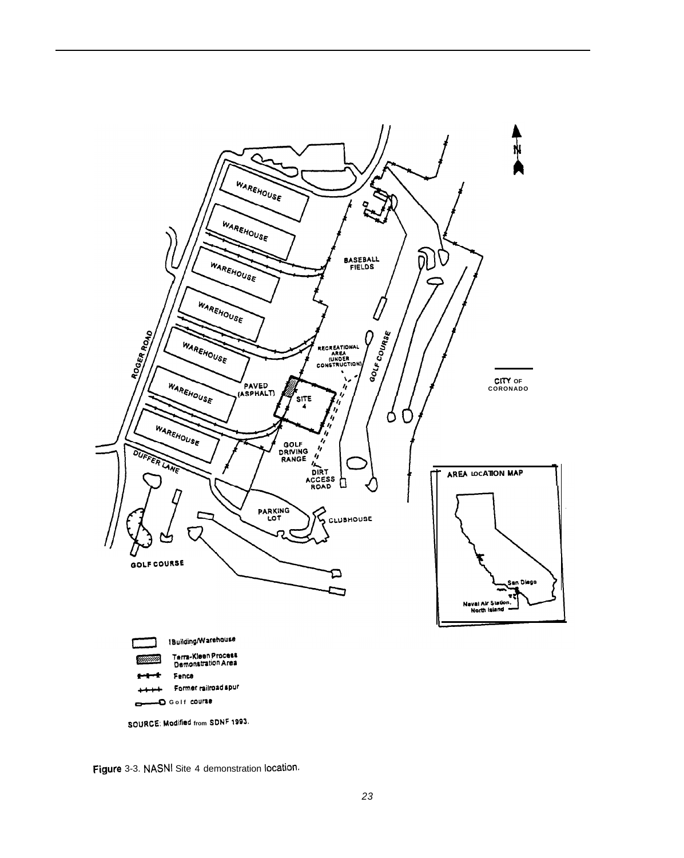

Figure 3-3. NASNI Site 4 demonstration location.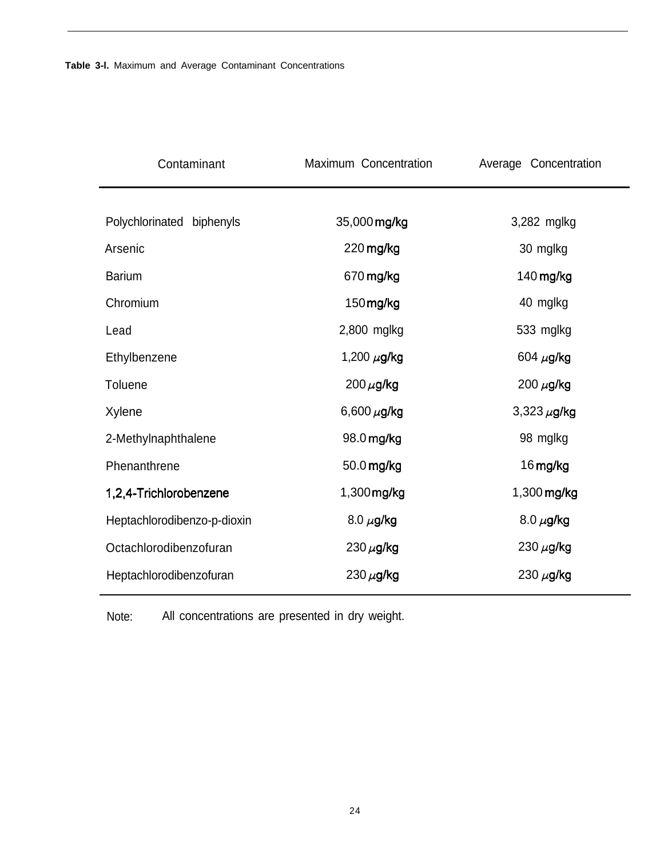| Contaminant                 | Maximum Concentration | Average Concentration |
|-----------------------------|-----------------------|-----------------------|
|                             |                       |                       |
| Polychlorinated biphenyls   | 35,000 mg/kg          | 3,282 mglkg           |
| Arsenic                     | 220 mg/kg             | 30 mglkg              |
| <b>Barium</b>               | 670 mg/kg             | 140 mg/kg             |
| Chromium                    | 150mg/kg              | 40 mglkg              |
| Lead                        | 2,800 mglkg           | 533 mglkg             |
| Ethylbenzene                | 1,200 $\mu$ g/kg      | 604 $\mu$ g/kg        |
| Toluene                     | $200 \mu$ g/kg        | 200 $\mu$ g/kg        |
| Xylene                      | 6,600 $\mu$ g/kg      | $3,323 \mu$ g/kg      |
| 2-Methylnaphthalene         | 98.0 mg/kg            | 98 mglkg              |
| Phenanthrene                | 50.0 mg/kg            | 16 mg/kg              |
| 1,2,4-Trichlorobenzene      | 1,300 mg/kg           | 1,300 mg/kg           |
| Heptachlorodibenzo-p-dioxin | 8.0 $\mu$ g/kg        | $8.0 \ \mu$ g/kg      |
| Octachlorodibenzofuran      | 230 $\mu$ g/kg        | 230 $\mu$ g/kg        |
| Heptachlorodibenzofuran     | 230 $\mu$ g/kg        | 230 $\mu$ g/kg        |

Note: All concentrations are presented in dry weight.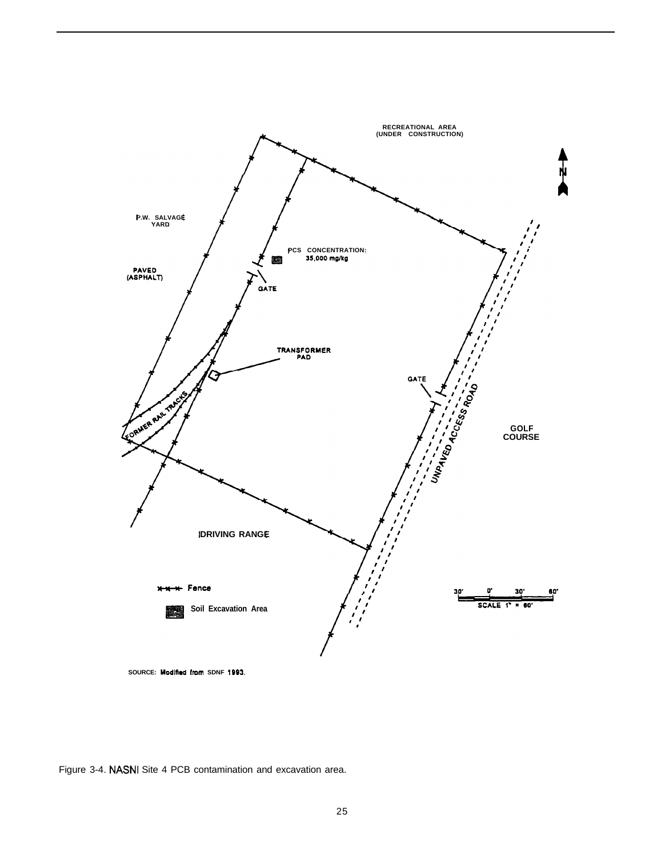

Figure 3-4. NASNI Site 4 PCB contamination and excavation area.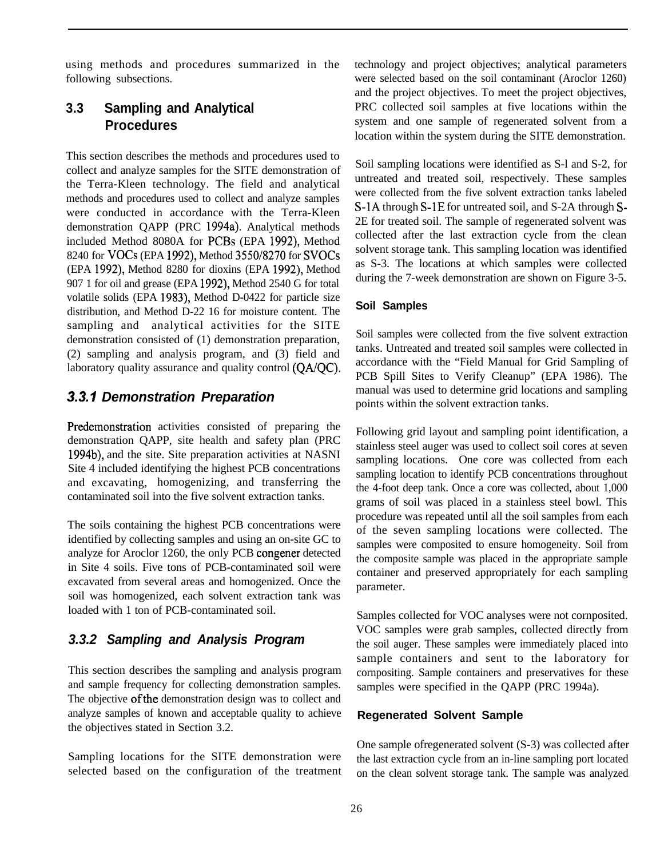using methods and procedures summarized in the following subsections.

# **3.3 Sampling and Analytical Procedures**

This section describes the methods and procedures used to collect and analyze samples for the SITE demonstration of the Terra-Kleen technology. The field and analytical methods and procedures used to collect and analyze samples were conducted in accordance with the Terra-Kleen demonstration QAPP (PRC 1994a). Analytical methods included Method 8080A for PCBs (EPA 1992), Method 8240 for VOCs (EPA 1992), Method 3550/8270 for SVOCs (EPA 1992), Method 8280 for dioxins (EPA 1992), Method 907 1 for oil and grease (EPA 1992), Method 2540 G for total volatile solids (EPA 1983), Method D-0422 for particle size distribution, and Method D-22 16 for moisture content. The sampling and analytical activities for the SITE demonstration consisted of (1) demonstration preparation, (2) sampling and analysis program, and (3) field and laboratory quality assurance and quality control (QA/QC).

# *3.3.1 Demonstration Preparation*

Predemonstration activities consisted of preparing the demonstration QAPP, site health and safety plan (PRC 1994b), and the site. Site preparation activities at NASNI Site 4 included identifying the highest PCB concentrations and excavating, homogenizing, and transferring the contaminated soil into the five solvent extraction tanks.

The soils containing the highest PCB concentrations were identified by collecting samples and using an on-site GC to analyze for Aroclor 1260, the only PCB congener detected in Site 4 soils. Five tons of PCB-contaminated soil were excavated from several areas and homogenized. Once the soil was homogenized, each solvent extraction tank was loaded with 1 ton of PCB-contaminated soil.

# *3.3.2 Sampling and Analysis Program*

This section describes the sampling and analysis program and sample frequency for collecting demonstration samples. The objective of the demonstration design was to collect and analyze samples of known and acceptable quality to achieve the objectives stated in Section 3.2.

Sampling locations for the SITE demonstration were selected based on the configuration of the treatment technology and project objectives; analytical parameters were selected based on the soil contaminant (Aroclor 1260) and the project objectives. To meet the project objectives, PRC collected soil samples at five locations within the system and one sample of regenerated solvent from a location within the system during the SITE demonstration.

Soil sampling locations were identified as S-l and S-2, for untreated and treated soil, respectively. These samples were collected from the five solvent extraction tanks labeled S-1A through S-1E for untreated soil, and S-2A through S-2E for treated soil. The sample of regenerated solvent was collected after the last extraction cycle from the clean solvent storage tank. This sampling location was identified as S-3. The locations at which samples were collected during the 7-week demonstration are shown on Figure 3-5.

#### **Soil Samples**

Soil samples were collected from the five solvent extraction tanks. Untreated and treated soil samples were collected in accordance with the "Field Manual for Grid Sampling of PCB Spill Sites to Verify Cleanup" (EPA 1986). The manual was used to determine grid locations and sampling points within the solvent extraction tanks.

Following grid layout and sampling point identification, a stainless steel auger was used to collect soil cores at seven sampling locations. One core was collected from each sampling location to identify PCB concentrations throughout the 4-foot deep tank. Once a core was collected, about 1,000 grams of soil was placed in a stainless steel bowl. This procedure was repeated until all the soil samples from each of the seven sampling locations were collected. The samples were composited to ensure homogeneity. Soil from the composite sample was placed in the appropriate sample container and preserved appropriately for each sampling parameter.

Samples collected for VOC analyses were not cornposited. VOC samples were grab samples, collected directly from the soil auger. These samples were immediately placed into sample containers and sent to the laboratory for cornpositing. Sample containers and preservatives for these samples were specified in the QAPP (PRC 1994a).

#### **Regenerated Solvent Sample**

One sample ofregenerated solvent (S-3) was collected after the last extraction cycle from an in-line sampling port located on the clean solvent storage tank. The sample was analyzed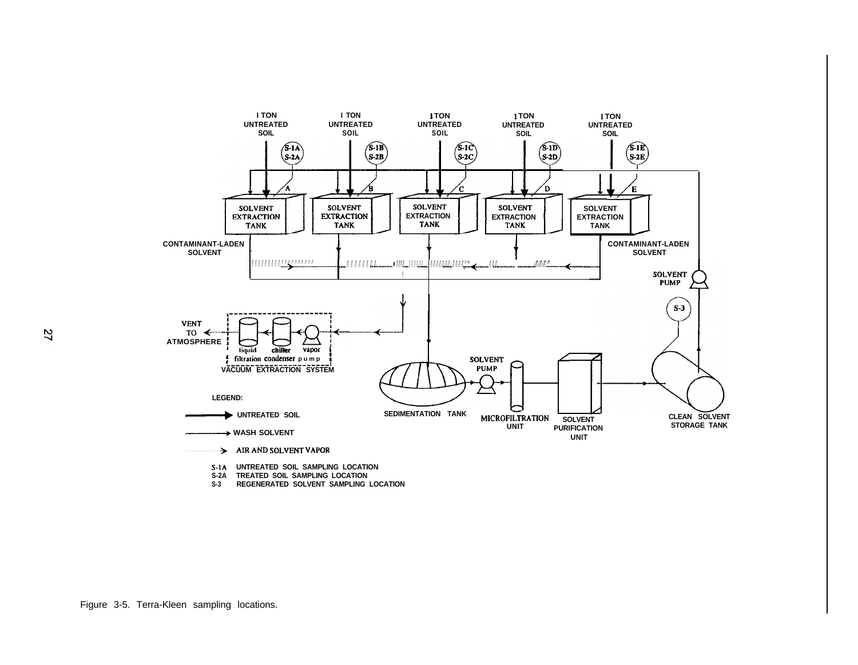

- **S-2A TREATED SOIL SAMPLING LOCATION**
- **S-3 REGENERATED SOLVENT SAMPLING LOCATION**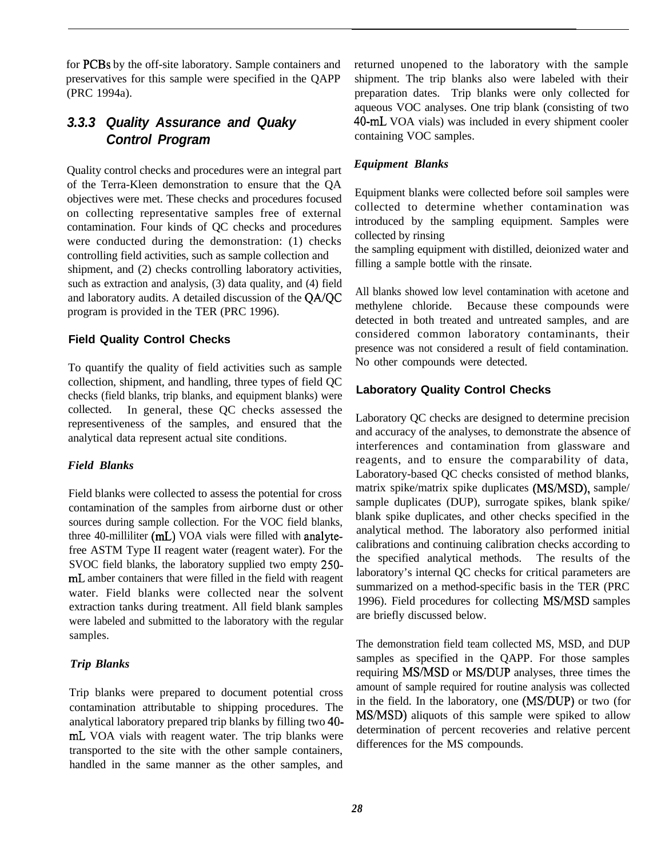for PCBs by the off-site laboratory. Sample containers and preservatives for this sample were specified in the QAPP (PRC 1994a).

## *3.3.3 Quality Assurance and Quaky Control Program*

Quality control checks and procedures were an integral part of the Terra-Kleen demonstration to ensure that the QA objectives were met. These checks and procedures focused on collecting representative samples free of external contamination. Four kinds of QC checks and procedures were conducted during the demonstration: (1) checks controlling field activities, such as sample collection and shipment, and (2) checks controlling laboratory activities, such as extraction and analysis, (3) data quality, and (4) field and laboratory audits. A detailed discussion of the QA/QC program is provided in the TER (PRC 1996).

#### **Field Quality Control Checks**

To quantify the quality of field activities such as sample collection, shipment, and handling, three types of field QC checks (field blanks, trip blanks, and equipment blanks) were collected. In general, these QC checks assessed the representiveness of the samples, and ensured that the analytical data represent actual site conditions.

#### *Field Blanks*

Field blanks were collected to assess the potential for cross contamination of the samples from airborne dust or other sources during sample collection. For the VOC field blanks, three 40-milliliter (mL) VOA vials were filled with analytefree ASTM Type II reagent water (reagent water). For the SVOC field blanks, the laboratory supplied two empty 250 mL amber containers that were filled in the field with reagent water. Field blanks were collected near the solvent extraction tanks during treatment. All field blank samples were labeled and submitted to the laboratory with the regular samples.

#### *Trip Blanks*

Trip blanks were prepared to document potential cross contamination attributable to shipping procedures. The analytical laboratory prepared trip blanks by filling two 40 mL VOA vials with reagent water. The trip blanks were transported to the site with the other sample containers, handled in the same manner as the other samples, and returned unopened to the laboratory with the sample shipment. The trip blanks also were labeled with their preparation dates. Trip blanks were only collected for aqueous VOC analyses. One trip blank (consisting of two 40-mL VOA vials) was included in every shipment cooler containing VOC samples.

#### *Equipment Blanks*

Equipment blanks were collected before soil samples were collected to determine whether contamination was introduced by the sampling equipment. Samples were collected by rinsing

the sampling equipment with distilled, deionized water and filling a sample bottle with the rinsate.

All blanks showed low level contamination with acetone and methylene chloride. Because these compounds were detected in both treated and untreated samples, and are considered common laboratory contaminants, their presence was not considered a result of field contamination. No other compounds were detected.

#### **Laboratory Quality Control Checks**

Laboratory QC checks are designed to determine precision and accuracy of the analyses, to demonstrate the absence of interferences and contamination from glassware and reagents, and to ensure the comparability of data, Laboratory-based QC checks consisted of method blanks, matrix spike/matrix spike duplicates (MSMSD), sample/ sample duplicates (DUP), surrogate spikes, blank spike/ blank spike duplicates, and other checks specified in the analytical method. The laboratory also performed initial calibrations and continuing calibration checks according to the specified analytical methods. The results of the laboratory's internal QC checks for critical parameters are summarized on a method-specific basis in the TER (PRC 1996). Field procedures for collecting MS/MSD samples are briefly discussed below.

The demonstration field team collected MS, MSD, and DUP samples as specified in the QAPP. For those samples requiring MS/MSD or MS/DUP analyses, three times the amount of sample required for routine analysis was collected in the field. In the laboratory, one (MS/DUP) or two (for MSMSD) aliquots of this sample were spiked to allow determination of percent recoveries and relative percent differences for the MS compounds.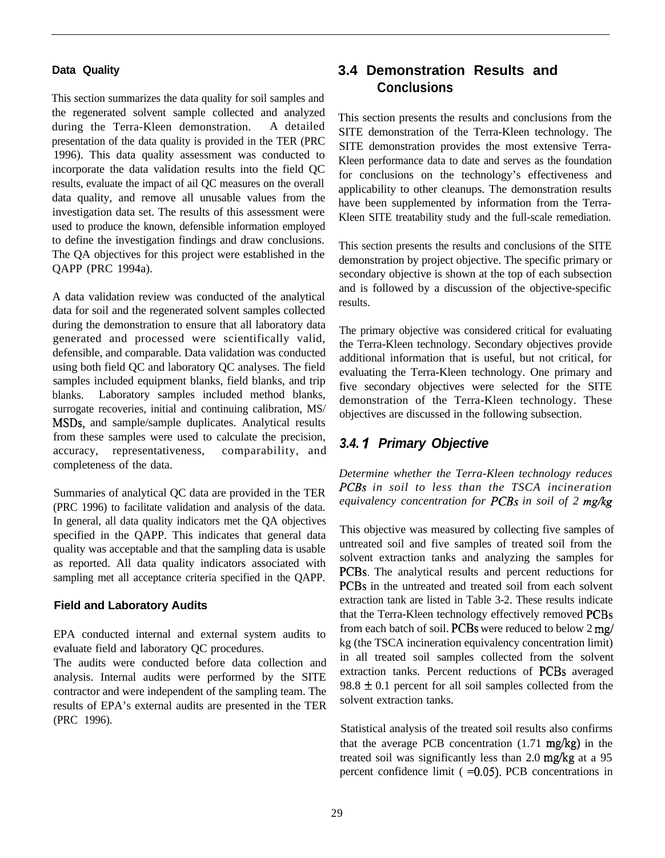#### **Data Quality**

This section summarizes the data quality for soil samples and the regenerated solvent sample collected and analyzed during the Terra-Kleen demonstration. A detailed presentation of the data quality is provided in the TER (PRC 1996). This data quality assessment was conducted to incorporate the data validation results into the field QC results, evaluate the impact of ail QC measures on the overall data quality, and remove all unusable values from the investigation data set. The results of this assessment were used to produce the known, defensible information employed to define the investigation findings and draw conclusions. The QA objectives for this project were established in the QAPP (PRC 1994a).

A data validation review was conducted of the analytical data for soil and the regenerated solvent samples collected during the demonstration to ensure that all laboratory data generated and processed were scientifically valid, defensible, and comparable. Data validation was conducted using both field QC and laboratory QC analyses. The field samples included equipment blanks, field blanks, and trip blanks. Laboratory samples included method blanks, surrogate recoveries, initial and continuing calibration, MS/ MSDs, and sample/sample duplicates. Analytical results from these samples were used to calculate the precision, accuracy, representativeness, comparability, and completeness of the data.

Summaries of analytical QC data are provided in the TER (PRC 1996) to facilitate validation and analysis of the data. In general, all data quality indicators met the QA objectives specified in the QAPP. This indicates that general data quality was acceptable and that the sampling data is usable as reported. All data quality indicators associated with sampling met all acceptance criteria specified in the QAPP.

#### **Field and Laboratory Audits**

EPA conducted internal and external system audits to evaluate field and laboratory QC procedures.

The audits were conducted before data collection and analysis. Internal audits were performed by the SITE contractor and were independent of the sampling team. The results of EPA's external audits are presented in the TER (PRC 1996).

# **3.4 Demonstration Results and Conclusions**

This section presents the results and conclusions from the SITE demonstration of the Terra-Kleen technology. The SITE demonstration provides the most extensive Terra-Kleen performance data to date and serves as the foundation for conclusions on the technology's effectiveness and applicability to other cleanups. The demonstration results have been supplemented by information from the Terra-Kleen SITE treatability study and the full-scale remediation.

This section presents the results and conclusions of the SITE demonstration by project objective. The specific primary or secondary objective is shown at the top of each subsection and is followed by a discussion of the objective-specific results.

The primary objective was considered critical for evaluating the Terra-Kleen technology. Secondary objectives provide additional information that is useful, but not critical, for evaluating the Terra-Kleen technology. One primary and five secondary objectives were selected for the SITE demonstration of the Terra-Kleen technology. These objectives are discussed in the following subsection.

#### *3.4. I Primary Objective*

*Determine whether the Terra-Kleen technology reduces PCBs in soil to less than the TSCA incineration equivalency concentration for PCBs in soil of 2 mg/kg*

This objective was measured by collecting five samples of untreated soil and five samples of treated soil from the solvent extraction tanks and analyzing the samples for PCBs. The analytical results and percent reductions for PCBs in the untreated and treated soil from each solvent extraction tank are listed in Table 3-2. These results indicate that the Terra-Kleen technology effectively removed PCBs from each batch of soil. PCBs were reduced to below 2 mg/ kg (the TSCA incineration equivalency concentration limit) in all treated soil samples collected from the solvent extraction tanks. Percent reductions of PCBs averaged  $98.8 \pm 0.1$  percent for all soil samples collected from the solvent extraction tanks.

Statistical analysis of the treated soil results also confirms that the average PCB concentration (1.71 mg/kg) in the treated soil was significantly less than 2.0 mg/kg at a 95 percent confidence limit  $( =0.05)$ . PCB concentrations in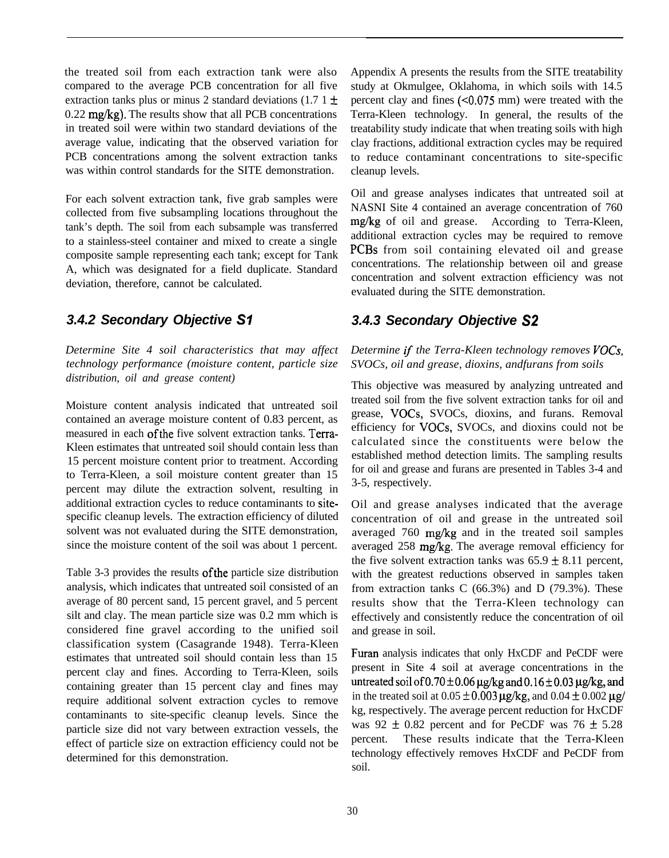the treated soil from each extraction tank were also compared to the average PCB concentration for all five extraction tanks plus or minus 2 standard deviations (1.7 1  $\pm$ 0.22 mg/kg). The results show that all PCB concentrations in treated soil were within two standard deviations of the average value, indicating that the observed variation for PCB concentrations among the solvent extraction tanks was within control standards for the SITE demonstration.

For each solvent extraction tank, five grab samples were collected from five subsampling locations throughout the tank's depth. The soil from each subsample was transferred to a stainless-steel container and mixed to create a single composite sample representing each tank; except for Tank A, which was designated for a field duplicate. Standard deviation, therefore, cannot be calculated.

#### *3.4.2 Secondary Objective Sl*

*Determine Site 4 soil characteristics that may affect technology performance (moisture content, particle size distribution, oil and grease content)*

Moisture content analysis indicated that untreated soil contained an average moisture content of 0.83 percent, as measured in each of the five solvent extraction tanks. Terra-Kleen estimates that untreated soil should contain less than 15 percent moisture content prior to treatment. According to Terra-Kleen, a soil moisture content greater than 15 percent may dilute the extraction solvent, resulting in additional extraction cycles to reduce contaminants to sitespecific cleanup levels. The extraction efficiency of diluted solvent was not evaluated during the SITE demonstration, since the moisture content of the soil was about 1 percent.

Table 3-3 provides the results of the particle size distribution analysis, which indicates that untreated soil consisted of an average of 80 percent sand, 15 percent gravel, and 5 percent silt and clay. The mean particle size was 0.2 mm which is considered fine gravel according to the unified soil classification system (Casagrande 1948). Terra-Kleen estimates that untreated soil should contain less than 15 percent clay and fines. According to Terra-Kleen, soils containing greater than 15 percent clay and fines may require additional solvent extraction cycles to remove contaminants to site-specific cleanup levels. Since the particle size did not vary between extraction vessels, the effect of particle size on extraction efficiency could not be determined for this demonstration.

Appendix A presents the results from the SITE treatability study at Okmulgee, Oklahoma, in which soils with 14.5 percent clay and fines  $( $0.075 \text{ mm}$ )$  were treated with the Terra-Kleen technology. In general, the results of the treatability study indicate that when treating soils with high clay fractions, additional extraction cycles may be required to reduce contaminant concentrations to site-specific cleanup levels.

Oil and grease analyses indicates that untreated soil at NASNI Site 4 contained an average concentration of 760 mg/kg of oil and grease. According to Terra-Kleen, additional extraction cycles may be required to remove PCBs from soil containing elevated oil and grease concentrations. The relationship between oil and grease concentration and solvent extraction efficiency was not evaluated during the SITE demonstration.

# *3.4.3 Secondary Objective S2*

#### *Determine if the Terra-Kleen technology removes VOCs, SVOCs, oil and grease, dioxins, andfurans from soils*

This objective was measured by analyzing untreated and treated soil from the five solvent extraction tanks for oil and grease, VOCs, SVOCs, dioxins, and furans. Removal efficiency for VOCs, SVOCs, and dioxins could not be calculated since the constituents were below the established method detection limits. The sampling results for oil and grease and furans are presented in Tables 3-4 and 3-5, respectively.

Oil and grease analyses indicated that the average concentration of oil and grease in the untreated soil averaged 760 mg/kg and in the treated soil samples averaged 258 *mg/kg.* The average removal efficiency for the five solvent extraction tanks was  $65.9 \pm 8.11$  percent, with the greatest reductions observed in samples taken from extraction tanks  $C$  (66.3%) and  $D$  (79.3%). These results show that the Terra-Kleen technology can effectively and consistently reduce the concentration of oil and grease in soil.

Furan analysis indicates that only HxCDF and PeCDF were present in Site 4 soil at average concentrations in the untreated soil of  $0.70\pm0.06$  µg/kg and  $0.16\pm0.03$  µg/kg, and in the treated soil at  $0.05 \pm 0.003$  µg/kg, and  $0.04 \pm 0.002$  µg/ kg, respectively. The average percent reduction for HxCDF was  $92 \pm 0.82$  percent and for PeCDF was  $76 \pm 5.28$ percent. These results indicate that the Terra-Kleen technology effectively removes HxCDF and PeCDF from soil.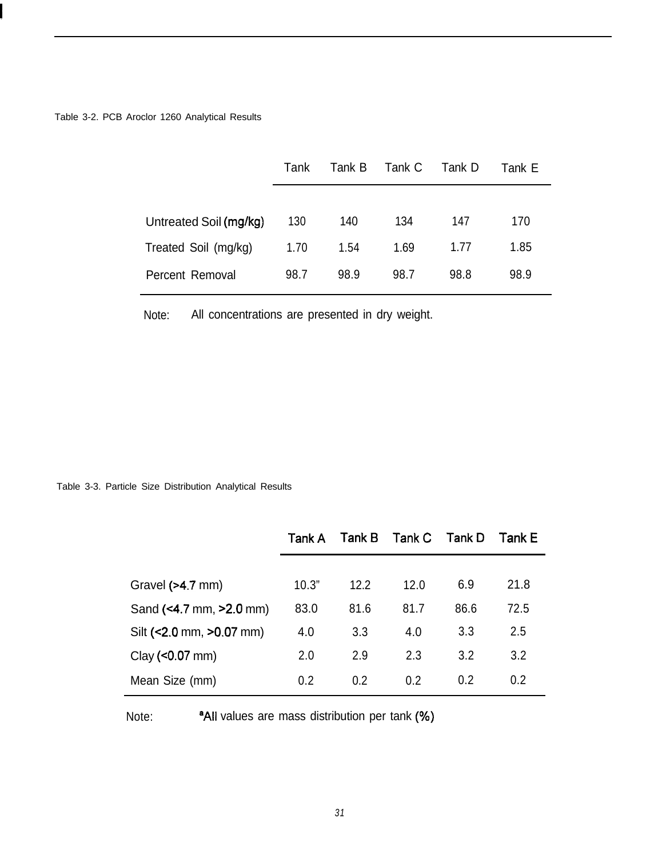Table 3-2. PCB Aroclor 1260 Analytical Results

|                        | Tank | Tank B | Tank C | Tank D | Tank E |
|------------------------|------|--------|--------|--------|--------|
|                        |      |        |        |        |        |
| Untreated Soil (mg/kg) | 130  | 140    | 134    | 147    | 170    |
| Treated Soil (mg/kg)   | 1.70 | 1.54   | 1.69   | 1.77   | 1.85   |
| Percent Removal        | 98.7 | 98.9   | 98.7   | 98.8   | 98.9   |

Note: All concentrations are presented in dry weight.

Table 3-3. Particle Size Distribution Analytical Results

|                          | Tank A | Tank B | Tank C | Tank D | Tank E |
|--------------------------|--------|--------|--------|--------|--------|
|                          |        |        |        |        |        |
| Gravel $(>4.7$ mm)       | 10.3"  | 12.2   | 12.0   | 6.9    | 21.8   |
| Sand (<4.7 mm, >2.0 mm)  | 83.0   | 81.6   | 81.7   | 86.6   | 72.5   |
| Silt (<2.0 mm, >0.07 mm) | 4.0    | 3.3    | 4.0    | 3.3    | 2.5    |
| $Clay (< 0.07$ mm)       | 2.0    | 2.9    | 2.3    | 3.2    | 3.2    |
| Mean Size (mm)           | 0.2    | 0.2    | 0.2    | 0.2    | 0.2    |

Note: <sup>a</sup>All values are mass distribution per tank (%)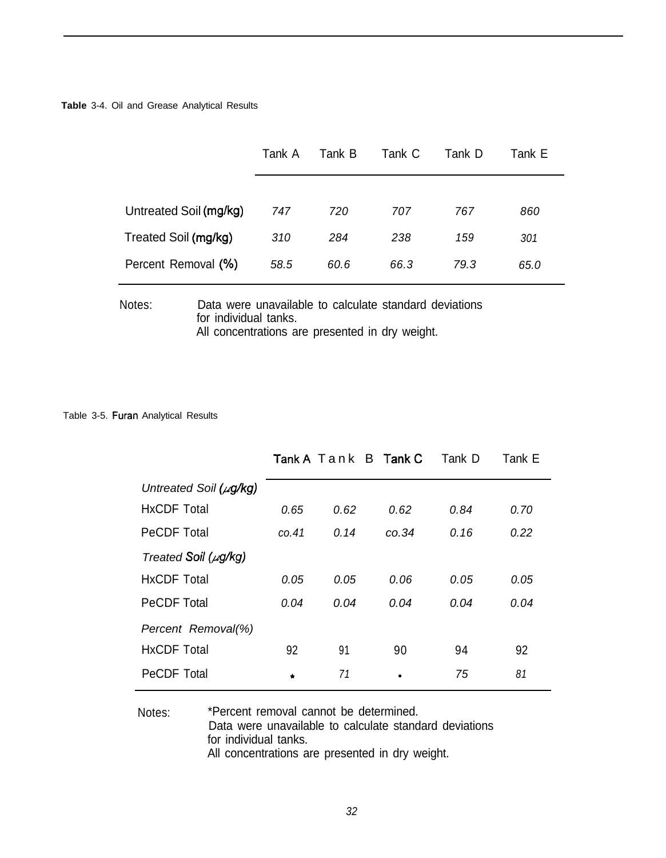**Table** 3-4. Oil and Grease Analytical Results

|                        | Tank A | Tank B | Tank C | Tank D | Tank E |
|------------------------|--------|--------|--------|--------|--------|
|                        |        |        |        |        |        |
| Untreated Soil (mg/kg) | 747    | 720    | 707    | 767    | 860    |
| Treated Soil (mg/kg)   | 310    | 284    | 238    | 159    | 301    |
| Percent Removal (%)    | 58.5   | 60.6   | 66.3   | 79.3   | 65.0   |

#### Notes: Data were unavailable to calculate standard deviations for individual tanks. All concentrations are presented in dry weight.

#### Table 3-5. Furan Analytical Results

|                             |           |      | Tank A Tank B Tank C | Tank D | Tank E |
|-----------------------------|-----------|------|----------------------|--------|--------|
| Untreated Soil $(\mu g/kg)$ |           |      |                      |        |        |
| <b>HxCDF Total</b>          | 0.65      | 0.62 | 0.62                 | 0.84   | 0.70   |
| <b>PeCDF Total</b>          | CO.41     | 0.14 | CO.34                | 0.16   | 0.22   |
| Treated Soil ( $\mu$ g/kg)  |           |      |                      |        |        |
| <b>HxCDF Total</b>          | 0.05      | 0.05 | 0.06                 | 0.05   | 0.05   |
| <b>PeCDF Total</b>          | 0.04      | 0.04 | 0.04                 | 0.04   | 0.04   |
| Percent Removal(%)          |           |      |                      |        |        |
| <b>HxCDF Total</b>          | 92        | 91   | 90                   | 94     | 92     |
| PeCDF Total                 | $\bullet$ | 71   |                      | 75     | 81     |

Notes: \*Percent removal cannot be determined. Data were unavailable to calculate standard deviations for individual tanks. All concentrations are presented in dry weight.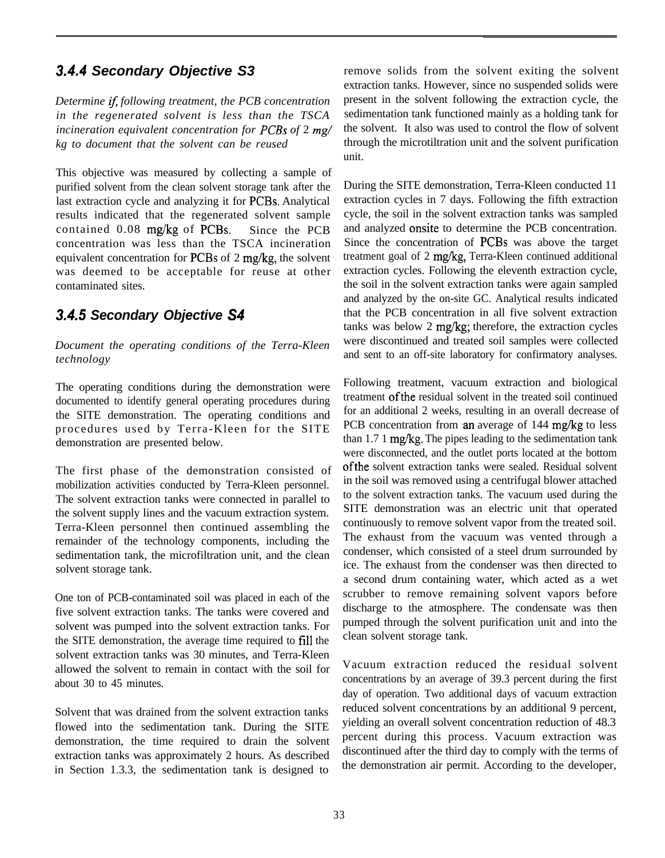# *3.44 Secondary Objective S3*

*Determine if following treatment, the PCB concentration in the regenerated solvent is less than the TSCA incineration equivalent concentration for PCBs of* 2 *mg/ kg to document that the solvent can be reused*

This objective was measured by collecting a sample of purified solvent from the clean solvent storage tank after the last extraction cycle and analyzing it for PCBs. Analytical results indicated that the regenerated solvent sample contained 0.08 mg/kg of PCBs. Since the PCB concentration was less than the TSCA incineration equivalent concentration for PCBs of 2 mg/kg, the solvent was deemed to be acceptable for reuse at other contaminated sites.

# *3.45 Secondary Objective S4*

*Document the operating conditions of the Terra-Kleen technology*

The operating conditions during the demonstration were documented to identify general operating procedures during the SITE demonstration. The operating conditions and procedures used by Terra-Kleen for the SITE demonstration are presented below.

The first phase of the demonstration consisted of mobilization activities conducted by Terra-Kleen personnel. The solvent extraction tanks were connected in parallel to the solvent supply lines and the vacuum extraction system. Terra-Kleen personnel then continued assembling the remainder of the technology components, including the sedimentation tank, the microfiltration unit, and the clean solvent storage tank.

One ton of PCB-contaminated soil was placed in each of the five solvent extraction tanks. The tanks were covered and solvent was pumped into the solvent extraction tanks. For the SITE demonstration, the average time required to fill the solvent extraction tanks was 30 minutes, and Terra-Kleen allowed the solvent to remain in contact with the soil for about 30 to 45 minutes.

Solvent that was drained from the solvent extraction tanks flowed into the sedimentation tank. During the SITE demonstration, the time required to drain the solvent extraction tanks was approximately 2 hours. As described in Section 1.3.3, the sedimentation tank is designed to

remove solids from the solvent exiting the solvent extraction tanks. However, since no suspended solids were present in the solvent following the extraction cycle, the sedimentation tank functioned mainly as a holding tank for the solvent. It also was used to control the flow of solvent through the microtiltration unit and the solvent purification unit.

During the SITE demonstration, Terra-Kleen conducted 11 extraction cycles in 7 days. Following the fifth extraction cycle, the soil in the solvent extraction tanks was sampled and analyzed onsite to determine the PCB concentration. Since the concentration of PCBs was above the target treatment goal of 2 mg/kg, Terra-Kleen continued additional extraction cycles. Following the eleventh extraction cycle, the soil in the solvent extraction tanks were again sampled and analyzed by the on-site GC. Analytical results indicated that the PCB concentration in all five solvent extraction tanks was below 2 mg/kg; therefore, the extraction cycles were discontinued and treated soil samples were collected and sent to an off-site laboratory for confirmatory analyses.

Following treatment, vacuum extraction and biological treatment of the residual solvent in the treated soil continued for an additional 2 weeks, resulting in an overall decrease of PCB concentration from an average of 144 mg/kg to less than 1.7 1 mg/kg. The pipes leading to the sedimentation tank were disconnected, and the outlet ports located at the bottom ofthe solvent extraction tanks were sealed. Residual solvent in the soil was removed using a centrifugal blower attached to the solvent extraction tanks. The vacuum used during the SITE demonstration was an electric unit that operated continuously to remove solvent vapor from the treated soil. The exhaust from the vacuum was vented through a condenser, which consisted of a steel drum surrounded by ice. The exhaust from the condenser was then directed to a second drum containing water, which acted as a wet scrubber to remove remaining solvent vapors before discharge to the atmosphere. The condensate was then pumped through the solvent purification unit and into the clean solvent storage tank.

Vacuum extraction reduced the residual solvent concentrations by an average of 39.3 percent during the first day of operation. Two additional days of vacuum extraction reduced solvent concentrations by an additional 9 percent, yielding an overall solvent concentration reduction of 48.3 percent during this process. Vacuum extraction was discontinued after the third day to comply with the terms of the demonstration air permit. According to the developer,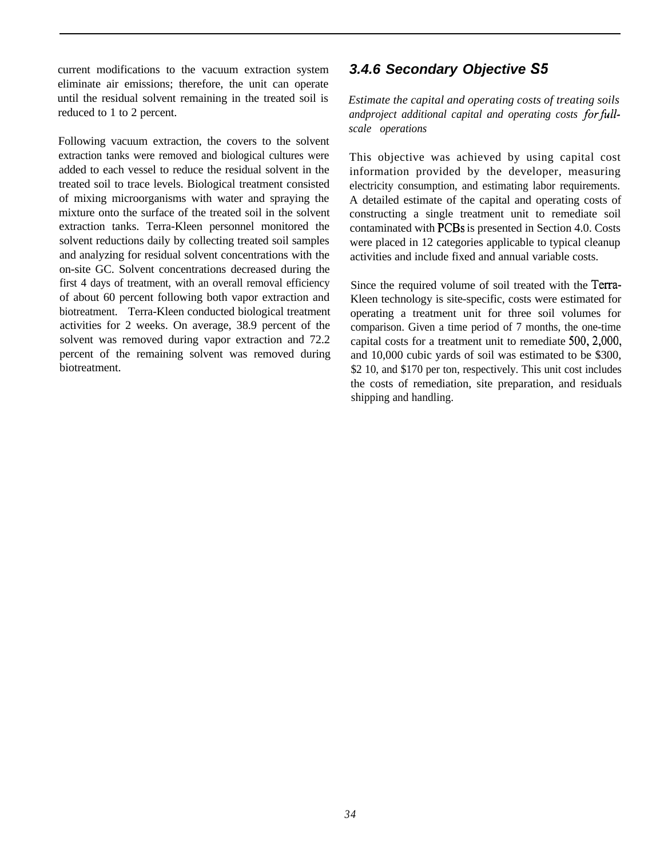current modifications to the vacuum extraction system eliminate air emissions; therefore, the unit can operate until the residual solvent remaining in the treated soil is reduced to 1 to 2 percent.

Following vacuum extraction, the covers to the solvent extraction tanks were removed and biological cultures were added to each vessel to reduce the residual solvent in the treated soil to trace levels. Biological treatment consisted of mixing microorganisms with water and spraying the mixture onto the surface of the treated soil in the solvent extraction tanks. Terra-Kleen personnel monitored the solvent reductions daily by collecting treated soil samples and analyzing for residual solvent concentrations with the on-site GC. Solvent concentrations decreased during the first 4 days of treatment, with an overall removal efficiency of about 60 percent following both vapor extraction and biotreatment. Terra-Kleen conducted biological treatment activities for 2 weeks. On average, 38.9 percent of the solvent was removed during vapor extraction and 72.2 percent of the remaining solvent was removed during biotreatment.

## *3.4.6 Secondary Objective S5*

*Estimate the capital and operating costs of treating soils andproject additional capital and operating costs forfullscale operations*

This objective was achieved by using capital cost information provided by the developer, measuring electricity consumption, and estimating labor requirements. A detailed estimate of the capital and operating costs of constructing a single treatment unit to remediate soil contaminated with PCBs is presented in Section 4.0. Costs were placed in 12 categories applicable to typical cleanup activities and include fixed and annual variable costs.

Since the required volume of soil treated with the Terra-Kleen technology is site-specific, costs were estimated for operating a treatment unit for three soil volumes for comparison. Given a time period of 7 months, the one-time capital costs for a treatment unit to remediate 500,2,000, and 10,000 cubic yards of soil was estimated to be \$300, \$2 10, and \$170 per ton, respectively. This unit cost includes the costs of remediation, site preparation, and residuals shipping and handling.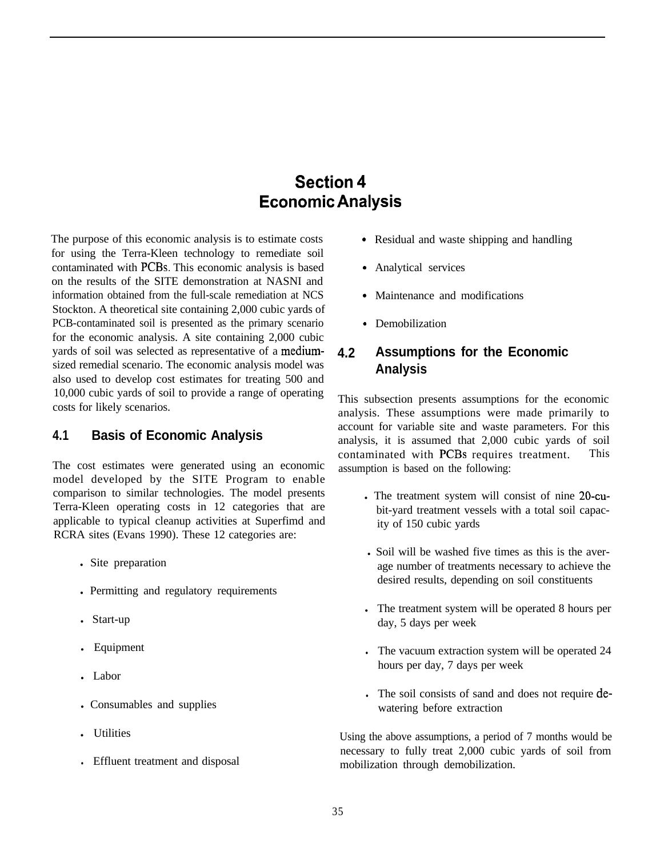# **Section 4 Economic Analysis**

The purpose of this economic analysis is to estimate costs for using the Terra-Kleen technology to remediate soil contaminated with PCBs. This economic analysis is based on the results of the SITE demonstration at NASNI and information obtained from the full-scale remediation at NCS Stockton. A theoretical site containing 2,000 cubic yards of PCB-contaminated soil is presented as the primary scenario for the economic analysis. A site containing 2,000 cubic yards of soil was selected as representative of a mediumsized remedial scenario. The economic analysis model was also used to develop cost estimates for treating 500 and 10,000 cubic yards of soil to provide a range of operating costs for likely scenarios.

#### **4.1 Basis of Economic Analysis**

The cost estimates were generated using an economic model developed by the SITE Program to enable comparison to similar technologies. The model presents Terra-Kleen operating costs in 12 categories that are applicable to typical cleanup activities at Superfimd and RCRA sites (Evans 1990). These 12 categories are:

- Site preparation
- Permitting and regulatory requirements
- Start-up
- Equipment
- $\blacksquare$ Labor
- Consumables and supplies
- . Utilities
- **.** Effluent treatment and disposal
- . Residual and waste shipping and handling
- . Analytical services
- . Maintenance and modifications
- . Demobilization

#### **4.2 Assumptions for the Economic Analysis**

This subsection presents assumptions for the economic analysis. These assumptions were made primarily to account for variable site and waste parameters. For this analysis, it is assumed that 2,000 cubic yards of soil contaminated with PCBs requires treatment. This assumption is based on the following:

- . The treatment system will consist of nine 20-cubit-yard treatment vessels with a total soil capacity of 150 cubic yards
- l Soil will be washed five times as this is the average number of treatments necessary to achieve the desired results, depending on soil constituents
- If The treatment system will be operated 8 hours per day, 5 days per week
- In The vacuum extraction system will be operated 24 hours per day, 7 days per week
- . The soil consists of sand and does not require dewatering before extraction

Using the above assumptions, a period of 7 months would be necessary to fully treat 2,000 cubic yards of soil from mobilization through demobilization.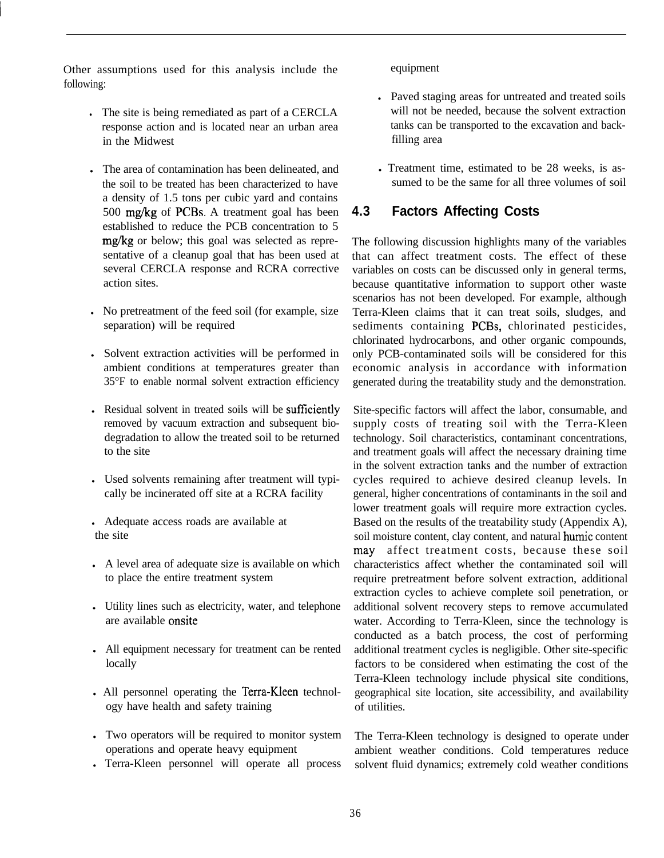Other assumptions used for this analysis include the following:

- . The site is being remediated as part of a CERCLA response action and is located near an urban area in the Midwest
- . The area of contamination has been delineated, and the soil to be treated has been characterized to have a density of 1.5 tons per cubic yard and contains 500 mg/kg of PCBs. A treatment goal has been established to reduce the PCB concentration to 5 mg/kg or below; this goal was selected as representative of a cleanup goal that has been used at several CERCLA response and RCRA corrective action sites.
- In No pretreatment of the feed soil (for example, size separation) will be required
- Solvent extraction activities will be performed in ambient conditions at temperatures greater than 35°F to enable normal solvent extraction efficiency
- . Residual solvent in treated soils will be sufficiently removed by vacuum extraction and subsequent biodegradation to allow the treated soil to be returned to the site
- . Used solvents remaining after treatment will typically be incinerated off site at a RCRA facility
- Adequate access roads are available at the site
- A level area of adequate size is available on which to place the entire treatment system
- Utility lines such as electricity, water, and telephone are available onsite
- All equipment necessary for treatment can be rented locally
- . All personnel operating the Terra-Kleen technology have health and safety training
- If Two operators will be required to monitor system operations and operate heavy equipment
- <sup>l</sup>Terra-Kleen personnel will operate all process

equipment

- Paved staging areas for untreated and treated soils will not be needed, because the solvent extraction tanks can be transported to the excavation and backfilling area
- Treatment time, estimated to be 28 weeks, is assumed to be the same for all three volumes of soil

#### **4.3 Factors Affecting Costs**

The following discussion highlights many of the variables that can affect treatment costs. The effect of these variables on costs can be discussed only in general terms, because quantitative information to support other waste scenarios has not been developed. For example, although Terra-Kleen claims that it can treat soils, sludges, and sediments containing PCBs, chlorinated pesticides, chlorinated hydrocarbons, and other organic compounds, only PCB-contaminated soils will be considered for this economic analysis in accordance with information generated during the treatability study and the demonstration.

Site-specific factors will affect the labor, consumable, and supply costs of treating soil with the Terra-Kleen technology. Soil characteristics, contaminant concentrations, and treatment goals will affect the necessary draining time in the solvent extraction tanks and the number of extraction cycles required to achieve desired cleanup levels. In general, higher concentrations of contaminants in the soil and lower treatment goals will require more extraction cycles. Based on the results of the treatability study (Appendix A), soil moisture content, clay content, and natural humic content may affect treatment costs, because these soil characteristics affect whether the contaminated soil will require pretreatment before solvent extraction, additional extraction cycles to achieve complete soil penetration, or additional solvent recovery steps to remove accumulated water. According to Terra-Kleen, since the technology is conducted as a batch process, the cost of performing additional treatment cycles is negligible. Other site-specific factors to be considered when estimating the cost of the Terra-Kleen technology include physical site conditions, geographical site location, site accessibility, and availability of utilities.

The Terra-Kleen technology is designed to operate under ambient weather conditions. Cold temperatures reduce solvent fluid dynamics; extremely cold weather conditions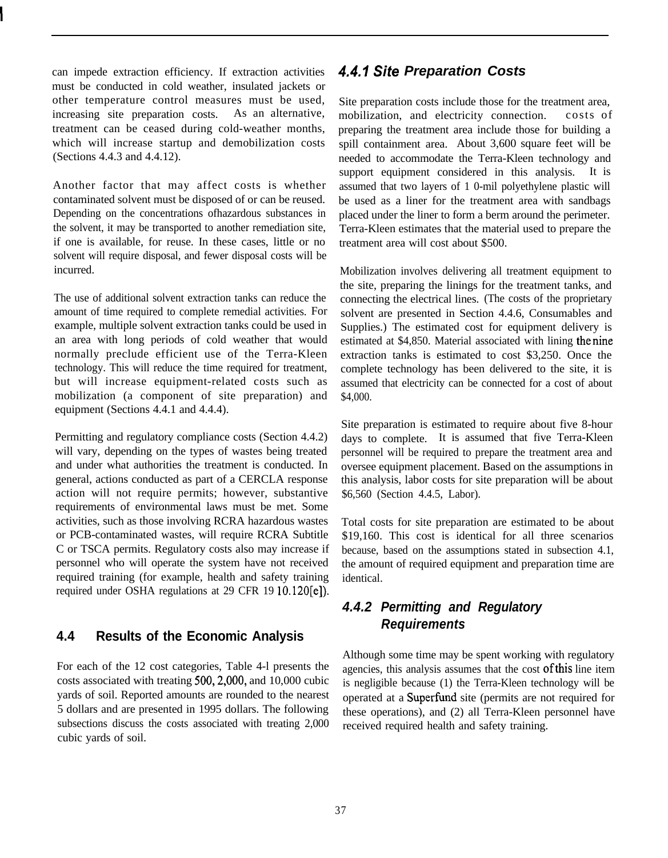can impede extraction efficiency. If extraction activities must be conducted in cold weather, insulated jackets or other temperature control measures must be used, increasing site preparation costs. As an alternative, treatment can be ceased during cold-weather months, which will increase startup and demobilization costs (Sections 4.4.3 and 4.4.12).

Another factor that may affect costs is whether contaminated solvent must be disposed of or can be reused. Depending on the concentrations ofhazardous substances in the solvent, it may be transported to another remediation site, if one is available, for reuse. In these cases, little or no solvent will require disposal, and fewer disposal costs will be incurred.

The use of additional solvent extraction tanks can reduce the amount of time required to complete remedial activities. For example, multiple solvent extraction tanks could be used in an area with long periods of cold weather that would normally preclude efficient use of the Terra-Kleen technology. This will reduce the time required for treatment, but will increase equipment-related costs such as mobilization (a component of site preparation) and equipment (Sections 4.4.1 and 4.4.4).

Permitting and regulatory compliance costs (Section 4.4.2) will vary, depending on the types of wastes being treated and under what authorities the treatment is conducted. In general, actions conducted as part of a CERCLA response action will not require permits; however, substantive requirements of environmental laws must be met. Some activities, such as those involving RCRA hazardous wastes or PCB-contaminated wastes, will require RCRA Subtitle C or TSCA permits. Regulatory costs also may increase if personnel who will operate the system have not received required training (for example, health and safety training required under OSHA regulations at 29 CFR 19 10.120[e]).

#### **4.4 Results of the Economic Analysis**

For each of the 12 cost categories, Table 4-l presents the costs associated with treating 500,2,000, and 10,000 cubic yards of soil. Reported amounts are rounded to the nearest 5 dollars and are presented in 1995 dollars. The following subsections discuss the costs associated with treating 2,000 cubic yards of soil.

# *4.4.1 Sife Preparation Costs*

Site preparation costs include those for the treatment area, mobilization, and electricity connection. costs of preparing the treatment area include those for building a spill containment area. About 3,600 square feet will be needed to accommodate the Terra-Kleen technology and support equipment considered in this analysis. It is assumed that two layers of 1 0-mil polyethylene plastic will be used as a liner for the treatment area with sandbags placed under the liner to form a berm around the perimeter. Terra-Kleen estimates that the material used to prepare the treatment area will cost about \$500.

Mobilization involves delivering all treatment equipment to the site, preparing the linings for the treatment tanks, and connecting the electrical lines. (The costs of the proprietary solvent are presented in Section 4.4.6, Consumables and Supplies.) The estimated cost for equipment delivery is estimated at \$4,850. Material associated with lining thenine extraction tanks is estimated to cost \$3,250. Once the complete technology has been delivered to the site, it is assumed that electricity can be connected for a cost of about \$4,000.

Site preparation is estimated to require about five 8-hour days to complete. It is assumed that five Terra-Kleen personnel will be required to prepare the treatment area and oversee equipment placement. Based on the assumptions in this analysis, labor costs for site preparation will be about \$6,560 (Section 4.4.5, Labor).

Total costs for site preparation are estimated to be about \$19,160. This cost is identical for all three scenarios because, based on the assumptions stated in subsection 4.1, the amount of required equipment and preparation time are identical.

# *4.4.2 Permitting and Regulatory Requirements*

Although some time may be spent working with regulatory agencies, this analysis assumes that the cost ofthis line item is negligible because (1) the Terra-Kleen technology will be operated at a Superfund site (permits are not required for these operations), and (2) all Terra-Kleen personnel have received required health and safety training.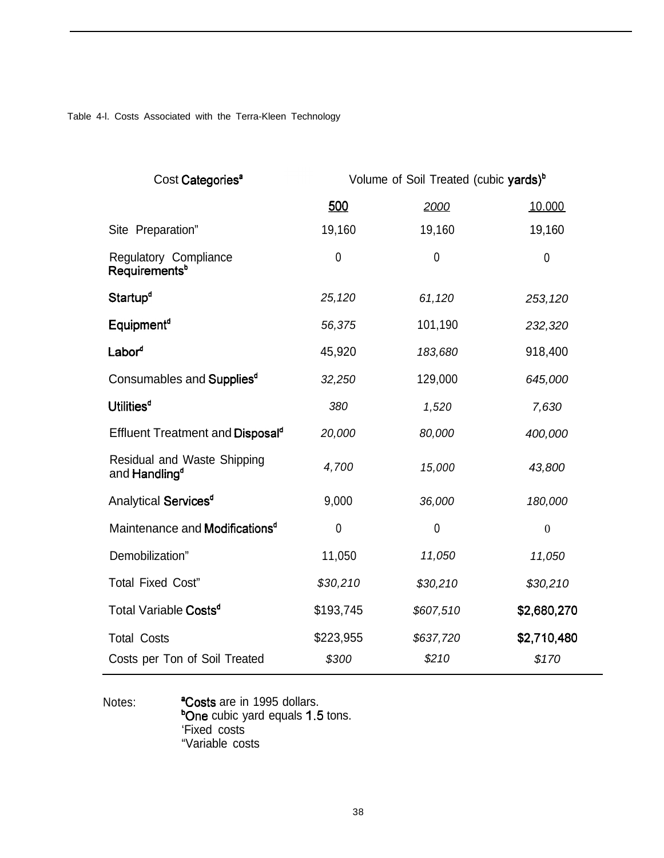Table 4-l. Costs Associated with the Terra-Kleen Technology

| Cost Categories <sup>a</sup>                             | Volume of Soil Treated (cubic yards) <sup>b</sup> |             |                  |  |
|----------------------------------------------------------|---------------------------------------------------|-------------|------------------|--|
|                                                          | 500                                               | 2000        | 10.000           |  |
| Site Preparation"                                        | 19,160                                            | 19,160      | 19,160           |  |
| Regulatory Compliance<br>Requirements <sup>b</sup>       | $\mathbf 0$                                       | $\mathbf 0$ | $\overline{0}$   |  |
| Startup <sup>d</sup>                                     | 25,120                                            | 61,120      | 253,120          |  |
| Equipment <sup>d</sup>                                   | 56,375                                            | 101,190     | 232,320          |  |
| Labor <sup>d</sup>                                       | 45,920                                            | 183,680     | 918,400          |  |
| Consumables and Supplies <sup>d</sup>                    | 32,250                                            | 129,000     | 645,000          |  |
| <b>Utilities<sup>d</sup></b>                             | 380                                               | 1,520       | 7,630            |  |
| Effluent Treatment and Disposal <sup>d</sup>             | 20,000                                            | 80,000      | 400,000          |  |
| Residual and Waste Shipping<br>and Handling <sup>d</sup> | 4,700                                             | 15,000      | 43,800           |  |
| Analytical Services <sup>d</sup>                         | 9,000                                             | 36,000      | 180,000          |  |
| Maintenance and Modifications <sup>d</sup>               | $\mathbf 0$                                       | $\mathbf 0$ | $\boldsymbol{0}$ |  |
| Demobilization"                                          | 11,050                                            | 11,050      | 11,050           |  |
| <b>Total Fixed Cost"</b>                                 | \$30,210                                          | \$30,210    | \$30,210         |  |
| Total Variable Costs <sup>d</sup>                        | \$193,745                                         | \$607,510   | \$2,680,270      |  |
| <b>Total Costs</b>                                       | \$223,955                                         | \$637,720   | \$2,710,480      |  |
| Costs per Ton of Soil Treated                            | \$300                                             | \$210       | \$170            |  |

Notes: **Costs** are in 1995 dollars. <sup>b</sup>One cubic yard equals 1.5 tons. 'Fixed costs "Variable costs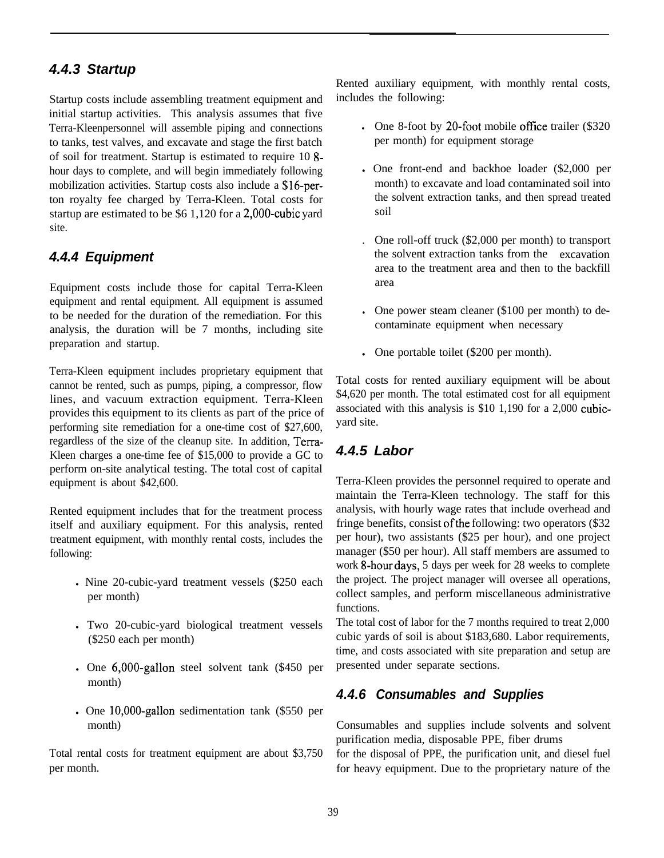#### *4.4.3 Startup*

Startup costs include assembling treatment equipment and initial startup activities. This analysis assumes that five Terra-Kleenpersonnel will assemble piping and connections to tanks, test valves, and excavate and stage the first batch of soil for treatment. Startup is estimated to require 10 8 hour days to complete, and will begin immediately following mobilization activities. Startup costs also include a \$16-perton royalty fee charged by Terra-Kleen. Total costs for startup are estimated to be \$6 1,120 for a 2,000-cubic yard site.

#### *4.4.4 Equipment*

Equipment costs include those for capital Terra-Kleen equipment and rental equipment. All equipment is assumed to be needed for the duration of the remediation. For this analysis, the duration will be 7 months, including site preparation and startup.

Terra-Kleen equipment includes proprietary equipment that cannot be rented, such as pumps, piping, a compressor, flow lines, and vacuum extraction equipment. Terra-Kleen provides this equipment to its clients as part of the price of performing site remediation for a one-time cost of \$27,600, regardless of the size of the cleanup site. In addition, Terra-Kleen charges a one-time fee of \$15,000 to provide a GC to perform on-site analytical testing. The total cost of capital equipment is about \$42,600.

Rented equipment includes that for the treatment process itself and auxiliary equipment. For this analysis, rented treatment equipment, with monthly rental costs, includes the following:

- Nine 20-cubic-yard treatment vessels (\$250 each per month)
- <sup>l</sup>Two 20-cubic-yard biological treatment vessels (\$250 each per month)
- . One 6,000-gallon steel solvent tank (\$450 per month)
- $l$  One 10,000-gallon sedimentation tank (\$550 per month)

Total rental costs for treatment equipment are about \$3,750 per month.

Rented auxiliary equipment, with monthly rental costs, includes the following:

- If  $\Omega$  One 8-foot by 20-foot mobile office trailer (\$320) per month) for equipment storage
- One front-end and backhoe loader (\$2,000 per month) to excavate and load contaminated soil into the solvent extraction tanks, and then spread treated soil
- . One roll-off truck (\$2,000 per month) to transport the solvent extraction tanks from the excavation area to the treatment area and then to the backfill area
- If One power steam cleaner  $(\$100$  per month) to decontaminate equipment when necessary
- One portable toilet (\$200 per month).

Total costs for rented auxiliary equipment will be about \$4,620 per month. The total estimated cost for all equipment associated with this analysis is \$10 1,190 for a 2,000 cubicyard site.

# *4.4.5 Labor*

Terra-Kleen provides the personnel required to operate and maintain the Terra-Kleen technology. The staff for this analysis, with hourly wage rates that include overhead and fringe benefits, consist ofthe following: two operators (\$32 per hour), two assistants (\$25 per hour), and one project manager (\$50 per hour). All staff members are assumed to work 8-hour days, 5 days per week for 28 weeks to complete the project. The project manager will oversee all operations, collect samples, and perform miscellaneous administrative functions.

The total cost of labor for the 7 months required to treat 2,000 cubic yards of soil is about \$183,680. Labor requirements, time, and costs associated with site preparation and setup are presented under separate sections.

#### *4.4.6 Consumables and Supplies*

Consumables and supplies include solvents and solvent purification media, disposable PPE, fiber drums

for the disposal of PPE, the purification unit, and diesel fuel for heavy equipment. Due to the proprietary nature of the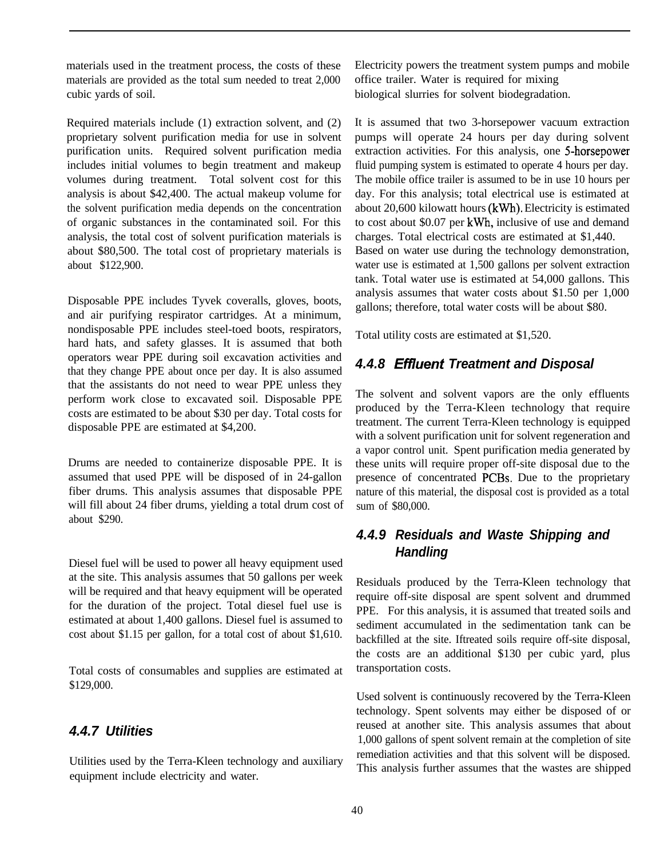materials used in the treatment process, the costs of these materials are provided as the total sum needed to treat 2,000 cubic yards of soil.

Required materials include (1) extraction solvent, and (2) proprietary solvent purification media for use in solvent purification units. Required solvent purification media includes initial volumes to begin treatment and makeup volumes during treatment. Total solvent cost for this analysis is about \$42,400. The actual makeup volume for the solvent purification media depends on the concentration of organic substances in the contaminated soil. For this analysis, the total cost of solvent purification materials is about \$80,500. The total cost of proprietary materials is about \$122,900.

Disposable PPE includes Tyvek coveralls, gloves, boots, and air purifying respirator cartridges. At a minimum, nondisposable PPE includes steel-toed boots, respirators, hard hats, and safety glasses. It is assumed that both operators wear PPE during soil excavation activities and that they change PPE about once per day. It is also assumed that the assistants do not need to wear PPE unless they perform work close to excavated soil. Disposable PPE costs are estimated to be about \$30 per day. Total costs for disposable PPE are estimated at \$4,200.

Drums are needed to containerize disposable PPE. It is assumed that used PPE will be disposed of in 24-gallon fiber drums. This analysis assumes that disposable PPE will fill about 24 fiber drums, yielding a total drum cost of about \$290.

Diesel fuel will be used to power all heavy equipment used at the site. This analysis assumes that 50 gallons per week will be required and that heavy equipment will be operated for the duration of the project. Total diesel fuel use is estimated at about 1,400 gallons. Diesel fuel is assumed to cost about \$1.15 per gallon, for a total cost of about \$1,610.

Total costs of consumables and supplies are estimated at \$129,000.

#### *4.4.7 Utilities*

Utilities used by the Terra-Kleen technology and auxiliary equipment include electricity and water.

Electricity powers the treatment system pumps and mobile office trailer. Water is required for mixing biological slurries for solvent biodegradation.

It is assumed that two 3-horsepower vacuum extraction pumps will operate 24 hours per day during solvent extraction activities. For this analysis, one 5-horsepower fluid pumping system is estimated to operate 4 hours per day. The mobile office trailer is assumed to be in use 10 hours per day. For this analysis; total electrical use is estimated at about 20,600 kilowatt hours (kWh). Electricity is estimated to cost about \$0.07 per kWh, inclusive of use and demand charges. Total electrical costs are estimated at \$1,440. Based on water use during the technology demonstration, water use is estimated at 1,500 gallons per solvent extraction tank. Total water use is estimated at 54,000 gallons. This analysis assumes that water costs about \$1.50 per 1,000 gallons; therefore, total water costs will be about \$80.

Total utility costs are estimated at \$1,520.

#### *4.4.8 Effluent Treatment and Disposal*

The solvent and solvent vapors are the only effluents produced by the Terra-Kleen technology that require treatment. The current Terra-Kleen technology is equipped with a solvent purification unit for solvent regeneration and a vapor control unit. Spent purification media generated by these units will require proper off-site disposal due to the presence of concentrated PCBs. Due to the proprietary nature of this material, the disposal cost is provided as a total sum of \$80,000.

# *4.4.9 Residuals and Waste Shipping and Handling*

Residuals produced by the Terra-Kleen technology that require off-site disposal are spent solvent and drummed PPE. For this analysis, it is assumed that treated soils and sediment accumulated in the sedimentation tank can be backfilled at the site. Iftreated soils require off-site disposal, the costs are an additional \$130 per cubic yard, plus transportation costs.

Used solvent is continuously recovered by the Terra-Kleen technology. Spent solvents may either be disposed of or reused at another site. This analysis assumes that about 1,000 gallons of spent solvent remain at the completion of site remediation activities and that this solvent will be disposed. This analysis further assumes that the wastes are shipped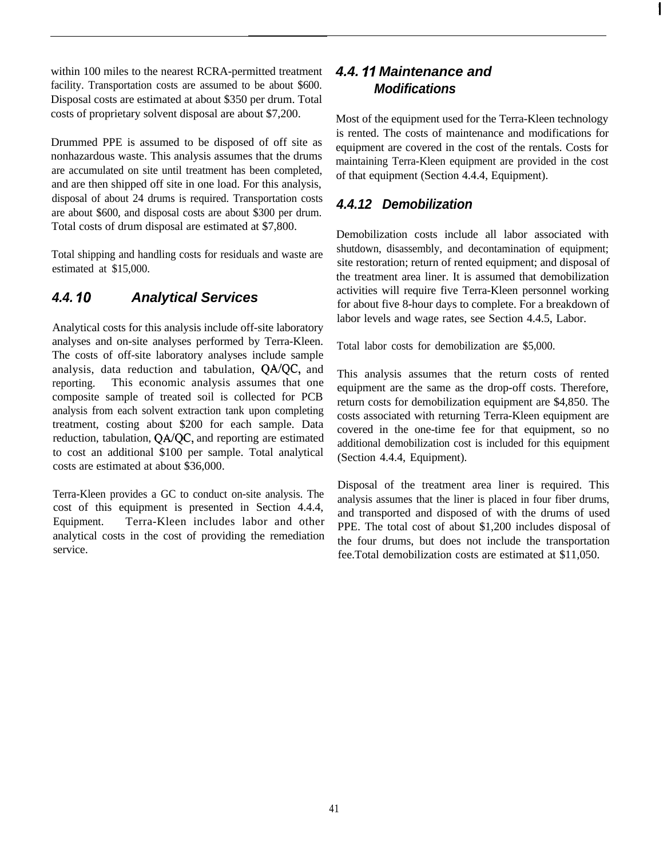within 100 miles to the nearest RCRA-permitted treatment facility. Transportation costs are assumed to be about \$600. Disposal costs are estimated at about \$350 per drum. Total costs of proprietary solvent disposal are about \$7,200.

Drummed PPE is assumed to be disposed of off site as nonhazardous waste. This analysis assumes that the drums are accumulated on site until treatment has been completed, and are then shipped off site in one load. For this analysis, disposal of about 24 drums is required. Transportation costs are about \$600, and disposal costs are about \$300 per drum. Total costs of drum disposal are estimated at \$7,800.

Total shipping and handling costs for residuals and waste are estimated at \$15,000.

# *4.4. IO Analytical Services*

Analytical costs for this analysis include off-site laboratory analyses and on-site analyses performed by Terra-Kleen. The costs of off-site laboratory analyses include sample analysis, data reduction and tabulation, QA/QC, and reporting. This economic analysis assumes that one composite sample of treated soil is collected for PCB analysis from each solvent extraction tank upon completing treatment, costing about \$200 for each sample. Data reduction, tabulation, QA/QC, and reporting are estimated to cost an additional \$100 per sample. Total analytical costs are estimated at about \$36,000.

Terra-Kleen provides a GC to conduct on-site analysis. The cost of this equipment is presented in Section 4.4.4, Equipment. Terra-Kleen includes labor and other analytical costs in the cost of providing the remediation service.

# *4.4. I7 Maintenance and Modifications*

Most of the equipment used for the Terra-Kleen technology is rented. The costs of maintenance and modifications for equipment are covered in the cost of the rentals. Costs for maintaining Terra-Kleen equipment are provided in the cost of that equipment (Section 4.4.4, Equipment).

#### *4.4.12 Demobilization*

Demobilization costs include all labor associated with shutdown, disassembly, and decontamination of equipment; site restoration; return of rented equipment; and disposal of the treatment area liner. It is assumed that demobilization activities will require five Terra-Kleen personnel working for about five 8-hour days to complete. For a breakdown of labor levels and wage rates, see Section 4.4.5, Labor.

Total labor costs for demobilization are \$5,000.

This analysis assumes that the return costs of rented equipment are the same as the drop-off costs. Therefore, return costs for demobilization equipment are \$4,850. The costs associated with returning Terra-Kleen equipment are covered in the one-time fee for that equipment, so no additional demobilization cost is included for this equipment (Section 4.4.4, Equipment).

Disposal of the treatment area liner is required. This analysis assumes that the liner is placed in four fiber drums, and transported and disposed of with the drums of used PPE. The total cost of about \$1,200 includes disposal of the four drums, but does not include the transportation fee.Total demobilization costs are estimated at \$11,050.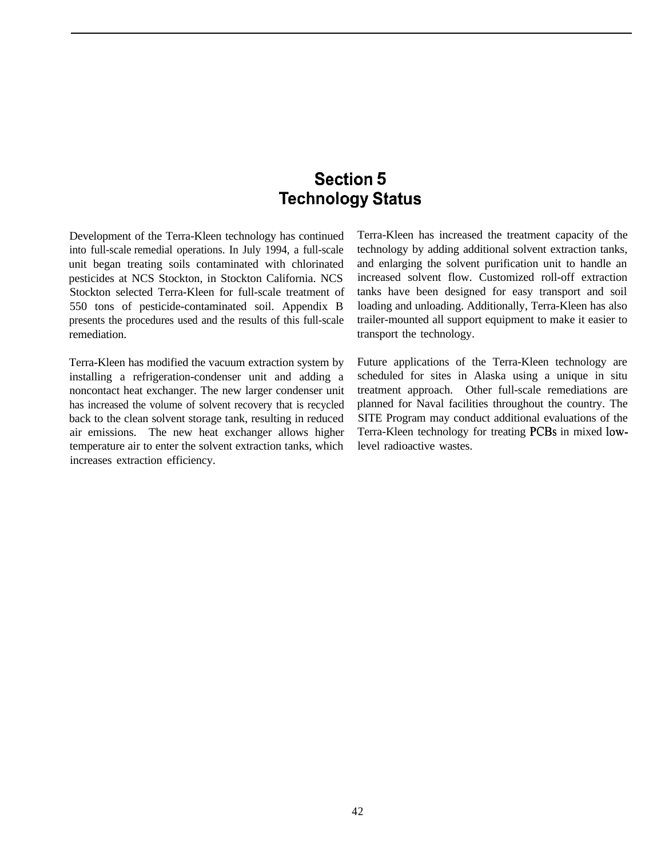# **Section 5 Technology Status**

Development of the Terra-Kleen technology has continued into full-scale remedial operations. In July 1994, a full-scale unit began treating soils contaminated with chlorinated pesticides at NCS Stockton, in Stockton California. NCS Stockton selected Terra-Kleen for full-scale treatment of 550 tons of pesticide-contaminated soil. Appendix B presents the procedures used and the results of this full-scale remediation.

Terra-Kleen has modified the vacuum extraction system by installing a refrigeration-condenser unit and adding a noncontact heat exchanger. The new larger condenser unit has increased the volume of solvent recovery that is recycled back to the clean solvent storage tank, resulting in reduced air emissions. The new heat exchanger allows higher temperature air to enter the solvent extraction tanks, which increases extraction efficiency.

Terra-Kleen has increased the treatment capacity of the technology by adding additional solvent extraction tanks, and enlarging the solvent purification unit to handle an increased solvent flow. Customized roll-off extraction tanks have been designed for easy transport and soil loading and unloading. Additionally, Terra-Kleen has also trailer-mounted all support equipment to make it easier to transport the technology.

Future applications of the Terra-Kleen technology are scheduled for sites in Alaska using a unique in situ treatment approach. Other full-scale remediations are planned for Naval facilities throughout the country. The SITE Program may conduct additional evaluations of the Terra-Kleen technology for treating PCBs in mixed lowlevel radioactive wastes.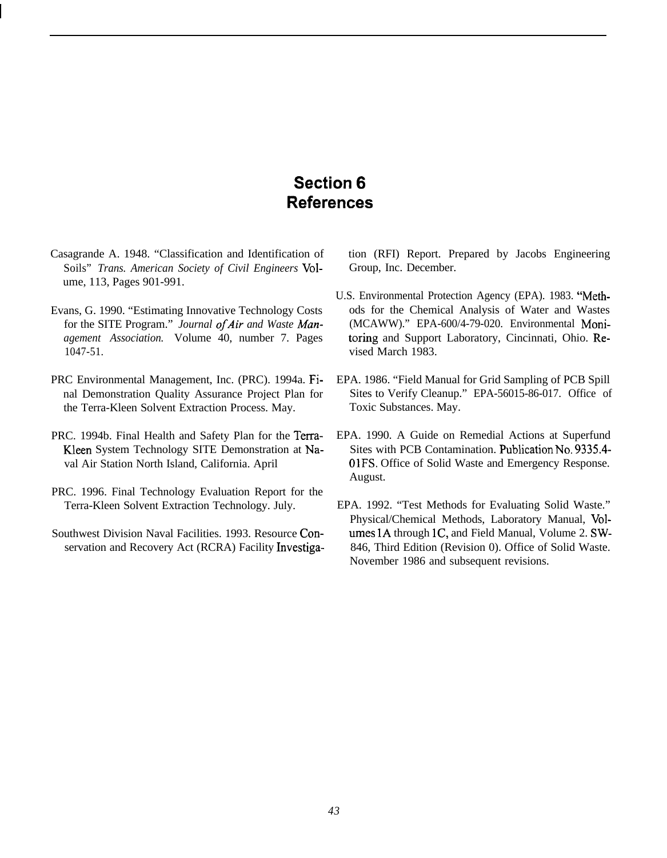# **Section 6 References**

- Casagrande A. 1948. "Classification and Identification of Soils" *Trans. American Society of Civil Engineers* Volume, 113, Pages 901-991.
- 1047-51. vised March 1983.
- PRC Environmental Management, Inc. (PRC). 1994a. Fi- EPA. 1986. "Field Manual for Grid Sampling of PCB Spill the Terra-Kleen Solvent Extraction Process. May. Toxic Substances. May.
- PRC. 1994b. Final Health and Safety Plan for the Terra- EPA. 1990. A Guide on Remedial Actions at Superfund
- PRC. 1996. Final Technology Evaluation Report for the Terra-Kleen Solvent Extraction Technology. July. EPA. 1992. "Test Methods for Evaluating Solid Waste."
- 

tion (RFI) Report. Prepared by Jacobs Engineering Group, Inc. December.

- U.S. Environmental Protection Agency (EPA). 1983. "Meth-Evans, G. 1990. "Estimating Innovative Technology Costs ods for the Chemical Analysis of Water and Wastes for the SITE Program." *Journal of Air and Waste Man*- (MCAWW)." EPA-600/4-79-020. Environmental Moni*agement Association.* Volume 40, number 7. Pages toring and Support Laboratory, Cincinnati, Ohio. Re
	- nal Demonstration Quality Assurance Project Plan for Sites to Verify Cleanup." EPA-56015-86-017. Office of
	- Kleen System Technology SITE Demonstration at Na-<br>Sites with PCB Contamination. Publication No. 9335.4val Air Station North Island, California. April 01FS. Office of Solid Waste and Emergency Response. August.
- Physical/Chemical Methods, Laboratory Manual, Vol-Southwest Division Naval Facilities. 1993. Resource Con- umes 1A through 1C, and Field Manual, Volume 2. SWservation and Recovery Act (RCRA) Facility Investiga-<br>
846, Third Edition (Revision 0). Office of Solid Waste. November 1986 and subsequent revisions.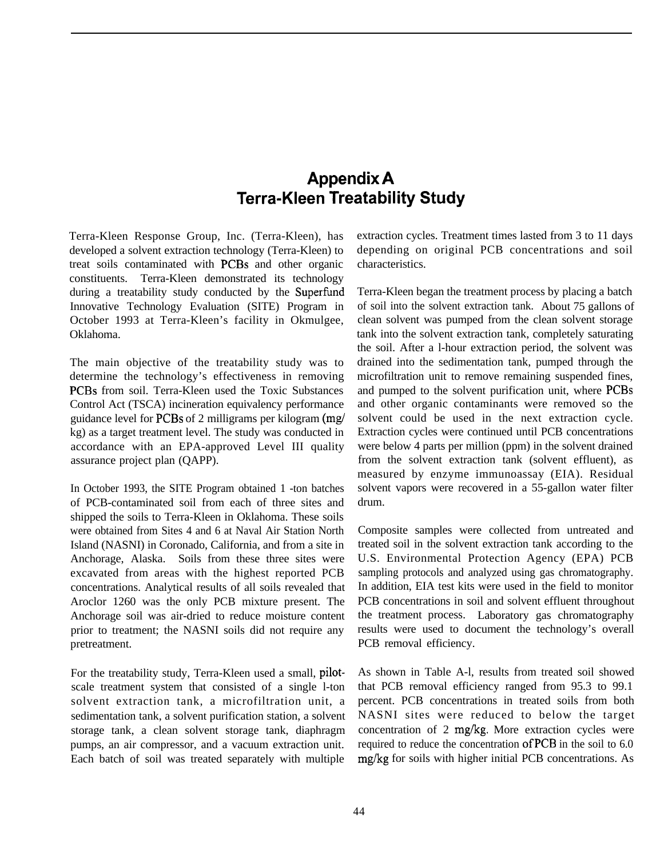# **Appendix A Terra-Kleen Treatability Study**

Terra-Kleen Response Group, Inc. (Terra-Kleen), has developed a solvent extraction technology (Terra-Kleen) to treat soils contaminated with PCBs and other organic constituents. Terra-Kleen demonstrated its technology during a treatability study conducted by the Superfimd Innovative Technology Evaluation (SITE) Program in October 1993 at Terra-Kleen's facility in Okmulgee, Oklahoma.

The main objective of the treatability study was to determine the technology's effectiveness in removing PCBs from soil. Terra-Kleen used the Toxic Substances Control Act (TSCA) incineration equivalency performance guidance level for PCBs of 2 milligrams per kilogram (mg/ kg) as a target treatment level. The study was conducted in accordance with an EPA-approved Level III quality assurance project plan (QAPP).

In October 1993, the SITE Program obtained 1 -ton batches of PCB-contaminated soil from each of three sites and shipped the soils to Terra-Kleen in Oklahoma. These soils were obtained from Sites 4 and 6 at Naval Air Station North Island (NASNI) in Coronado, California, and from a site in Anchorage, Alaska. Soils from these three sites were excavated from areas with the highest reported PCB concentrations. Analytical results of all soils revealed that Aroclor 1260 was the only PCB mixture present. The Anchorage soil was air-dried to reduce moisture content prior to treatment; the NASNI soils did not require any pretreatment.

For the treatability study, Terra-Kleen used a small, pilotscale treatment system that consisted of a single l-ton solvent extraction tank, a microfiltration unit, a sedimentation tank, a solvent purification station, a solvent storage tank, a clean solvent storage tank, diaphragm pumps, an air compressor, and a vacuum extraction unit. Each batch of soil was treated separately with multiple extraction cycles. Treatment times lasted from 3 to 11 days depending on original PCB concentrations and soil characteristics.

Terra-Kleen began the treatment process by placing a batch of soil into the solvent extraction tank. About 75 gallons of clean solvent was pumped from the clean solvent storage tank into the solvent extraction tank, completely saturating the soil. After a l-hour extraction period, the solvent was drained into the sedimentation tank, pumped through the microfiltration unit to remove remaining suspended fines, and pumped to the solvent purification unit, where PCBs and other organic contaminants were removed so the solvent could be used in the next extraction cycle. Extraction cycles were continued until PCB concentrations were below 4 parts per million (ppm) in the solvent drained from the solvent extraction tank (solvent effluent), as measured by enzyme immunoassay (EIA). Residual solvent vapors were recovered in a 55-gallon water filter drum.

Composite samples were collected from untreated and treated soil in the solvent extraction tank according to the U.S. Environmental Protection Agency (EPA) PCB sampling protocols and analyzed using gas chromatography. In addition, EIA test kits were used in the field to monitor PCB concentrations in soil and solvent effluent throughout the treatment process. Laboratory gas chromatography results were used to document the technology's overall PCB removal efficiency.

As shown in Table A-l, results from treated soil showed that PCB removal efficiency ranged from 95.3 to 99.1 percent. PCB concentrations in treated soils from both NASNI sites were reduced to below the target concentration of 2 mg/kg. More extraction cycles were required to reduce the concentration ofPCB in the soil to 6.0 mg/kg for soils with higher initial PCB concentrations. As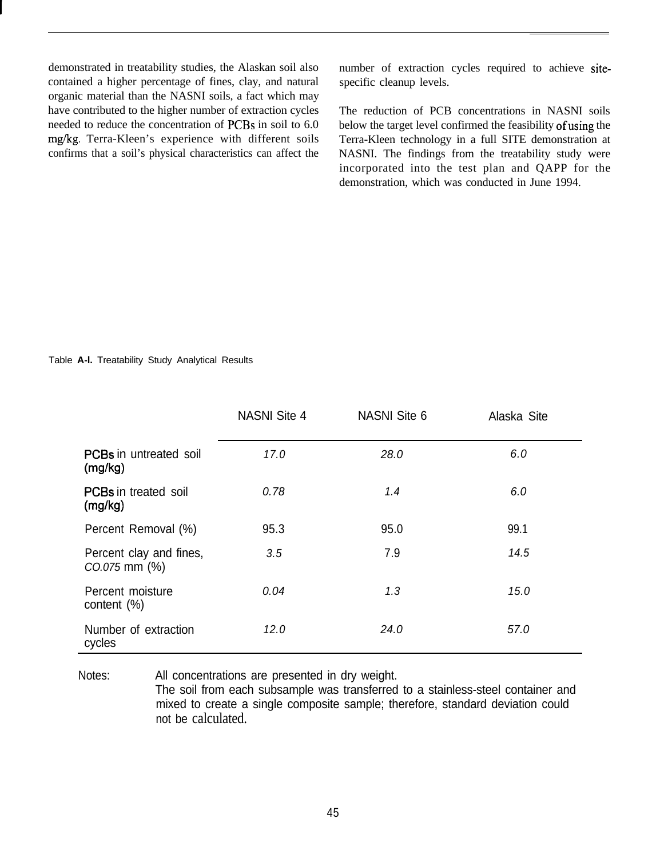demonstrated in treatability studies, the Alaskan soil also contained a higher percentage of fines, clay, and natural organic material than the NASNI soils, a fact which may have contributed to the higher number of extraction cycles needed to reduce the concentration of PCBs in soil to 6.0 mg/kg. Terra-Kleen's experience with different soils confirms that a soil's physical characteristics can affect the

number of extraction cycles required to achieve sitespecific cleanup levels.

The reduction of PCB concentrations in NASNI soils below the target level confirmed the feasibility of using the Terra-Kleen technology in a full SITE demonstration at NASNI. The findings from the treatability study were incorporated into the test plan and QAPP for the demonstration, which was conducted in June 1994.

#### Table **A-l.** Treatability Study Analytical Results

|                                               | <b>NASNI Site 4</b> | <b>NASNI Site 6</b> | Alaska Site |
|-----------------------------------------------|---------------------|---------------------|-------------|
| <b>PCBs</b> in untreated soil<br>(mg/kg)      | 17.0                | 28.0                | 6.0         |
| <b>PCBs</b> in treated soil<br>(mg/kg)        | 0.78                | 1.4                 | 6.0         |
| Percent Removal (%)                           | 95.3                | 95.0                | 99.1        |
| Percent clay and fines,<br>$CO.075$ mm $(\%)$ | 3.5                 | 7.9                 | 14.5        |
| Percent moisture<br>content $(\%)$            | 0.04                | 1.3                 | 15.0        |
| Number of extraction<br>cycles                | 12.0                | 24.0                | 57.0        |

Notes: All concentrations are presented in dry weight.

The soil from each subsample was transferred to a stainless-steel container and mixed to create a single composite sample; therefore, standard deviation could not be calculated.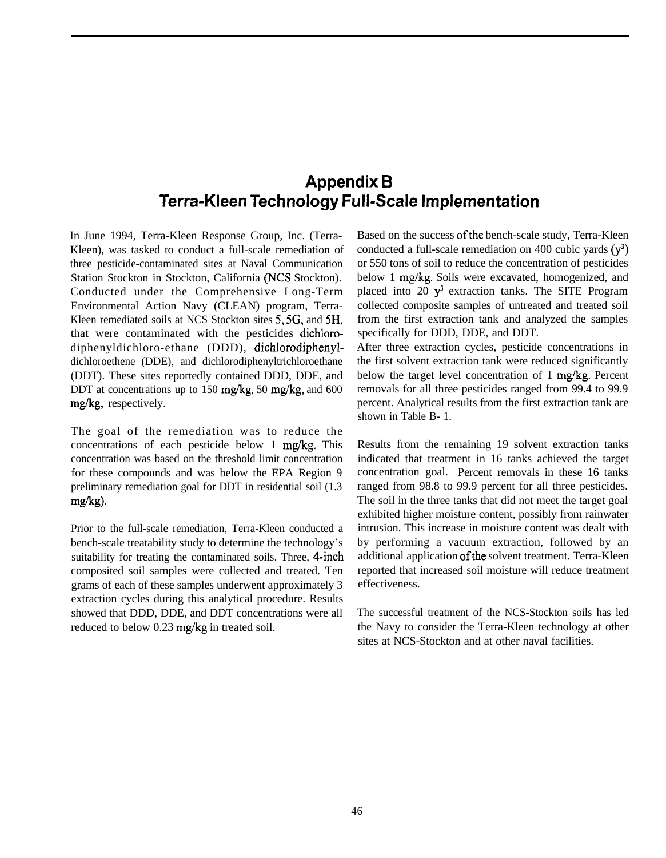# **Appendix B Terra-Kleen Technology Full-Scale Implementation**

In June 1994, Terra-Kleen Response Group, Inc. (Terra-Kleen), was tasked to conduct a full-scale remediation of three pesticide-contaminated sites at Naval Communication Station Stockton in Stockton, California (NCS Stockton). Conducted under the Comprehensive Long-Term Environmental Action Navy (CLEAN) program, Terra-Kleen remediated soils at NCS Stockton sites 5,5G, and 5H, that were contaminated with the pesticides dichlorodiphenyldichloro-ethane (DDD), dichlorodiphenyldichloroethene (DDE), and dichlorodiphenyltrichloroethane (DDT). These sites reportedly contained DDD, DDE, and DDT at concentrations up to 150 mg/kg, 50 mg/kg, and 600 mg/kg, respectively.

The goal of the remediation was to reduce the concentrations of each pesticide below 1 mg/kg. This concentration was based on the threshold limit concentration for these compounds and was below the EPA Region 9 preliminary remediation goal for DDT in residential soil (1.3 mg/kg)-

Prior to the full-scale remediation, Terra-Kleen conducted a bench-scale treatability study to determine the technology's suitability for treating the contaminated soils. Three, 4-inch composited soil samples were collected and treated. Ten grams of each of these samples underwent approximately 3 extraction cycles during this analytical procedure. Results showed that DDD, DDE, and DDT concentrations were all reduced to below 0.23 mg/kg in treated soil.

Based on the success of the bench-scale study, Terra-Kleen conducted a full-scale remediation on 400 cubic yards  $(y^3)$ or 550 tons of soil to reduce the concentration of pesticides below 1 mg/kg. Soils were excavated, homogenized, and placed into 20  $y<sup>3</sup>$  extraction tanks. The SITE Program collected composite samples of untreated and treated soil from the first extraction tank and analyzed the samples specifically for DDD, DDE, and DDT.

After three extraction cycles, pesticide concentrations in the first solvent extraction tank were reduced significantly below the target level concentration of 1 mg/kg. Percent removals for all three pesticides ranged from 99.4 to 99.9 percent. Analytical results from the first extraction tank are shown in Table B- 1.

Results from the remaining 19 solvent extraction tanks indicated that treatment in 16 tanks achieved the target concentration goal. Percent removals in these 16 tanks ranged from 98.8 to 99.9 percent for all three pesticides. The soil in the three tanks that did not meet the target goal exhibited higher moisture content, possibly from rainwater intrusion. This increase in moisture content was dealt with by performing a vacuum extraction, followed by an additional application ofthe solvent treatment. Terra-Kleen reported that increased soil moisture will reduce treatment effectiveness.

The successful treatment of the NCS-Stockton soils has led the Navy to consider the Terra-Kleen technology at other sites at NCS-Stockton and at other naval facilities.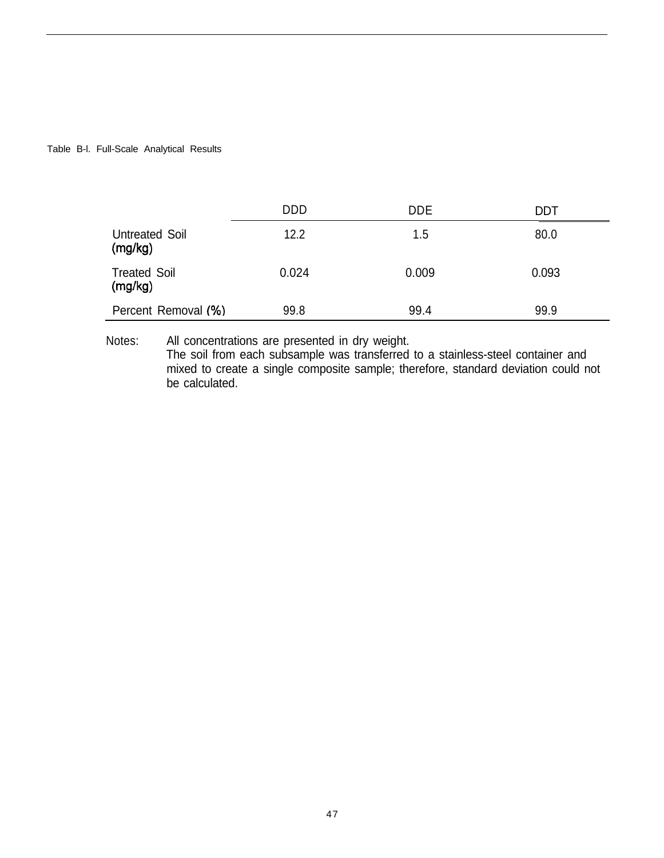#### Table B-l. Full-Scale Analytical Results

|                                | <b>DDD</b> | <b>DDE</b> | DDT   |
|--------------------------------|------------|------------|-------|
| Untreated Soil<br>(mg/kg)      | 12.2       | 1.5        | 80.0  |
| <b>Treated Soil</b><br>(mg/kg) | 0.024      | 0.009      | 0.093 |
| Percent Removal (%)            | 99.8       | 99.4       | 99.9  |

Notes: All concentrations are presented in dry weight. The soil from each subsample was transferred to a stainless-steel container and mixed to create a single composite sample; therefore, standard deviation could not be calculated.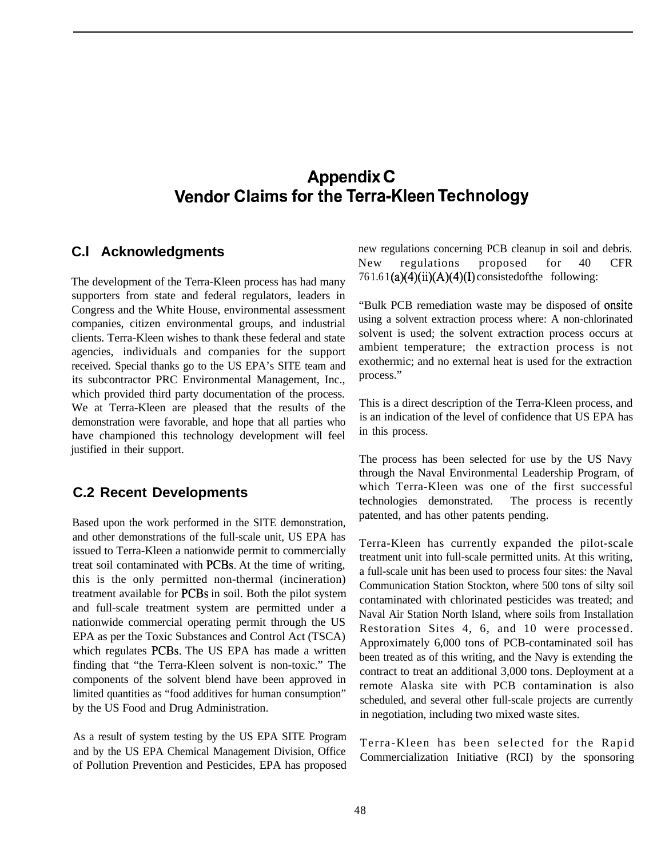# **Appendix C Vendor Claims for the Terra-Kleen Technology**

#### **C.l Acknowledgments**

The development of the Terra-Kleen process has had many supporters from state and federal regulators, leaders in Congress and the White House, environmental assessment companies, citizen environmental groups, and industrial clients. Terra-Kleen wishes to thank these federal and state agencies, individuals and companies for the support received. Special thanks go to the US EPA's SITE team and its subcontractor PRC Environmental Management, Inc., which provided third party documentation of the process. We at Terra-Kleen are pleased that the results of the demonstration were favorable, and hope that all parties who have championed this technology development will feel justified in their support.

#### **C.2 Recent Developments**

Based upon the work performed in the SITE demonstration, and other demonstrations of the full-scale unit, US EPA has issued to Terra-Kleen a nationwide permit to commercially treat soil contaminated with PCBs. At the time of writing, this is the only permitted non-thermal (incineration) treatment available for PCBs in soil. Both the pilot system and full-scale treatment system are permitted under a nationwide commercial operating permit through the US EPA as per the Toxic Substances and Control Act (TSCA) which regulates PCBs. The US EPA has made a written finding that "the Terra-Kleen solvent is non-toxic." The components of the solvent blend have been approved in limited quantities as "food additives for human consumption" by the US Food and Drug Administration.

As a result of system testing by the US EPA SITE Program and by the US EPA Chemical Management Division, Office of Pollution Prevention and Pesticides, EPA has proposed new regulations concerning PCB cleanup in soil and debris. New regulations proposed for 40 CFR  $761.61(a)(4)(ii)(A)(4)(I)$  consisted of the following:

"Bulk PCB remediation waste may be disposed of onsite using a solvent extraction process where: A non-chlorinated solvent is used; the solvent extraction process occurs at ambient temperature; the extraction process is not exothermic; and no external heat is used for the extraction process."

This is a direct description of the Terra-Kleen process, and is an indication of the level of confidence that US EPA has in this process.

The process has been selected for use by the US Navy through the Naval Environmental Leadership Program, of which Terra-Kleen was one of the first successful technologies demonstrated. The process is recently patented, and has other patents pending.

Terra-Kleen has currently expanded the pilot-scale treatment unit into full-scale permitted units. At this writing, a full-scale unit has been used to process four sites: the Naval Communication Station Stockton, where 500 tons of silty soil contaminated with chlorinated pesticides was treated; and Naval Air Station North Island, where soils from Installation Restoration Sites 4, 6, and 10 were processed. Approximately 6,000 tons of PCB-contaminated soil has been treated as of this writing, and the Navy is extending the contract to treat an additional 3,000 tons. Deployment at a remote Alaska site with PCB contamination is also scheduled, and several other full-scale projects are currently in negotiation, including two mixed waste sites.

Terra-Kleen has been selected for the Rapid Commercialization Initiative (RCI) by the sponsoring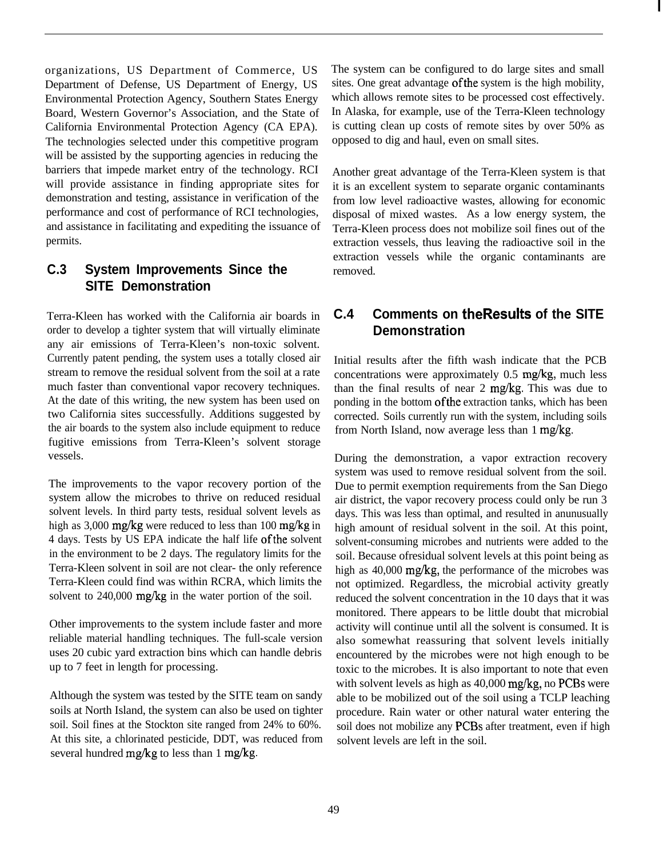organizations, US Department of Commerce, US Department of Defense, US Department of Energy, US Environmental Protection Agency, Southern States Energy Board, Western Governor's Association, and the State of California Environmental Protection Agency (CA EPA). The technologies selected under this competitive program will be assisted by the supporting agencies in reducing the barriers that impede market entry of the technology. RCI will provide assistance in finding appropriate sites for demonstration and testing, assistance in verification of the performance and cost of performance of RCI technologies, and assistance in facilitating and expediting the issuance of permits.

## **C.3 System Improvements Since the SITE Demonstration**

Terra-Kleen has worked with the California air boards in order to develop a tighter system that will virtually eliminate any air emissions of Terra-Kleen's non-toxic solvent. Currently patent pending, the system uses a totally closed air stream to remove the residual solvent from the soil at a rate much faster than conventional vapor recovery techniques. At the date of this writing, the new system has been used on two California sites successfully. Additions suggested by the air boards to the system also include equipment to reduce fugitive emissions from Terra-Kleen's solvent storage vessels.

The improvements to the vapor recovery portion of the system allow the microbes to thrive on reduced residual solvent levels. In third party tests, residual solvent levels as high as 3,000 mg/kg were reduced to less than 100 mg/kg in 4 days. Tests by US EPA indicate the half life ofthe solvent in the environment to be 2 days. The regulatory limits for the Terra-Kleen solvent in soil are not clear- the only reference Terra-Kleen could find was within RCRA, which limits the solvent to 240,000 mg/kg in the water portion of the soil.

Other improvements to the system include faster and more reliable material handling techniques. The full-scale version uses 20 cubic yard extraction bins which can handle debris up to 7 feet in length for processing.

Although the system was tested by the SITE team on sandy soils at North Island, the system can also be used on tighter soil. Soil fines at the Stockton site ranged from 24% to 60%. At this site, a chlorinated pesticide, DDT, was reduced from several hundred mg/kg to less than 1 mg/kg.

The system can be configured to do large sites and small sites. One great advantage ofthe system is the high mobility, which allows remote sites to be processed cost effectively. In Alaska, for example, use of the Terra-Kleen technology is cutting clean up costs of remote sites by over 50% as opposed to dig and haul, even on small sites.

Another great advantage of the Terra-Kleen system is that it is an excellent system to separate organic contaminants from low level radioactive wastes, allowing for economic disposal of mixed wastes. As a low energy system, the Terra-Kleen process does not mobilize soil fines out of the extraction vessels, thus leaving the radioactive soil in the extraction vessels while the organic contaminants are removed.

#### **C.4 Comments on theResults of the SITE Demonstration**

Initial results after the fifth wash indicate that the PCB concentrations were approximately 0.5 mg/kg, much less than the final results of near 2 mg/kg. This was due to ponding in the bottom of the extraction tanks, which has been corrected. Soils currently run with the system, including soils from North Island, now average less than 1 mg/kg.

During the demonstration, a vapor extraction recovery system was used to remove residual solvent from the soil. Due to permit exemption requirements from the San Diego air district, the vapor recovery process could only be run 3 days. This was less than optimal, and resulted in anunusually high amount of residual solvent in the soil. At this point, solvent-consuming microbes and nutrients were added to the soil. Because ofresidual solvent levels at this point being as high as 40,000 mg/kg, the performance of the microbes was not optimized. Regardless, the microbial activity greatly reduced the solvent concentration in the 10 days that it was monitored. There appears to be little doubt that microbial activity will continue until all the solvent is consumed. It is also somewhat reassuring that solvent levels initially encountered by the microbes were not high enough to be toxic to the microbes. It is also important to note that even with solvent levels as high as 40,000 mg/kg, no PCBs were able to be mobilized out of the soil using a TCLP leaching procedure. Rain water or other natural water entering the soil does not mobilize any PCBs after treatment, even if high solvent levels are left in the soil.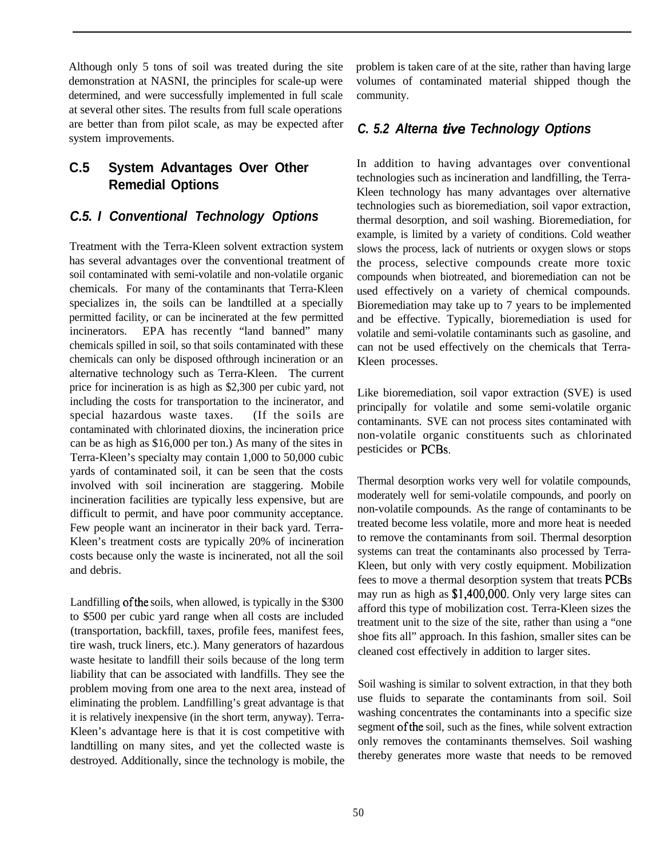Although only 5 tons of soil was treated during the site demonstration at NASNI, the principles for scale-up were determined, and were successfully implemented in full scale at several other sites. The results from full scale operations are better than from pilot scale, as may be expected after system improvements.

# **C.5 System Advantages Over Other Remedial Options**

#### *C.5. I Conventional Technology Options*

Treatment with the Terra-Kleen solvent extraction system has several advantages over the conventional treatment of soil contaminated with semi-volatile and non-volatile organic chemicals. For many of the contaminants that Terra-Kleen specializes in, the soils can be landtilled at a specially permitted facility, or can be incinerated at the few permitted incinerators. EPA has recently "land banned" many chemicals spilled in soil, so that soils contaminated with these chemicals can only be disposed ofthrough incineration or an alternative technology such as Terra-Kleen. The current price for incineration is as high as \$2,300 per cubic yard, not including the costs for transportation to the incinerator, and special hazardous waste taxes. (If the soils are contaminated with chlorinated dioxins, the incineration price can be as high as \$16,000 per ton.) As many of the sites in Terra-Kleen's specialty may contain 1,000 to 50,000 cubic yards of contaminated soil, it can be seen that the costs involved with soil incineration are staggering. Mobile incineration facilities are typically less expensive, but are difficult to permit, and have poor community acceptance. Few people want an incinerator in their back yard. Terra-Kleen's treatment costs are typically 20% of incineration costs because only the waste is incinerated, not all the soil and debris.

Landfilling of the soils, when allowed, is typically in the \$300 to \$500 per cubic yard range when all costs are included (transportation, backfill, taxes, profile fees, manifest fees, tire wash, truck liners, etc.). Many generators of hazardous waste hesitate to landfill their soils because of the long term liability that can be associated with landfills. They see the problem moving from one area to the next area, instead of eliminating the problem. Landfilling's great advantage is that it is relatively inexpensive (in the short term, anyway). Terra-Kleen's advantage here is that it is cost competitive with landtilling on many sites, and yet the collected waste is destroyed. Additionally, since the technology is mobile, the

problem is taken care of at the site, rather than having large volumes of contaminated material shipped though the community.

#### *C. 5.2 Alterna five Technology Options*

In addition to having advantages over conventional technologies such as incineration and landfilling, the Terra-Kleen technology has many advantages over alternative technologies such as bioremediation, soil vapor extraction, thermal desorption, and soil washing. Bioremediation, for example, is limited by a variety of conditions. Cold weather slows the process, lack of nutrients or oxygen slows or stops the process, selective compounds create more toxic compounds when biotreated, and bioremediation can not be used effectively on a variety of chemical compounds. Bioremediation may take up to 7 years to be implemented and be effective. Typically, bioremediation is used for volatile and semi-volatile contaminants such as gasoline, and can not be used effectively on the chemicals that Terra-Kleen processes.

Like bioremediation, soil vapor extraction (SVE) is used principally for volatile and some semi-volatile organic contaminants. SVE can not process sites contaminated with non-volatile organic constituents such as chlorinated pesticides or PCBs.

Thermal desorption works very well for volatile compounds, moderately well for semi-volatile compounds, and poorly on non-volatile compounds. As the range of contaminants to be treated become less volatile, more and more heat is needed to remove the contaminants from soil. Thermal desorption systems can treat the contaminants also processed by Terra-Kleen, but only with very costly equipment. Mobilization fees to move a thermal desorption system that treats PCBs may run as high as \$1,400,000. Only very large sites can afford this type of mobilization cost. Terra-Kleen sizes the treatment unit to the size of the site, rather than using a "one shoe fits all" approach. In this fashion, smaller sites can be cleaned cost effectively in addition to larger sites.

Soil washing is similar to solvent extraction, in that they both use fluids to separate the contaminants from soil. Soil washing concentrates the contaminants into a specific size segment of the soil, such as the fines, while solvent extraction only removes the contaminants themselves. Soil washing thereby generates more waste that needs to be removed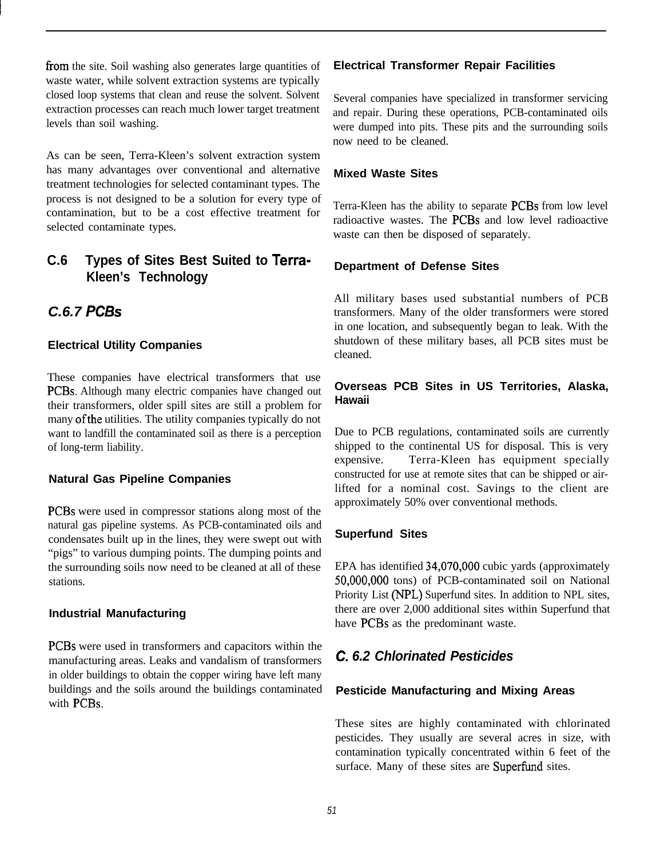from the site. Soil washing also generates large quantities of waste water, while solvent extraction systems are typically closed loop systems that clean and reuse the solvent. Solvent extraction processes can reach much lower target treatment levels than soil washing.

As can be seen, Terra-Kleen's solvent extraction system has many advantages over conventional and alternative treatment technologies for selected contaminant types. The process is not designed to be a solution for every type of contamination, but to be a cost effective treatment for selected contaminate types.

# **C.6 Types of Sites Best Suited to Terra-Kleen's Technology**

# *C.6.7 PC&*

#### **Electrical Utility Companies**

These companies have electrical transformers that use PCBs. Although many electric companies have changed out their transformers, older spill sites are still a problem for many of the utilities. The utility companies typically do not want to landfill the contaminated soil as there is a perception of long-term liability.

#### **Natural Gas Pipeline Companies**

PCBs were used in compressor stations along most of the natural gas pipeline systems. As PCB-contaminated oils and condensates built up in the lines, they were swept out with "pigs" to various dumping points. The dumping points and the surrounding soils now need to be cleaned at all of these stations.

#### **Industrial Manufacturing**

PCBs were used in transformers and capacitors within the manufacturing areas. Leaks and vandalism of transformers in older buildings to obtain the copper wiring have left many buildings and the soils around the buildings contaminated with PCBs.

#### **Electrical Transformer Repair Facilities**

Several companies have specialized in transformer servicing and repair. During these operations, PCB-contaminated oils were dumped into pits. These pits and the surrounding soils now need to be cleaned.

#### **Mixed Waste Sites**

Terra-Kleen has the ability to separate PCBs from low level radioactive wastes. The PCBs and low level radioactive waste can then be disposed of separately.

#### **Department of Defense Sites**

All military bases used substantial numbers of PCB transformers. Many of the older transformers were stored in one location, and subsequently began to leak. With the shutdown of these military bases, all PCB sites must be cleaned.

#### **Overseas PCB Sites in US Territories, Alaska, Hawaii**

Due to PCB regulations, contaminated soils are currently shipped to the continental US for disposal. This is very expensive. Terra-Kleen has equipment specially constructed for use at remote sites that can be shipped or airlifted for a nominal cost. Savings to the client are approximately 50% over conventional methods.

#### **Superfund Sites**

EPA has identified 34,070,OOO cubic yards (approximately 50,000,OOO tons) of PCB-contaminated soil on National Priority List (NPL) Superfund sites. In addition to NPL sites, there are over 2,000 additional sites within Superfund that have PCBs as the predominant waste.

# *C. 6.2 Chlorinated Pesticides*

#### **Pesticide Manufacturing and Mixing Areas**

These sites are highly contaminated with chlorinated pesticides. They usually are several acres in size, with contamination typically concentrated within 6 feet of the surface. Many of these sites are Superfund sites.